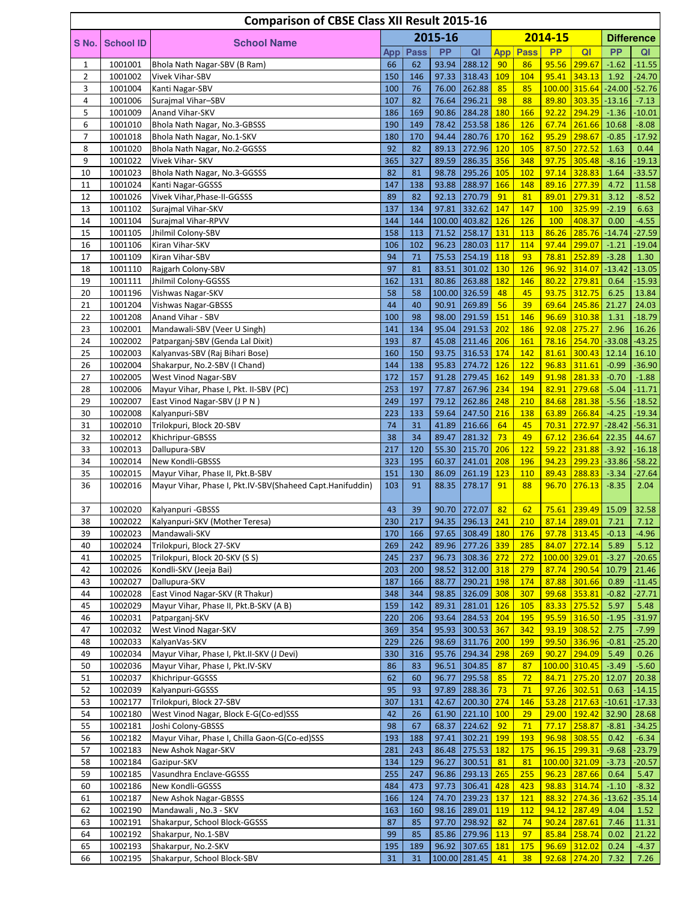|                |                    | <b>Comparison of CBSE Class XII Result 2015-16</b>                   |            |             |                |                                   |                   |                   |                |                                   |                     |                     |
|----------------|--------------------|----------------------------------------------------------------------|------------|-------------|----------------|-----------------------------------|-------------------|-------------------|----------------|-----------------------------------|---------------------|---------------------|
| S No.          | <b>School ID</b>   | <b>School Name</b>                                                   |            |             | 2015-16        |                                   |                   |                   | 2014-15        |                                   |                     | <b>Difference</b>   |
|                |                    |                                                                      | App        | <b>Pass</b> | <b>PP</b>      | QI                                | App               | Pass              | <b>PP</b>      | QI                                | <b>PP</b>           | QI                  |
| 1              | 1001001            | Bhola Nath Nagar-SBV (B Ram)                                         | 66         | 62          | 93.94          | 288.12                            | 90                | 86                |                | 95.56 299.67                      | $-1.62$             | $-11.55$            |
| $\overline{2}$ | 1001002            | Vivek Vihar-SBV                                                      | 150        | 146         | 97.33          | 318.43                            | 109               | 104               | 95.41          | 343.13                            | 1.92                | $-24.70$            |
| 3              | 1001004            | Kanti Nagar-SBV                                                      | 100        | 76          | 76.00          | 262.88                            | 85                | 85                |                | 100.00 315.64                     | $-24.00$            | $-52.76$            |
| 4<br>5         | 1001006<br>1001009 | Surajmal Vihar-SBV<br>Anand Vihar-SKV                                | 107<br>186 | 82<br>169   | 76.64<br>90.86 | 296.21<br>284.28                  | 98<br>180         | 88<br>166         | 89.80<br>92.22 | 303.35<br>294.29                  | $-13.16$<br>$-1.36$ | $-7.13$<br>$-10.01$ |
| 6              | 1001010            | Bhola Nath Nagar, No.3-GBSSS                                         | 190        | 149         | 78.42          | 253.58                            | <b>186</b>        | <b>126</b>        | 67.74          | 261.66                            | 10.68               | $-8.08$             |
| 7              | 1001018            | Bhola Nath Nagar, No.1-SKV                                           | 180        | 170         | 94.44          | 280.76                            | 170               | 162               | 95.29          | 298.67                            | $-0.85$             | $-17.92$            |
| 8              | 1001020            | Bhola Nath Nagar, No.2-GGSSS                                         | 92         | 82          | 89.13          | 272.96 120                        |                   | 105               | 87.50          | 272.52                            | 1.63                | 0.44                |
| 9              | 1001022            | Vivek Vihar- SKV                                                     | 365        | 327         | 89.59          | 286.35                            | 356               | 348               | 97.75          | 305.48                            | $-8.16$             | $-19.13$            |
| 10             | 1001023            | Bhola Nath Nagar, No.3-GGSSS                                         | 82         | 81          |                | 98.78 295.26 105                  |                   | 102               | 97.14          | 328.83                            | 1.64                | $-33.57$            |
| 11             | 1001024            | Kanti Nagar-GGSSS                                                    | 147        | 138         | 93.88          | 288.97                            | 166               | 148               | 89.16          | 277.39                            | 4.72                | 11.58               |
| 12             | 1001026            | Vivek Vihar, Phase-II-GGSSS                                          | 89         | 82          | 92.13<br>97.81 | 270.79                            | 91                | 81                | 89.01          | 279.31                            | 3.12                | $-8.52$             |
| 13<br>14       | 1001102<br>1001104 | Surajmal Vihar-SKV<br>Surajmal Vihar-RPVV                            | 137<br>144 | 134<br>144  |                | 332.62<br>100.00 403.82           | 147<br><b>126</b> | 147<br>126        | 100<br>100     | 325.99<br>408.37                  | $-2.19$<br>0.00     | 6.63<br>$-4.55$     |
| 15             | 1001105            | Jhilmil Colony-SBV                                                   | 158        | 113         | 71.52          | 258.17                            | 131               | 113               | 86.26          | 285.76                            | $-14.74$            | $-27.59$            |
| 16             | 1001106            | Kiran Vihar-SKV                                                      | 106        | 102         | 96.23          | 280.03 117                        |                   | 114               | 97.44          | 299.07                            | $-1.21$             | $-19.04$            |
| 17             | 1001109            | Kiran Vihar-SBV                                                      | 94         | 71          | 75.53          | 254.19                            | 118               | 93                | 78.81          | 252.89                            | $-3.28$             | 1.30                |
| 18             | 1001110            | Rajgarh Colony-SBV                                                   | 97         | 81          | 83.51          | 301.02                            | 130               | <b>126</b>        | 96.92          | 314.07                            |                     | $-13.42$ $-13.05$   |
| 19             | 1001111            | Jhilmil Colony-GGSSS                                                 | 162        | 131         | 80.86          | 263.88                            | <b>182</b>        | 146               | 80.22          | 279.81                            | 0.64                | $-15.93$            |
| 20             | 1001196            | Vishwas Nagar-SKV                                                    | 58         | 58          |                | 100.00 326.59                     | 48                | 45                | 93.75          | 312.75                            | 6.25                | 13.84               |
| 21             | 1001204            | Vishwas Nagar-GBSSS                                                  | 44         | 40          | 90.91          | 269.89                            | 56                | 39                | 69.64          | 245.86                            | 21.27               | 24.03               |
| 22<br>23       | 1001208<br>1002001 | Anand Vihar - SBV<br>Mandawali-SBV (Veer U Singh)                    | 100<br>141 | 98<br>134   | 98.00<br>95.04 | 291.59 <br>291.53                 | 151<br>202        | 146<br>186        | 96.69<br>92.08 | 310.38<br>275.27                  | 1.31<br>2.96        | $-18.79$<br>16.26   |
| 24             | 1002002            | Patparganj-SBV (Genda Lal Dixit)                                     | 193        | 87          | 45.08          | 211.46                            | 206               | 161               | 78.16          | 254.70                            | $-33.08$            | $-43.25$            |
| 25             | 1002003            | Kalyanvas-SBV (Raj Bihari Bose)                                      | 160        | 150         | 93.75          | 316.53                            | 174               | 142               | 81.61          | 300.43                            | 12.14               | 16.10               |
| 26             | 1002004            | Shakarpur, No.2-SBV (I Chand)                                        | 144        | 138         | 95.83          | 274.72                            | <b>126</b>        | 122               | 96.83          | 311.61                            | $-0.99$             | $-36.90$            |
| 27             | 1002005            | West Vinod Nagar-SBV                                                 | 172        | 157         | 91.28          | 279.45                            | 162               | 149               | 91.98          | 281.33                            | $-0.70$             | $-1.88$             |
| 28             | 1002006            | Mayur Vihar, Phase I, Pkt. II-SBV (PC)                               | 253        | 197         | 77.87          | 267.96                            | 234               | 194               | 82.91          | 279.68                            | $-5.04$             | $-11.71$            |
| 29             | 1002007            | East Vinod Nagar-SBV (J P N)                                         | 249        | 197         | 79.12          | 262.86                            | 248               | 210               | 84.68          | 281.38                            | $-5.56$             | $-18.52$            |
| 30             | 1002008            | Kalyanpuri-SBV                                                       | 223        | 133         | 59.64          | 247.50                            | 216               | 138               | 63.89          | 266.84                            | $-4.25$             | $-19.34$            |
| 31             | 1002010<br>1002012 | Trilokpuri, Block 20-SBV                                             | 74<br>38   | 31<br>34    | 41.89<br>89.47 | 216.66<br>281.32                  | 64<br>73          | 45<br>49          | 70.31<br>67.12 | 272.97<br>236.64                  | $-28.42$<br>22.35   | $-56.31$<br>44.67   |
| 32<br>33       | 1002013            | Khichripur-GBSSS<br>Dallupura-SBV                                    | 217        | 120         | 55.30          | 215.70                            | 206               | 122               | 59.22          | 231.88                            | $-3.92$             | $-16.18$            |
| 34             | 1002014            | New Kondli-GBSSS                                                     | 323        | 195         | 60.37          | 241.01                            | 208               | 196               | 94.23          | 299.23                            | $-33.86$            | $-58.22$            |
| 35             | 1002015            | Mayur Vihar, Phase II, Pkt.B-SBV                                     | 151        | 130         | 86.09          | 261.19 123                        |                   | 110               | 89.43          | 288.83                            | $-3.34$             | $-27.64$            |
| 36             | 1002016            | Mayur Vihar, Phase I, Pkt.IV-SBV(Shaheed Capt.Hanifuddin)            | 103        | 91          | 88.35          | 278.17                            | 91                | 88                | 96.70          | 276.13                            | $-8.35$             | 2.04                |
|                |                    |                                                                      |            |             |                |                                   |                   |                   |                |                                   |                     |                     |
| 37             | 1002020            | Kalyanpuri - GBSSS                                                   | 43         | 39          |                | 90.70 272.07                      | 82                | 62                | 75.61          | 239.49                            | 15.09               | 32.58               |
| 38             | 1002022<br>1002023 | Kalyanpuri-SKV (Mother Teresa)<br>Mandawali-SKV                      | 230        | 217         |                | 94.35 296.13 241                  |                   | 210               |                | 87.14 289.01 7.21<br>97.78 313.45 |                     | 7.12                |
| 39<br>40       | 1002024            | Trilokpuri, Block 27-SKV                                             | 170<br>269 | 166<br>242  | 89.96          | 97.65 308.49 180<br>277.26 339    |                   | <b>176</b><br>285 | 84.07          | 272.14                            | $-0.13$<br>5.89     | $-4.96$<br>5.12     |
| 41             | 1002025            | Trilokpuri, Block 20-SKV (S S)                                       | 245        | 237         | 96.73          | 308.36 272                        |                   | 272               |                | 100.00 329.01                     | $-3.27$             | $-20.65$            |
| 42             | 1002026            | Kondli-SKV (Jeeja Bai)                                               | 203        | 200         |                | 98.52 312.00 318                  |                   | 279               |                | 87.74 290.54                      | 10.79               | 21.46               |
| 43             | 1002027            | Dallupura-SKV                                                        | 187        | 166         | 88.77          | 290.21                            | 198               | 174               | 87.88          | 301.66                            | 0.89                | $-11.45$            |
| 44             | 1002028            | East Vinod Nagar-SKV (R Thakur)                                      | 348        | 344         | 98.85          | $326.09$ 308                      |                   | 307               | 99.68          | 353.81                            | $-0.82$             | $-27.71$            |
| 45             | 1002029            | Mayur Vihar, Phase II, Pkt.B-SKV (A B)                               | 159        | 142         | 89.31          | 281.01                            | <b>126</b>        | 105               | 83.33          | 275.52                            | 5.97                | 5.48                |
| 46             | 1002031            | Patparganj-SKV                                                       | 220        | 206         | 93.64          | 284.53                            | 204               | 195               | 95.59          | 316.50                            | $-1.95$             | $-31.97$            |
| 47<br>48       | 1002032<br>1002033 | West Vinod Nagar-SKV<br>KalyanVas-SKV                                | 369<br>229 | 354<br>226  | 95.93<br>98.69 | $300.53$ 367<br>311.76 200        |                   | 342<br>199        | 93.19          | 308.52<br>99.50 336.96            | 2.75<br>$-0.81$     | $-7.99$<br>$-25.20$ |
| 49             | 1002034            | Mayur Vihar, Phase I, Pkt.II-SKV (J Devi)                            | 330        | 316         | 95.76          | 294.34                            | 298               | 269               | 90.27          | 294.09                            | 5.49                | 0.26                |
| 50             | 1002036            | Mayur Vihar, Phase I, Pkt.IV-SKV                                     | 86         | 83          | 96.51          | 304.85                            | 87                | 87                |                | 100.00 310.45                     | $-3.49$             | $-5.60$             |
| 51             | 1002037            | Khichripur-GGSSS                                                     | 62         | 60          | 96.77          | 295.58                            | 85                | 72                | 84.71          | 275.20                            | 12.07               | 20.38               |
| 52             | 1002039            | Kalyanpuri-GGSSS                                                     | 95         | 93          | 97.89          | 288.36                            | 73                | 71                | 97.26          | 302.51                            | 0.63                | $-14.15$            |
| 53             | 1002177            | Trilokpuri, Block 27-SBV                                             | 307        | 131         | 42.67          | 200.30                            | 274               | 146               | 53.28          | 217.63                            | $-10.61$            | $-17.33$            |
| 54             | 1002180            | West Vinod Nagar, Block E-G(Co-ed)SSS                                | 42         | 26          | 61.90          | 221.10                            | <b>100</b>        | 29                | 29.00          | 192.42                            | 32.90               | 28.68               |
| 55             | 1002181            | Joshi Colony-GBSSS                                                   | 98         | 67          |                | 68.37 224.62                      | 92                | 71                | 77.17          | 258.87                            | $-8.81$             | $-34.25$            |
| 56<br>57       | 1002182<br>1002183 | Mayur Vihar, Phase I, Chilla Gaon-G(Co-ed)SSS<br>New Ashok Nagar-SKV | 193<br>281 | 188<br>243  | 97.41<br>86.48 | 302.21<br> 275.53 182             | 199               | 193<br>175        | 96.98          | 308.55<br>96.15 299.31            | 0.42<br>$-9.68$     | $-6.34$<br>$-23.79$ |
| 58             | 1002184            | Gazipur-SKV                                                          | 134        | 129         | 96.27          | 300.51                            | 81                | 81                |                | 100.00 321.09                     | $-3.73$             | $-20.57$            |
| 59             | 1002185            | Vasundhra Enclave-GGSSS                                              | 255        | 247         |                | 96.86 293.13                      | 265               | 255               | 96.23          | 287.66                            | 0.64                | 5.47                |
| 60             | 1002186            | New Kondli-GGSSS                                                     | 484        | 473         |                | 97.73 306.41                      | 428               | 423               | 98.83          | 314.74                            | $-1.10$             | $-8.32$             |
| 61             | 1002187            | New Ashok Nagar-GBSSS                                                | 166        | 124         | 74.70          | 239.23 137                        |                   | <b>121</b>        | 88.32          | 274.36                            | $-13.62$            | $-35.14$            |
| 62             | 1002190            | Mandawali, No.3 - SKV                                                | 163        | 160         |                | 98.16 289.01                      | <b>119</b>        | <b>112</b>        | 94.12          | 287.49                            | 4.04                | 1.52                |
| 63             | 1002191            | Shakarpur, School Block-GGSSS                                        | 87         | 85          |                | 97.70 298.92                      | 82                | 74                |                | $90.24$ 287.61                    | 7.46                | 11.31               |
| 64             | 1002192            | Shakarpur, No.1-SBV                                                  | 99         | 85          |                | 85.86 279.96 113                  |                   | 97                | 85.84          | 258.74                            | 0.02                | 21.22               |
| 65<br>66       | 1002193<br>1002195 | Shakarpur, No.2-SKV<br>Shakarpur, School Block-SBV                   | 195<br>31  | 189<br>31   |                | 96.92 307.65 181<br>100.00 281.45 | 41                | 175<br>38         |                | 96.69 312.02<br>92.68 274.20      | 0.24<br>7.32        | $-4.37$<br>7.26     |
|                |                    |                                                                      |            |             |                |                                   |                   |                   |                |                                   |                     |                     |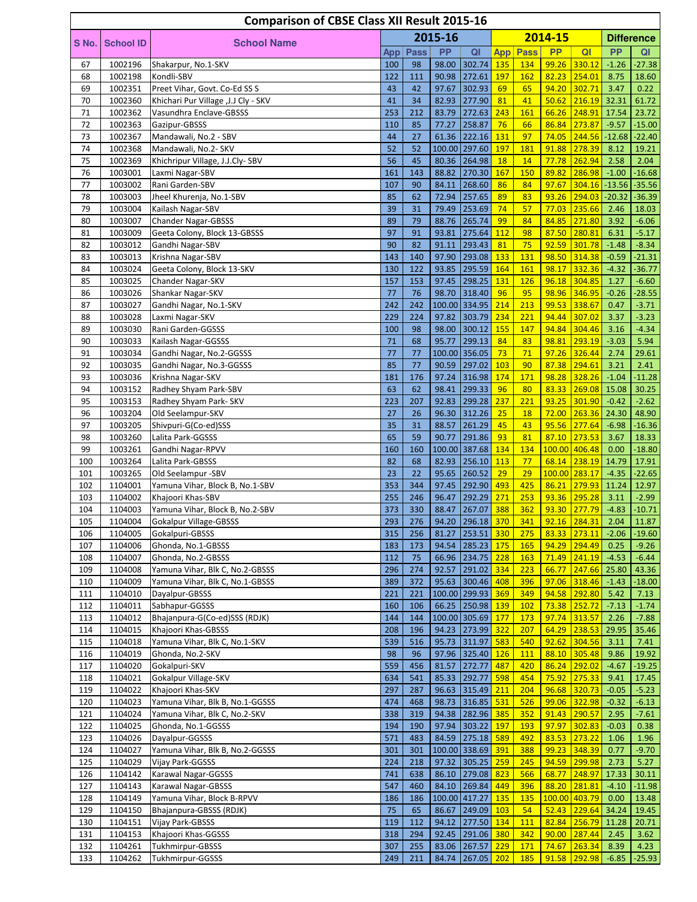|            |                    | <b>Comparison of CBSE Class XII Result 2015-16</b>         |            |             |                |                                 |            |                   |                 |                  |                  |                     |
|------------|--------------------|------------------------------------------------------------|------------|-------------|----------------|---------------------------------|------------|-------------------|-----------------|------------------|------------------|---------------------|
| S No.      | <b>School ID</b>   |                                                            |            |             | 2015-16        |                                 |            |                   | 2014-15         |                  |                  | <b>Difference</b>   |
|            |                    | <b>School Name</b>                                         | App        | <b>Pass</b> | <b>PP</b>      | QI                              | <b>App</b> | Pass              | <b>PP</b>       | QI               | <b>PP</b>        | QI                  |
| 67         | 1002196            | Shakarpur, No.1-SKV                                        | 100        | 98          | 98.00          | 302.74                          | 135        | 134               | 99.26           | 330.12           | $-1.26$          | $-27.38$            |
| 68         | 1002198            | Kondli-SBV                                                 | 122        | 111         | 90.98          | 272.61                          | 197        | 162               | 82.23           | 254.01           | 8.75             | 18.60               |
| 69         | 1002351            | Preet Vihar, Govt. Co-Ed SS S                              | 43         | 42          | 97.67          | 302.93                          | 69         | 65                | 94.20           | 302.71           | 3.47             | 0.22                |
| 70         | 1002360            | Khichari Pur Village , J.J Cly - SKV                       | 41         | 34<br>212   | 82.93          | 277.90                          | 81         | 41                | 50.62           | 216.19           | 32.31            | 61.72               |
| 71<br>72   | 1002362<br>1002363 | Vasundhra Enclave-GBSSS<br>Gazipur-GBSSS                   | 253<br>110 | 85          | 83.79<br>77.27 | 272.63<br>258.87                | 243<br>76  | 161<br>66         | 66.26<br>86.84  | 248.91<br>273.87 | 17.54<br>$-9.57$ | 23.72<br>$-15.00$   |
| 73         | 1002367            | Mandawali, No.2 - SBV                                      | 44         | 27          | 61.36          | 222.16                          | 131        | 97                | 74.05           | 244.56           | $-12.68$         | $-22.40$            |
| 74         | 1002368            | Mandawali, No.2- SKV                                       | 52         | 52          |                | 100.00 297.60                   | <b>197</b> | 181               | 91.88           | 278.39           | 8.12             | 19.21               |
| 75         | 1002369            | Khichripur Village, J.J.Cly-SBV                            | 56         | 45          | 80.36          | 264.98                          | 18         | 14                | 77.78           | 262.94           | 2.58             | 2.04                |
| 76         | 1003001            | Laxmi Nagar-SBV                                            | 161        | 143         | 88.82          | 270.30                          | 167        | 150               | 89.82           | 286.98           | $-1.00$          | $-16.68$            |
| 77         | 1003002            | Rani Garden-SBV                                            | 107        | 90          | 84.11          | 268.60                          | 86         | 84                | 97.67           | 304.16           | $-13.56$         | $-35.56$            |
| 78         | 1003003            | Jheel Khurenja, No.1-SBV                                   | 85         | 62          | 72.94          | 257.65                          | 89         | 83                | 93.26           | 294.03           | $-20.32$         | $-36.39$            |
| 79         | 1003004            | Kailash Nagar-SBV                                          | 39         | 31          | 79.49          | 253.69                          | 74<br>99   | 57                | 77.03           | 235.66           | 2.46             | 18.03               |
| 80<br>81   | 1003007<br>1003009 | <b>Chander Nagar-GBSSS</b><br>Geeta Colony, Block 13-GBSSS | 89<br>97   | 79<br>91    | 88.76<br>93.81 | 265.74<br>275.64                | 112        | 84<br>98          | 84.85<br>87.50  | 271.80<br>280.81 | 3.92<br>6.31     | $-6.06$<br>$-5.17$  |
| 82         | 1003012            | Gandhi Nagar-SBV                                           | 90         | 82          | 91.11          | 293.43                          | 81         | 75                | 92.59           | 301.78           | $-1.48$          | $-8.34$             |
| 83         | 1003013            | Krishna Nagar-SBV                                          | 143        | 140         | 97.90          | 293.08                          | 133        | 131               | 98.50           | 314.38           | $-0.59$          | $-21.31$            |
| 84         | 1003024            | Geeta Colony, Block 13-SKV                                 | 130        | 122         | 93.85          | 295.59                          | 164        | 161               | 98.17           | 332.36           | $-4.32$          | $-36.77$            |
| 85         | 1003025            | Chander Nagar-SKV                                          | 157        | 153         | 97.45          | 298.25                          | 131        | 126               | 96.18           | 304.85           | 1.27             | $-6.60$             |
| 86         | 1003026            | Shankar Nagar-SKV                                          | 77         | 76          |                | 98.70 318.40                    | 96         | 95                | 98.96           | 346.95           | $-0.26$          | $-28.55$            |
| 87         | 1003027            | Gandhi Nagar, No.1-SKV                                     | 242        | 242         |                | 100.00 334.95                   | 214        | 213               | 99.53           | 338.67           | 0.47             | $-3.71$             |
| 88         | 1003028            | Laxmi Nagar-SKV                                            | 229        | 224         | 97.82          | 303.79                          | 234        | 221               | 94.44           | 307.02           | 3.37             | $-3.23$             |
| 89<br>90   | 1003030<br>1003033 | Rani Garden-GGSSS<br>Kailash Nagar-GGSSS                   | 100<br>71  | 98<br>68    | 98.00<br>95.77 | 300.12<br>299.13                | 155<br>84  | 147<br>83         | 94.84<br>98.81  | 304.46<br>293.19 | 3.16<br>$-3.03$  | $-4.34$<br>5.94     |
| 91         | 1003034            | Gandhi Nagar, No.2-GGSSS                                   | 77         | 77          |                | 100.00 356.05                   | 73         | 71                | 97.26           | 326.44           | 2.74             | 29.61               |
| 92         | 1003035            | Gandhi Nagar, No.3-GGSSS                                   | 85         | 77          | 90.59          | 297.02                          | 103        | 90                | 87.38           | 294.61           | 3.21             | 2.41                |
| 93         | 1003036            | Krishna Nagar-SKV                                          | 181        | 176         | 97.24          | 316.98                          | 174        | 171               | 98.28           | 328.26           | $-1.04$          | $-11.28$            |
| 94         | 1003152            | Radhey Shyam Park-SBV                                      | 63         | 62          | 98.41          | 299.33                          | 96         | 80                | 83.33           | 269.08           | 15.08            | 30.25               |
| 95         | 1003153            | Radhey Shyam Park- SKV                                     | 223        | 207         | 92.83          | 299.28                          | 237        | 221               | 93.25           | 301.90           | $-0.42$          | $-2.62$             |
| 96         | 1003204            | Old Seelampur-SKV                                          | 27         | 26          | 96.30          | 312.26                          | 25         | <b>18</b>         | 72.00           | 263.36           | 24.30            | 48.90               |
| 97         | 1003205            | Shivpuri-G(Co-ed)SSS                                       | 35         | 31          | 88.57          | 261.29                          | 45         | 43                | 95.56           | 277.64           | $-6.98$          | $-16.36$            |
| 98<br>99   | 1003260<br>1003261 | Lalita Park-GGSSS<br>Gandhi Nagar-RPVV                     | 65<br>160  | 59<br>160   | 90.77          | 291.86<br>100.00 387.68         | 93<br>134  | 81<br>134         | 87.10<br>100.00 | 273.53<br>406.48 | 3.67<br>0.00     | 18.33<br>$-18.80$   |
| 100        | 1003264            | Lalita Park-GBSSS                                          | 82         | 68          | 82.93          | 256.10                          | 113        | 77                | 68.14           | 238.19           | 14.79            | 17.91               |
| 101        | 1003265            | Old Seelampur -SBV                                         | 23         | 22          | 95.65          | 260.52                          | 29         | 29                |                 | 100.00 283.17    | $-4.35$          | $-22.65$            |
| 102        | 1104001            | Yamuna Vihar, Block B, No.1-SBV                            | 353        | 344         | 97.45          | 292.90 493                      |            | 425               | 86.21           | 279.93           | 11.24            | 12.97               |
| 103        | 1104002            | Khajoori Khas-SBV                                          | 255        | 246         | 96.47          | 292.29                          | 271        | 253               | 93.36           | 295.28           | 3.11             | $-2.99$             |
| 104        | 1104003            | Yamuna Vihar, Block B, No.2-SBV                            | 373        | 330         | 88.47          | 267.07                          | 388        | 362               | 93.30           | 277.79           | $-4.83$          | $-10.71$            |
| 105        | 1104004            | <b>Gokalpur Village-GBSSS</b>                              | 293        | 276         |                | 94.20 296.18 370                |            | 341               |                 | 92.16 284.31     | 2.04             | 11.87               |
| 106        | 1104005<br>1104006 | Gokalpuri-GBSSS<br>Ghonda, No.1-GBSSS                      | 315<br>183 | 256<br>173  | 94.54          | 81.27 253.51 330<br> 285.23 175 |            | 275<br>165        | 83.33<br>94.29  | 273.11<br>294.49 | $-2.06$          | $-19.60$<br>$-9.26$ |
| 107<br>108 | 1104007            | Ghonda, No.2-GBSSS                                         | 112        | 75          |                | 66.96 234.75 228                |            | 163               | 71.49           | 241.19           | 0.25<br>$-4.53$  | $-6.44$             |
| 109        | 1104008            | Yamuna Vihar, Blk C, No.2-GBSSS                            | 296        | 274         | 92.57          | 291.02                          | 334        | 223               | 66.77           | 247.66           | 25.80            | 43.36               |
| 110        | 1104009            | Yamuna Vihar, Blk C, No.1-GBSSS                            | 389        | 372         |                | 95.63 300.46                    | 408        | 396               | 97.06           | 318.46           | $-1.43$          | $-18.00$            |
| 111        | 1104010            | Dayalpur-GBSSS                                             | 221        | 221         |                | 100.00 299.93 369               |            | 349               | 94.58           | 292.80           | 5.42             | 7.13                |
| 112        | 1104011            | Sabhapur-GGSSS                                             | 160        | 106         |                | 66.25 250.98 139                |            | 102               | 73.38           | 252.72           | $-7.13$          | $-1.74$             |
| 113        | 1104012            | Bhajanpura-G(Co-ed)SSS (RDJK)                              | 144        | 144         |                | 100.00 305.69 177               |            | <b>173</b>        | 97.74           | 313.57           | 2.26             | $-7.88$             |
| 114        | 1104015            | Khajoori Khas-GBSSS                                        | 208        | 196         |                | 94.23 273.99 322                |            | 207               |                 | $64.29$ 238.53   | 29.95            | 35.46               |
| 115        | 1104018            | Yamuna Vihar, Blk C, No.1-SKV                              | 539        | 516         |                | 95.73 311.97                    | 583        | 540               | 92.62           | 304.56           | 3.11             | 7.41                |
| 116<br>117 | 1104019<br>1104020 | Ghonda, No.2-SKV<br>Gokalpuri-SKV                          | 98<br>559  | 96<br>456   | 81.57          | 97.96 325.40 126<br>272.77      | 487        | <b>111</b><br>420 | 88.10<br>86.24  | 305.48<br>292.02 | 9.86<br>$-4.67$  | 19.92<br>$-19.25$   |
| 118        | 1104021            | Gokalpur Village-SKV                                       | 634        | 541         | 85.33          | 292.77                          | 598        | 454               | 75.92           | 275.33           | 9.41             | 17.45               |
| 119        | 1104022            | Khajoori Khas-SKV                                          | 297        | 287         | 96.63          | $315.49$ 211                    |            | 204               | 96.68           | 320.73           | $-0.05$          | $-5.23$             |
| 120        | 1104023            | Yamuna Vihar, Blk B, No.1-GGSSS                            | 474        | 468         | 98.73          | $316.85$ 531                    |            | 526               | 99.06           | 322.98           | $-0.32$          | $-6.13$             |
| 121        | 1104024            | Yamuna Vihar, Blk C, No.2-SKV                              | 338        | 319         | 94.38          | 282.96 385                      |            | 352               | 91.43           | 290.57           | 2.95             | $-7.61$             |
| 122        | 1104025            | Ghonda, No.1-GGSSS                                         | 194        | 190         | 97.94          | 303.22                          | 197        | 193               | 97.97           | 302.83           | $-0.03$          | 0.38                |
| 123        | 1104026            | Dayalpur-GGSSS                                             | 571        | 483         |                | 84.59 275.18 589                |            | 492               | 83.53           | 273.22           | 1.06             | 1.96                |
| 124        | 1104027<br>1104029 | Yamuna Vihar, Blk B, No.2-GGSSS<br>Vijay Park-GGSSS        | 301<br>224 | 301         |                | 100.00 338.69 391               |            | 388               | 99.23           | 348.39<br>299.98 | 0.77             | $-9.70$<br>5.27     |
| 125<br>126 | 1104142            | Karawal Nagar-GGSSS                                        | 741        | 218<br>638  | 97.32<br>86.10 | 305.25<br>$279.08$ 823          | 259        | 245<br>566        | 94.59<br>68.77  | 248.97           | 2.73<br>17.33    | 30.11               |
| 127        | 1104143            | Karawal Nagar-GBSSS                                        | 547        | 460         |                | 84.10 269.84                    | 449        | 396               | 88.20           | 281.81           | $-4.10$          | $-11.98$            |
| 128        | 1104149            | Yamuna Vihar, Block B-RPVV                                 | 186        | 186         |                | 100.00 417.27                   | 135        | <b>135</b>        |                 | 100.00 403.79    | 0.00             | 13.48               |
| 129        | 1104150            | Bhajanpura-GBSSS (RDJK)                                    | 75         | 65          | 86.67          | 249.09 103                      |            | 54                | 52.43           | 229.64           | 34.24            | 19.45               |
| 130        | 1104151            | Vijay Park-GBSSS                                           | 119        | 112         |                | 94.12 277.50 134                |            | <b>111</b>        | 82.84           | 256.79           | 11.28            | 20.71               |
| 131        | 1104153            | Khajoori Khas-GGSSS                                        | 318        | 294         |                | 92.45 291.06 380                |            | 342               | 90.00           | 287.44           | 2.45             | 3.62                |
| 132        | 1104261            | Tukhmirpur-GBSSS                                           | 307        | 255         |                | 83.06 267.57                    | 229        | 171               | 74.67           | 263.34           | 8.39             | 4.23                |
| 133        | 1104262            | Tukhmirpur-GGSSS                                           | 249        | 211         |                | 84.74 267.05 202                |            | 185               |                 | 91.58 292.98     | $-6.85$          | $-25.93$            |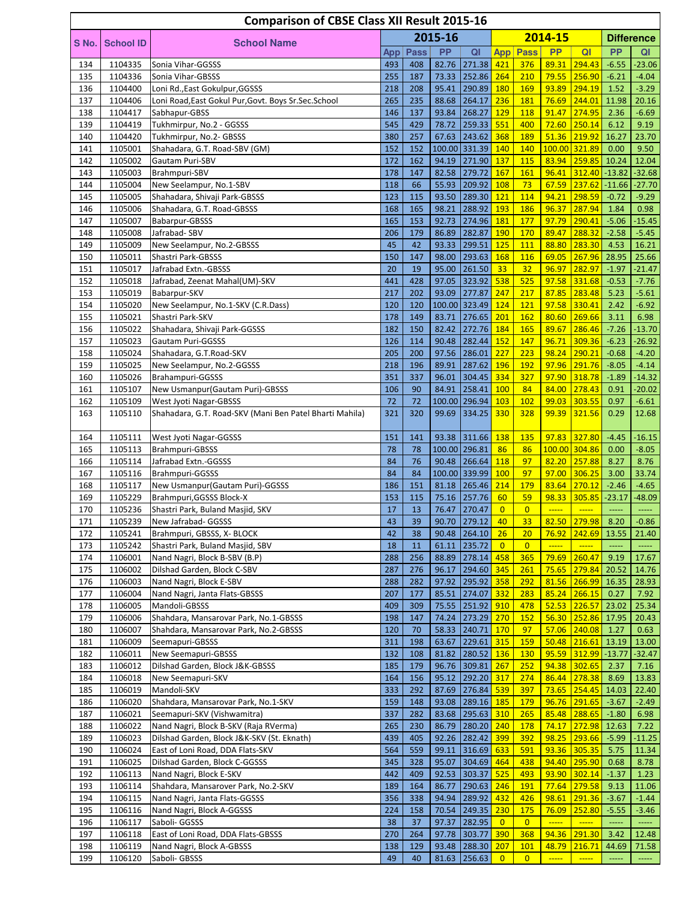|            |                    | <b>Comparison of CBSE Class XII Result 2015-16</b>                 |            |             |                |                              |                      |                   |                |                             |                      |                                                        |
|------------|--------------------|--------------------------------------------------------------------|------------|-------------|----------------|------------------------------|----------------------|-------------------|----------------|-----------------------------|----------------------|--------------------------------------------------------|
|            |                    |                                                                    |            |             | 2015-16        |                              |                      |                   | 2014-15        |                             |                      | <b>Difference</b>                                      |
| S No.      | <b>School ID</b>   | <b>School Name</b>                                                 | App        | <b>Pass</b> | <b>PP</b>      | QI                           | <b>App</b>           | Pass              | <b>PP</b>      | QI                          | <b>PP</b>            | QI                                                     |
| 134        | 1104335            | Sonia Vihar-GGSSS                                                  | 493        | 408         | 82.76          | $271.38$ 421                 |                      | 376               | 89.31          | 294.43                      | $-6.55$              | $-23.06$                                               |
| 135        | 1104336            | Sonia Vihar-GBSSS                                                  | 255        | 187         | 73.33          | $252.86$ 264                 |                      | 210               | 79.55          | 256.90                      | $-6.21$              | $-4.04$                                                |
| 136        | 1104400            | Loni Rd., East Gokulpur, GGSSS                                     | 218        | 208         | 95.41          | 290.89                       | <b>180</b>           | 169               | 93.89          | 294.19                      | 1.52                 | $-3.29$                                                |
| 137        | 1104406            | Loni Road, East Gokul Pur, Govt. Boys Sr. Sec. School              | 265        | 235         | 88.68          | 264.17                       | 236                  | 181               | 76.69          | 244.01                      | 11.98                | 20.16                                                  |
| 138        | 1104417            | Sabhapur-GBSS                                                      | 146        | 137         | 93.84          | 268.27                       | 129                  | 118               | 91.47          | 274.95                      | 2.36                 | $-6.69$                                                |
| 139        | 1104419            | Tukhmirpur, No.2 - GGSSS                                           | 545        | 429         | 78.72          | 259.33                       | 551                  | 400               | 72.60          | 250.14                      | 6.12                 | 9.19                                                   |
| 140        | 1104420            | Tukhmirpur, No.2- GBSSS                                            | 380        | 257         | 67.63          | 243.62                       | 368                  | 189               | 51.36          | 219.92                      | 16.27                | 23.70                                                  |
| 141        | 1105001            | Shahadara, G.T. Road-SBV (GM)                                      | 152        | 152         |                | 100.00 331.39 140            |                      | 140               |                | 100.00 321.89               | 0.00                 | 9.50                                                   |
| 142        | 1105002            | Gautam Puri-SBV                                                    | 172        | 162         | 94.19          | 271.90 137                   |                      | 115               | 83.94          | 259.85<br>312.40            | 10.24                | 12.04                                                  |
| 143<br>144 | 1105003<br>1105004 | Brahmpuri-SBV                                                      | 178<br>118 | 147<br>66   | 82.58<br>55.93 | 279.72<br>209.92             | 167<br>108           | 161<br>73         | 96.41<br>67.59 | 237.62                      | $-13.82$<br>$-11.66$ | $-32.68$<br>$-27.70$                                   |
| 145        | 1105005            | New Seelampur, No.1-SBV<br>Shahadara, Shivaji Park-GBSSS           | 123        | 115         | 93.50          | 289.30 121                   |                      | 114               | 94.21          | 298.59                      | $-0.72$              | $-9.29$                                                |
| 146        | 1105006            | Shahadara, G.T. Road-GBSSS                                         | 168        | 165         | 98.21          | 288.92                       | 193                  | 186               | 96.37          | 287.94                      | 1.84                 | 0.98                                                   |
| 147        | 1105007            | Babarpur-GBSSS                                                     | 165        | 153         | 92.73          | 274.96                       | 181                  | <b>177</b>        | 97.79          | 290.41                      | $-5.06$              | $-15.45$                                               |
| 148        | 1105008            | Jafrabad- SBV                                                      | 206        | 179         | 86.89          | 282.87                       | 190                  | 170               | 89.47          | 288.32                      | $-2.58$              | $-5.45$                                                |
| 149        | 1105009            | New Seelampur, No.2-GBSSS                                          | 45         | 42          | 93.33          | 299.51                       | 125                  | 111               | 88.80          | 283.30                      | 4.53                 | 16.21                                                  |
| 150        | 1105011            | Shastri Park-GBSSS                                                 | 150        | 147         | 98.00          | 293.63 168                   |                      | 116               | 69.05          | 267.96                      | 28.95                | 25.66                                                  |
| 151        | 1105017            | Jafrabad Extn.-GBSSS                                               | 20         | 19          | 95.00          | 261.50                       | 33                   | 32                | 96.97          | 282.97                      | $-1.97$              | $-21.47$                                               |
| 152        | 1105018            | Jafrabad, Zeenat Mahal(UM)-SKV                                     | 441        | 428         | 97.05          | 323.92                       | 538                  | 525               | 97.58          | 331.68                      | $-0.53$              | $-7.76$                                                |
| 153        | 1105019            | Babarpur-SKV                                                       | 217        | 202         | 93.09          | 277.87                       | 247                  | 217               | 87.85          | 283.48                      | 5.23                 | $-5.61$                                                |
| 154        | 1105020            | New Seelampur, No.1-SKV (C.R.Dass)                                 | 120        | 120         |                | 100.00 323.49                | 124                  | 121               | 97.58          | 330.41                      | 2.42                 | $-6.92$                                                |
| 155        | 1105021            | Shastri Park-SKV                                                   | 178        | 149         | 83.71          | 276.65                       | 201                  | 162               | 80.60          | 269.66                      | 3.11                 | 6.98                                                   |
| 156        | 1105022            | Shahadara, Shivaji Park-GGSSS                                      | 182        | 150         | 82.42          | 272.76                       | 184                  | 165               | 89.67          | 286.46                      | $-7.26$              | $-13.70$                                               |
| 157        | 1105023            | Gautam Puri-GGSSS                                                  | 126        | 114         | 90.48          | 282.44                       | 152                  | 147               | 96.71          | 309.36                      | $-6.23$              | $-26.92$                                               |
| 158<br>159 | 1105024            | Shahadara, G.T.Road-SKV                                            | 205<br>218 | 200         | 97.56          | 286.01<br>287.62             | 227<br>196           | 223<br>192        | 98.24<br>97.96 | 290.21<br>291.76            | $-0.68$<br>$-8.05$   | $-4.20$<br>$-4.14$                                     |
| 160        | 1105025<br>1105026 | New Seelampur, No.2-GGSSS<br>Brahampuri-GGSSS                      | 351        | 196<br>337  | 89.91<br>96.01 | 304.45                       | 334                  | 327               | 97.90          | 318.78                      | $-1.89$              | $-14.32$                                               |
| 161        | 1105107            | New Usmanpur (Gautam Puri)-GBSSS                                   | 106        | 90          | 84.91          | 258.41                       | <b>100</b>           | 84                | 84.00          | 278.43                      | 0.91                 | $-20.02$                                               |
| 162        | 1105109            | West Jyoti Nagar-GBSSS                                             | 72         | 72          |                | 100.00 296.94                | 103                  | 102               | 99.03          | 303.55                      | 0.97                 | $-6.61$                                                |
| 163        | 1105110            | Shahadara, G.T. Road-SKV (Mani Ben Patel Bharti Mahila)            | 321        | 320         | 99.69          | 334.25                       | 330                  | 328               | 99.39          | 321.56                      | 0.29                 | 12.68                                                  |
|            |                    |                                                                    |            |             |                |                              |                      |                   |                |                             |                      |                                                        |
| 164        | 1105111            | West Jyoti Nagar-GGSSS                                             | 151        | 141         |                | 93.38 311.66 138             |                      | 135               | 97.83          | 327.80                      | $-4.45$              | $-16.15$                                               |
| 165        | 1105113            | Brahmpuri-GBSSS                                                    | 78         | 78          |                | 100.00 296.81                | 86                   | 86                |                | 100.00 304.86               | 0.00                 | $-8.05$                                                |
| 166        | 1105114            | Jafrabad Extn.-GGSSS                                               | 84         | 76          | 90.48          | 266.64                       | 118                  | 97                | 82.20          | 257.88                      | 8.27                 | 8.76                                                   |
| 167        | 1105116            | Brahmpuri-GGSSS                                                    | 84         | 84          |                | 100.00 339.99                | 100                  | 97                | 97.00          | 306.25                      | 3.00                 | 33.74                                                  |
| 168        | 1105117            | New Usmanpur (Gautam Puri)-GGSSS                                   | 186        | 151         |                | 81.18 265.46                 | 214                  | 179               | 83.64          | 270.12                      | $-2.46$              | $-4.65$                                                |
| 169        | 1105229            | Brahmpuri, GGSSS Block-X                                           | 153        | 115         |                | 75.16 257.76                 | 60                   | 59                | 98.33          | 305.85                      | $-23.17$             | $-48.09$                                               |
| 170        | 1105236            | Shastri Park, Buland Masjid, SKV                                   | 17<br>43   | 13<br>39    |                | 76.47 270.47<br>90.70 279.12 | $\overline{0}$<br>40 | $\overline{0}$    | $\frac{1}{2}$  | $\frac{1}{2}$               |                      | <b>_____</b>                                           |
| 171<br>172 | 1105239<br>1105241 | New Jafrabad- GGSSS<br>Brahmpuri, GBSSS, X- BLOCK                  | 42         | 38          |                | 90.48 264.10                 | 26                   | 33<br>20          | 76.92          | 82.50 279.98 8.20<br>242.69 | 13.55                | $-0.86$<br>21.40                                       |
| 173        | 1105242            | Shastri Park, Buland Masjid, SBV                                   | 18         | 11          | 61.11          | 235.72                       | $\overline{0}$       | $\overline{0}$    | -----          | $\frac{1}{2}$               | -----                |                                                        |
| 174        | 1106001            | Nand Nagri, Block B-SBV (B.P)                                      | 288        | 256         | 88.89          | $278.14$ 458                 |                      | 365               | 79.69          | 260.47                      | 9.19                 | 17.67                                                  |
| 175        | 1106002            | Dilshad Garden, Block C-SBV                                        | 287        | 276         | 96.17          | 294.60 345                   |                      | 261               | 75.65          | 279.84                      | 20.52                | 14.76                                                  |
| 176        | 1106003            | Nand Nagri, Block E-SBV                                            | 288        | 282         | 97.92          | 295.92                       | 358                  | 292               | 81.56          | 266.99                      | 16.35                | 28.93                                                  |
| 177        | 1106004            | Nand Nagri, Janta Flats-GBSSS                                      | 207        | 177         | 85.51          | 274.07                       | 332                  | 283               | 85.24          | 266.15                      | 0.27                 | 7.92                                                   |
| 178        | 1106005            | Mandoli-GBSSS                                                      | 409        | 309         | 75.55          | 251.92                       | 910                  | 478               | 52.53          | 226.57                      | 23.02                | 25.34                                                  |
| 179        | 1106006            | Shahdara, Mansarovar Park, No.1-GBSSS                              | 198        | 147         | 74.24          | 273.29 270                   |                      | <b>152</b>        | 56.30          | 252.86                      | 17.95                | 20.43                                                  |
| 180        | 1106007            | Shahdara, Mansarovar Park, No.2-GBSSS                              | 120        | 70          |                | 58.33 240.71                 | <b>170</b>           | 97                | 57.06          | 240.08                      | 1.27                 | 0.63                                                   |
| 181        | 1106009            | Seemapuri-GBSSS                                                    | 311        | 198         | 63.67          | 229.61                       | 315                  | 159               | 50.48          | 216.61                      | 13.19                | 13.00                                                  |
| 182        | 1106011            | New Seemapuri-GBSSS                                                | 132        | 108         | 81.82          | 280.52                       | 136                  | <b>130</b>        | 95.59          | 312.99                      | $-13.77$             | $-32.47$                                               |
| 183        | 1106012            | Dilshad Garden, Block J&K-GBSSS                                    | 185        | 179         | 96.76          | 309.81                       | 267                  | 252               | 94.38          | 302.65                      | 2.37                 | 7.16                                                   |
| 184        | 1106018            | New Seemapuri-SKV                                                  | 164        | 156         | 95.12          | 292.20                       | 317                  | 274               | 86.44          | 278.38                      | 8.69                 | 13.83                                                  |
| 185        | 1106019            | Mandoli-SKV                                                        | 333        | 292         | 87.69          | 276.84                       | 539                  | 397               | 73.65<br>96.76 | 254.45                      | 14.03                | 22.40                                                  |
| 186<br>187 | 1106020<br>1106021 | Shahdara, Mansarovar Park, No.1-SKV<br>Seemapuri-SKV (Vishwamitra) | 159<br>337 | 148<br>282  | 93.08<br>83.68 | 289.16 185<br>295.63 310     |                      | <b>179</b><br>265 | 85.48          | 291.65<br>288.65            | $-3.67$              | $-2.49$<br>6.98                                        |
| 188        | 1106022            | Nand Nagri, Block B-SKV (Raja RVerma)                              | 265        | 230         | 86.79          | 280.20 240                   |                      | <b>178</b>        | 74.17          | 272.98                      | $-1.80$<br>12.63     | 7.22                                                   |
| 189        | 1106023            | Dilshad Garden, Block J&K-SKV (St. Eknath)                         | 439        | 405         | 92.26          | 282.42                       | 399                  | 392               | 98.25          | 293.66                      | $-5.99$              | $-11.25$                                               |
| 190        | 1106024            | East of Loni Road, DDA Flats-SKV                                   | 564        | 559         | 99.11          | 316.69                       | 633                  | 591               | 93.36          | 305.35                      | 5.75                 | 11.34                                                  |
| 191        | 1106025            | Dilshad Garden, Block C-GGSSS                                      | 345        | 328         | 95.07          | 304.69                       | 464                  | 438               | 94.40          | 295.90                      | 0.68                 | 8.78                                                   |
| 192        | 1106113            | Nand Nagri, Block E-SKV                                            | 442        | 409         | 92.53          | 303.37                       | 525                  | 493               | 93.90          | 302.14                      | $-1.37$              | 1.23                                                   |
| 193        | 1106114            | Shahdara, Mansarover Park, No.2-SKV                                | 189        | 164         | 86.77          | 290.63                       | 246                  | <b>191</b>        | 77.64          | 279.58                      | 9.13                 | 11.06                                                  |
| 194        | 1106115            | Nand Nagri, Janta Flats-GGSSS                                      | 356        | 338         | 94.94          | 289.92                       | 432                  | 426               | 98.61          | 291.36                      | $-3.67$              | $-1.44$                                                |
| 195        | 1106116            | Nand Nagri, Block A-GGSSS                                          | 224        | 158         | 70.54          | 249.35 230                   |                      | 175               | 76.09          | 252.80                      | $-5.55$              | $-3.46$                                                |
| 196        | 1106117            | Saboli- GGSSS                                                      | 38         | 37          | 97.37          | 282.95                       | $\overline{0}$       | $\overline{0}$    | $\frac{1}{2}$  | $\frac{1}{2}$               | $\cdots$             | $\cdots$                                               |
| 197        | 1106118            | East of Loni Road, DDA Flats-GBSSS                                 | 270        | 264         |                | 97.78 303.77 390             |                      | 368               | 94.36          | 291.30                      | 3.42                 | 12.48                                                  |
| 198        | 1106119            | Nand Nagri, Block A-GBSSS                                          | 138        | 129         |                | 93.48 288.30 207             |                      | 101               | 48.79          | 216.71                      | 44.69                | 71.58                                                  |
| 199        | 1106120            | Saboli- GBSSS                                                      | 49         | 40          |                | 81.63 256.63                 | $\overline{0}$       | $\overline{0}$    | $\frac{1}{2}$  | $\frac{1}{2}$               | 111111               | $\begin{array}{ccc} \texttt{} & \texttt{} \end{array}$ |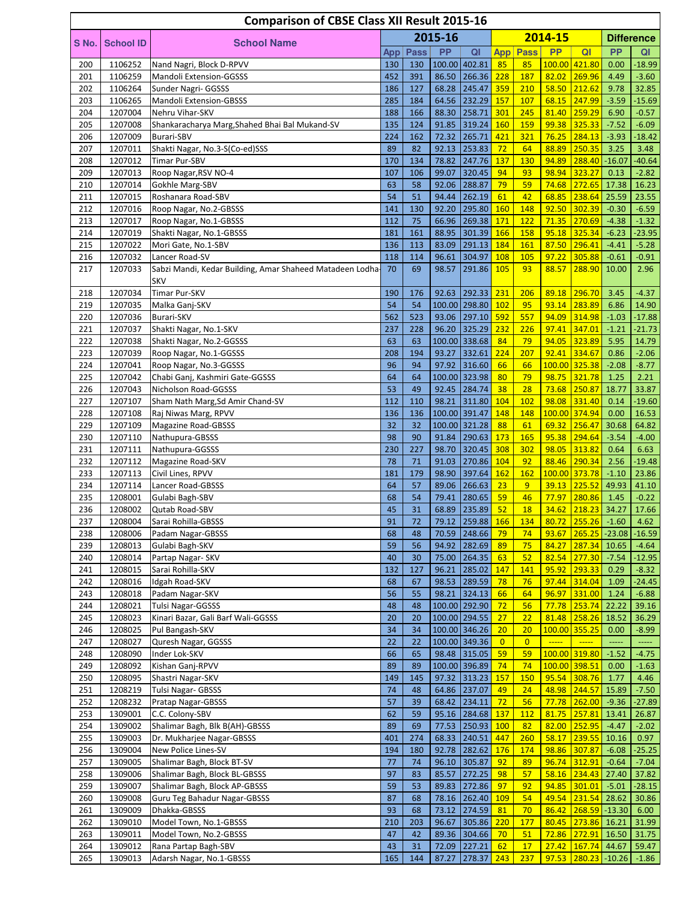|            |                    | <b>Comparison of CBSE Class XII Result 2015-16</b>        |            |             |                |                               |                |                 |                |                                                                                                   |                    |                     |
|------------|--------------------|-----------------------------------------------------------|------------|-------------|----------------|-------------------------------|----------------|-----------------|----------------|---------------------------------------------------------------------------------------------------|--------------------|---------------------|
| S No.      | <b>School ID</b>   | <b>School Name</b>                                        |            |             | 2015-16        |                               |                |                 | 2014-15        |                                                                                                   |                    | <b>Difference</b>   |
|            |                    |                                                           | App        | <b>Pass</b> | PP             | QI                            |                | <b>App Pass</b> | <b>PP</b>      | Q <sub>l</sub>                                                                                    | <b>PP</b>          | QI                  |
| 200        | 1106252            | Nand Nagri, Block D-RPVV                                  | 130        | 130         |                | 100.00 402.81                 | 85             | 85              |                | 100.00 421.80                                                                                     | 0.00               | $-18.99$            |
| 201        | 1106259            | Mandoli Extension-GGSSS                                   | 452        | 391         |                | 86.50 266.36                  | 228            | 187             | 82.02          | 269.96                                                                                            | 4.49               | $-3.60$             |
| 202        | 1106264            | Sunder Nagri- GGSSS                                       | 186        | 127         | 68.28          | 245.47                        | 359            | 210             | 58.50          | 212.62                                                                                            | 9.78               | 32.85               |
| 203<br>204 | 1106265<br>1207004 | Mandoli Extension-GBSSS<br>Nehru Vihar-SKV                | 285<br>188 | 184<br>166  | 64.56<br>88.30 | 232.29<br>258.71              | 157<br>301     | 107<br>245      | 68.15<br>81.40 | 247.99<br>259.29                                                                                  | $-3.59$<br>6.90    | $-15.69$<br>$-0.57$ |
| 205        | 1207008            | Shankaracharya Marg, Shahed Bhai Bal Mukand-SV            | 135        | 124         | 91.85          | 319.24                        | 160            | 159             | 99.38          | 325.33                                                                                            | $-7.52$            | $-6.09$             |
| 206        | 1207009            | Burari-SBV                                                | 224        | 162         | 72.32          | 265.71                        | 421            | 321             | 76.25          | 284.13                                                                                            | $-3.93$            | $-18.42$            |
| 207        | 1207011            | Shakti Nagar, No.3-S(Co-ed)SSS                            | 89         | 82          | 92.13          | 253.83                        | 72             | 64              | 88.89          | 250.35                                                                                            | 3.25               | 3.48                |
| 208        | 1207012            | Timar Pur-SBV                                             | 170        | 134         | 78.82          | 247.76                        | 137            | 130             | 94.89          | 288.40                                                                                            | $-16.07$           | $-40.64$            |
| 209        | 1207013            | Roop Nagar, RSV NO-4                                      | 107        | 106         | 99.07          | 320.45                        | 94             | 93              | 98.94          | 323.27                                                                                            | 0.13               | $-2.82$             |
| 210        | 1207014            | Gokhle Marg-SBV                                           | 63         | 58          | 92.06          | 288.87                        | 79             | 59              | 74.68          | 272.65                                                                                            | 17.38              | 16.23               |
| 211        | 1207015            | Roshanara Road-SBV                                        | 54         | 51          | 94.44          | 262.19                        | 61             | 42              | 68.85          | 238.64                                                                                            | 25.59              | 23.55               |
| 212<br>213 | 1207016<br>1207017 | Roop Nagar, No.2-GBSSS<br>Roop Nagar, No.1-GBSSS          | 141<br>112 | 130<br>75   | 92.20<br>66.96 | 295.80<br>269.38              | 160<br>171     | 148<br>122      | 92.50<br>71.35 | 302.39<br>270.69                                                                                  | $-0.30$<br>$-4.38$ | $-6.59$<br>$-1.32$  |
| 214        | 1207019            | Shakti Nagar, No.1-GBSSS                                  | 181        | 161         | 88.95          | 301.39                        | 166            | 158             | 95.18          | 325.34                                                                                            | $-6.23$            | $-23.95$            |
| 215        | 1207022            | Mori Gate, No.1-SBV                                       | 136        | 113         | 83.09          | 291.13                        | 184            | 161             | 87.50          | 296.41                                                                                            | $-4.41$            | $-5.28$             |
| 216        | 1207032            | Lancer Road-SV                                            | 118        | 114         | 96.61          | 304.97                        | 108            | 105             | 97.22          | 305.88                                                                                            | $-0.61$            | $-0.91$             |
| 217        | 1207033            | Sabzi Mandi, Kedar Building, Amar Shaheed Matadeen Lodha- | 70         | 69          | 98.57          | 291.86 105                    |                | 93              | 88.57          | 288.90                                                                                            | 10.00              | 2.96                |
|            |                    | SKV                                                       |            |             |                |                               |                |                 |                |                                                                                                   |                    |                     |
| 218        | 1207034            | Timar Pur-SKV                                             | 190        | 176         | 92.63          | 292.33 231                    |                | 206             | 89.18          | 296.70                                                                                            | 3.45               | $-4.37$             |
| 219        | 1207035            | Malka Ganj-SKV                                            | 54         | 54          |                | 100.00 298.80 102             |                | 95              | 93.14          | 283.89                                                                                            | 6.86               | 14.90               |
| 220        | 1207036            | Burari-SKV                                                | 562        | 523         |                | 93.06 297.10                  | 592            | 557             | 94.09          | 314.98                                                                                            | $-1.03$            | $-17.88$            |
| 221<br>222 | 1207037<br>1207038 | Shakti Nagar, No.1-SKV<br>Shakti Nagar, No.2-GGSSS        | 237<br>63  | 228<br>63   |                | 96.20 325.29<br>100.00 338.68 | 232<br>84      | 226<br>79       | 97.41<br>94.05 | 347.01<br>323.89                                                                                  | $-1.21$<br>5.95    | $-21.73$<br>14.79   |
| 223        | 1207039            | Roop Nagar, No.1-GGSSS                                    | 208        | 194         | 93.27          | 332.61                        | 224            | 207             | 92.41          | 334.67                                                                                            | 0.86               | $-2.06$             |
| 224        | 1207041            | Roop Nagar, No.3-GGSSS                                    | 96         | 94          | 97.92          | 316.60                        | 66             | 66              |                | 100.00 325.38                                                                                     | $-2.08$            | $-8.77$             |
| 225        | 1207042            | Chabi Ganj, Kashmiri Gate-GGSSS                           | 64         | 64          |                | 100.00 323.98                 | 80             | 79              | 98.75          | 321.78                                                                                            | 1.25               | 2.21                |
| 226        | 1207043            | Nicholson Road-GGSSS                                      | 53         | 49          | 92.45          | 284.74                        | 38             | 28              | 73.68          | 250.87                                                                                            | 18.77              | 33.87               |
| 227        | 1207107            | Sham Nath Marg, Sd Amir Chand-SV                          | 112        | 110         | 98.21          | 311.80 104                    |                | 102             | 98.08          | 331.40                                                                                            | 0.14               | $-19.60$            |
| 228        | 1207108            | Raj Niwas Marg, RPVV                                      | 136        | 136         |                | 100.00 391.47                 | 148            | 148             |                | 100.00 374.94                                                                                     | 0.00               | 16.53               |
| 229        | 1207109            | <b>Magazine Road-GBSSS</b>                                | 32         | 32          |                | 100.00 321.28                 | 88             | 61              | 69.32          | 256.47                                                                                            | 30.68              | 64.82               |
| 230        | 1207110            | Nathupura-GBSSS                                           | 98         | 90          | 91.84          | 290.63                        | 173            | 165             | 95.38          | 294.64                                                                                            | $-3.54$            | $-4.00$             |
| 231<br>232 | 1207111<br>1207112 | Nathupura-GGSSS                                           | 230<br>78  | 227<br>71   | 98.70<br>91.03 | 320.45<br>270.86              | 308<br>104     | 302<br>92       | 98.05<br>88.46 | 313.82<br>290.34                                                                                  | 0.64<br>2.56       | 6.63<br>$-19.48$    |
| 233        | 1207113            | Magazine Road-SKV<br>Civil Lines, RPVV                    | 181        | 179         | 98.90          | 397.64                        | 162            | 162             |                | 100.00 373.78                                                                                     | $-1.10$            | 23.86               |
| 234        | 1207114            | Lancer Road-GBSSS                                         | 64         | 57          | 89.06          | 266.63                        | 23             | 9               | 39.13          | 225.52                                                                                            | 49.93              | 41.10               |
| 235        | 1208001            | Gulabi Bagh-SBV                                           | 68         | 54          | 79.41          | 280.65                        | 59             | 46              | 77.97          | 280.86                                                                                            | 1.45               | $-0.22$             |
| 236        | 1208002            | Qutab Road-SBV                                            | 45         | 31          |                | 68.89 235.89                  | 52             | <b>18</b>       | 34.62          | 218.23                                                                                            | 34.27              | 17.66               |
| 237        | 1208004            | Sarai Rohilla-GBSSS                                       | 91         | 72          |                | 79.12 259.88 166              |                | 134             |                | $80.72$ 255.26 -1.60                                                                              |                    | 4.62                |
| 238        | 1208006            | Padam Nagar-GBSSS                                         | 68         | 48          |                | 70.59 248.66                  | 79             | 74              | 93.67          | 265.25                                                                                            |                    | $-23.08$ $-16.59$   |
| 239        | 1208013            | Gulabi Bagh-SKV                                           | 59         | 56          | 94.92          | 282.69                        | 89             | 75              | 84.27          | 287.34                                                                                            | 10.65              | $-4.64$             |
| 240        | 1208014            | Partap Nagar- SKV                                         | 40         | 30          |                | 75.00 264.35                  | 63             | 52              | 82.54          | 277.30                                                                                            | $-7.54$            | $-12.95$            |
| 241<br>242 | 1208015<br>1208016 | Sarai Rohilla-SKV<br>Idgah Road-SKV                       | 132<br>68  | 127<br>67   | 96.21          | 285.02<br>98.53 289.59        | 147<br>78      | 141<br>76       | 95.92<br>97.44 | 293.33<br>314.04                                                                                  | 0.29<br>1.09       | $-8.32$<br>$-24.45$ |
| 243        | 1208018            | Padam Nagar-SKV                                           | 56         | 55          | 98.21          | 324.13                        | 66             | 64              | 96.97          | 331.00                                                                                            | 1.24               | $-6.88$             |
| 244        | 1208021            | <b>Tulsi Nagar-GGSSS</b>                                  | 48         | 48          |                | 100.00 292.90                 | 72             | 56              | 77.78          | 253.74                                                                                            | 22.22              | 39.16               |
| 245        | 1208023            | Kinari Bazar, Gali Barf Wali-GGSSS                        | 20         | 20          |                | 100.00 294.55                 | 27             | 22              |                | 81.48 258.26                                                                                      | 18.52              | 36.29               |
| 246        | 1208025            | Pul Bangash-SKV                                           | 34         | 34          |                | 100.00 346.26                 | 20             | 20              |                | 100.00 355.25                                                                                     | 0.00               | $-8.99$             |
| 247        | 1208027            | Quresh Nagar, GGSSS                                       | 22         | 22          |                | 100.00 349.36                 | $\overline{0}$ | $\overline{0}$  | $\frac{1}{2}$  | $\overline{\phantom{a} \phantom{a} \phantom{a} \phantom{a} \phantom{a} \phantom{a} \phantom{a} }$ |                    | -----               |
| 248        | 1208090            | Inder Lok-SKV                                             | 66         | 65          |                | 98.48 315.05                  | 59             | 59              |                | 100.00 319.80                                                                                     | $-1.52$            | $-4.75$             |
| 249        | 1208092            | Kishan Ganj-RPVV                                          | 89         | 89          |                | 100.00 396.89                 | 74             | 74              |                | 100.00 398.51                                                                                     | 0.00               | $-1.63$             |
| 250        | 1208095            | Shastri Nagar-SKV                                         | 149        | 145         |                | 97.32 313.23                  | 157            | <b>150</b>      | 95.54          | 308.76                                                                                            | 1.77               | 4.46                |
| 251        | 1208219            | Tulsi Nagar- GBSSS                                        | 74         | 48          | 64.86          | 237.07                        | 49             | 24              | 48.98          | 244.57                                                                                            | 15.89              | $-7.50$             |
| 252<br>253 | 1208232<br>1309001 | Pratap Nagar-GBSSS<br>C.C. Colony-SBV                     | 57<br>62   | 39<br>59    | 68.42          | 234.11<br>95.16 284.68        | 72<br>137      | 56<br>112       | 77.78          | 262.00<br>81.75 257.81                                                                            | $-9.36$<br>13.41   | $-27.89$<br>26.87   |
| 254        | 1309002            | Shalimar Bagh, Blk B(AH)-GBSSS                            | 89         | 69          |                | 77.53 250.93                  | 100            | 82              | 82.00          | 252.95                                                                                            | $-4.47$            | $-2.02$             |
| 255        | 1309003            | Dr. Mukharjee Nagar-GBSSS                                 | 401        | 274         |                | 68.33 240.51                  | 447            | 260             | 58.17          | 239.55                                                                                            | 10.16              | 0.97                |
| 256        | 1309004            | New Police Lines-SV                                       | 194        | 180         | 92.78          | 282.62                        | <b>176</b>     | 174             | 98.86          | 307.87                                                                                            | $-6.08$            | $-25.25$            |
| 257        | 1309005            | Shalimar Bagh, Block BT-SV                                | 77         | 74          | 96.10          | 305.87                        | 92             | 89              | 96.74          | 312.91                                                                                            | $-0.64$            | $-7.04$             |
| 258        | 1309006            | Shalimar Bagh, Block BL-GBSSS                             | 97         | 83          | 85.57          | 272.25                        | 98             | 57              |                | 58.16 234.43                                                                                      | 27.40              | 37.82               |
| 259        | 1309007            | Shalimar Bagh, Block AP-GBSSS                             | 59         | 53          | 89.83          | 272.86                        | 97             | 92              | 94.85          | 301.01                                                                                            | $-5.01$            | $-28.15$            |
| 260        | 1309008            | Guru Teg Bahadur Nagar-GBSSS                              | 87         | 68          | 78.16          | 262.40                        | 109            | 54              | 49.54          | 231.54                                                                                            | 28.62              | 30.86               |
| 261        | 1309009            | Dhakka-GBSSS                                              | 93         | 68          | 73.12          | 274.59                        | 81             | 70              | 86.42          | 268.59                                                                                            | $-13.30$           | 6.00                |
| 262        | 1309010            | Model Town, No.1-GBSSS<br>Model Town, No.2-GBSSS          | 210<br>47  | 203<br>42   | 96.67          | 305.86<br>89.36 304.66        | 220<br>70      | 177<br>51       | 80.45<br>72.86 | 273.86                                                                                            | 16.21              | 31.99<br>31.75      |
| 263<br>264 | 1309011<br>1309012 | Rana Partap Bagh-SBV                                      | 43         | 31          |                | 72.09 227.21                  | 62             | 17              |                | 272.91 <br>27.42 167.74                                                                           | 16.50<br>44.67     | 59.47               |
| 265        | 1309013            | Adarsh Nagar, No.1-GBSSS                                  | 165        | 144         |                | 87.27 278.37 243              |                | 237             |                | 97.53 280.23 -10.26                                                                               |                    | $-1.86$             |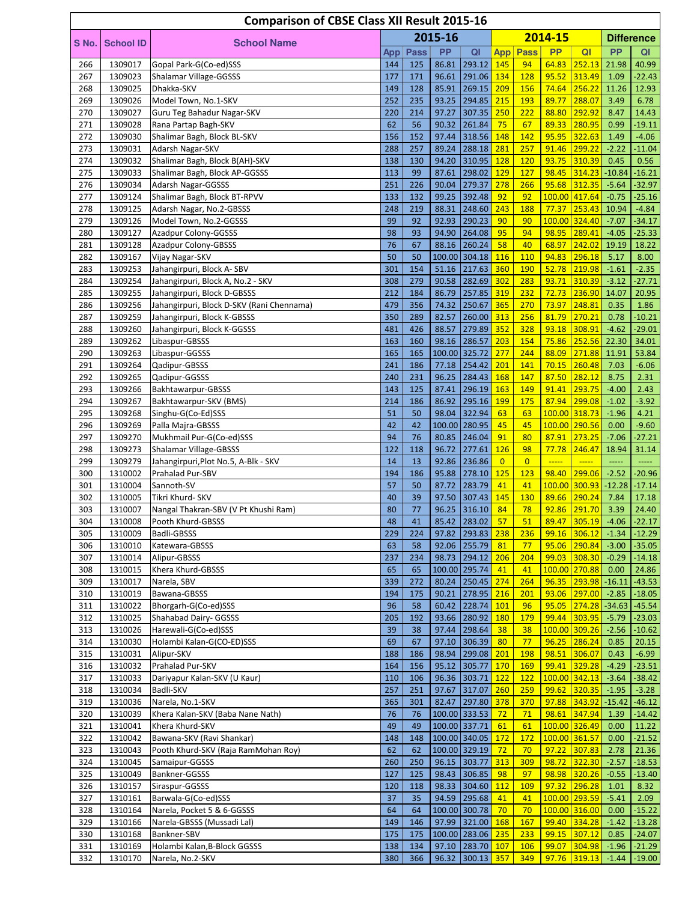|            |                    | <b>Comparison of CBSE Class XII Result 2015-16</b>       |            |             |                |                               |                  |                 |                                                                                      |                           |                    |                      |
|------------|--------------------|----------------------------------------------------------|------------|-------------|----------------|-------------------------------|------------------|-----------------|--------------------------------------------------------------------------------------|---------------------------|--------------------|----------------------|
| S No.      | <b>School ID</b>   | <b>School Name</b>                                       |            |             | 2015-16        |                               |                  |                 | 2014-15                                                                              |                           |                    | <b>Difference</b>    |
|            |                    |                                                          | App        | <b>Pass</b> | <b>PP</b>      | QI                            |                  | <b>App</b> Pass | <b>PP</b>                                                                            | QI                        | <b>PP</b>          | QI                   |
| 266        | 1309017            | Gopal Park-G(Co-ed)SSS                                   | 144        | 125         | 86.81          | 293.12 145                    |                  | 94              | 64.83                                                                                | 252.13                    | 21.98              | 40.99                |
| 267        | 1309023            | Shalamar Village-GGSSS                                   | 177        | 171         | 96.61          | 291.06                        | 134              | 128             | 95.52                                                                                | 313.49                    | 1.09               | $-22.43$             |
| 268        | 1309025            | Dhakka-SKV                                               | 149        | 128         | 85.91          | 269.15                        | 209              | 156             | 74.64                                                                                | 256.22                    | 11.26              | 12.93                |
| 269        | 1309026            | Model Town, No.1-SKV                                     | 252        | 235         | 93.25          | 294.85                        | 215              | 193             | 89.77                                                                                | 288.07                    | 3.49               | 6.78                 |
| 270        | 1309027            | Guru Teg Bahadur Nagar-SKV                               | 220        | 214         | 97.27          | 307.35                        | 250              | 222<br>67       | 88.80                                                                                | 292.92                    | 8.47               | 14.43                |
| 271<br>272 | 1309028<br>1309030 | Rana Partap Bagh-SKV<br>Shalimar Bagh, Block BL-SKV      | 62<br>156  | 56<br>152   | 90.32<br>97.44 | 261.84<br>318.56              | 75<br>148        | 142             | 89.33<br>95.95                                                                       | 280.95<br>322.63          | 0.99<br>1.49       | $-19.11$<br>$-4.06$  |
| 273        | 1309031            | Adarsh Nagar-SKV                                         | 288        | 257         | 89.24          | 288.18                        | 281              | 257             | 91.46                                                                                | 299.22                    | $-2.22$            | $-11.04$             |
| 274        | 1309032            | Shalimar Bagh, Block B(AH)-SKV                           | 138        | 130         | 94.20          | 310.95                        | 128              | 120             | 93.75                                                                                | 310.39                    | 0.45               | 0.56                 |
| 275        | 1309033            | Shalimar Bagh, Block AP-GGSSS                            | 113        | 99          | 87.61          | 298.02                        | 129              | 127             | 98.45                                                                                | 314.23                    | $-10.84$           | $-16.21$             |
| 276        | 1309034            | Adarsh Nagar-GGSSS                                       | 251        | 226         | 90.04          | 279.37                        | 278              | 266             | 95.68                                                                                | 312.35                    | $-5.64$            | $-32.97$             |
| 277        | 1309124            | Shalimar Bagh, Block BT-RPVV                             | 133        | 132         | 99.25          | 392.48                        | 92               | 92              |                                                                                      | 100.00 417.64             | $-0.75$            | $-25.16$             |
| 278        | 1309125            | Adarsh Nagar, No.2-GBSSS                                 | 248        | 219         | 88.31          | 248.60                        | 243              | 188             | 77.37                                                                                | 253.43                    | 10.94              | $-4.84$              |
| 279        | 1309126            | Model Town, No.2-GGSSS                                   | 99         | 92          | 92.93          | 290.23                        | 90               | 90              |                                                                                      | 100.00 324.40             | $-7.07$            | $-34.17$             |
| 280<br>281 | 1309127<br>1309128 | Azadpur Colony-GGSSS<br>Azadpur Colony-GBSSS             | 98<br>76   | 93<br>67    | 94.90<br>88.16 | 264.08<br>260.24              | 95<br>58         | 94<br>40        | 98.95<br>68.97                                                                       | 289.41<br>242.02          | $-4.05$<br>19.19   | $-25.33$<br>18.22    |
| 282        | 1309167            | Vijay Nagar-SKV                                          | 50         | 50          |                | 100.00 304.18                 | 116              | 110             | 94.83                                                                                | 296.18                    | 5.17               | 8.00                 |
| 283        | 1309253            | Jahangirpuri, Block A-SBV                                | 301        | 154         | 51.16          | 217.63                        | 360              | 190             | 52.78                                                                                | 219.98                    | $-1.61$            | $-2.35$              |
| 284        | 1309254            | Jahangirpuri, Block A, No.2 - SKV                        | 308        | 279         | 90.58          | 282.69                        | 302              | 283             | 93.71                                                                                | 310.39                    | $-3.12$            | $-27.71$             |
| 285        | 1309255            | Jahangirpuri, Block D-GBSSS                              | 212        | 184         | 86.79          | 257.85                        | 319              | 232             | 72.73                                                                                | 236.90                    | 14.07              | 20.95                |
| 286        | 1309256            | Jahangirpuri, Block D-SKV (Rani Chennama)                | 479        | 356         | 74.32          | 250.67                        | 365              | 270             | 73.97                                                                                | 248.81                    | 0.35               | 1.86                 |
| 287        | 1309259            | Jahangirpuri, Block K-GBSSS                              | 350        | 289         | 82.57          | 260.00                        | 313              | 256             | 81.79                                                                                | 270.21                    | 0.78               | $-10.21$             |
| 288        | 1309260            | Jahangirpuri, Block K-GGSSS                              | 481        | 426         | 88.57          | 279.89                        | 352              | 328             | 93.18                                                                                | 308.91                    | $-4.62$            | $-29.01$             |
| 289        | 1309262            | Libaspur-GBSSS                                           | 163        | 160         | 98.16          | 286.57                        | 203              | 154             | 75.86                                                                                | 252.56                    | 22.30              | 34.01                |
| 290        | 1309263            | Libaspur-GGSSS                                           | 165        | 165         |                | 100.00 325.72                 | 277              | 244             | 88.09                                                                                | 271.88                    | 11.91              | 53.84                |
| 291<br>292 | 1309264<br>1309265 | Qadipur-GBSSS<br>Qadipur-GGSSS                           | 241<br>240 | 186<br>231  | 77.18<br>96.25 | 254.42<br>284.43              | 201<br>168       | 141<br>147      | 70.15<br>87.50                                                                       | 260.48<br>282.12          | 7.03<br>8.75       | $-6.06$<br>2.31      |
| 293        | 1309266            | Bakhtawarpur-GBSSS                                       | 143        | 125         | 87.41          | 296.19                        | 163              | 149             | 91.41                                                                                | 293.75                    | $-4.00$            | 2.43                 |
| 294        | 1309267            | Bakhtawarpur-SKV (BMS)                                   | 214        | 186         | 86.92          | 295.16                        | <b>199</b>       | 175             | 87.94                                                                                | 299.08                    | $-1.02$            | $-3.92$              |
| 295        | 1309268            | Singhu-G(Co-Ed)SSS                                       | 51         | 50          | 98.04          | 322.94                        | 63               | 63              |                                                                                      | 100.00 318.73             | $-1.96$            | 4.21                 |
| 296        | 1309269            | Palla Majra-GBSSS                                        | 42         | 42          |                | 100.00 280.95                 | 45               | 45              |                                                                                      | 100.00 290.56             | 0.00               | $-9.60$              |
| 297        | 1309270            | Mukhmail Pur-G(Co-ed)SSS                                 | 94         | 76          | 80.85          | 246.04                        | 91               | 80              | 87.91                                                                                | 273.25                    | $-7.06$            | $-27.21$             |
| 298        | 1309273            | Shalamar Village-GBSSS                                   | 122        | 118         | 96.72          | 277.61                        | 126              | 98              | 77.78                                                                                | 246.47                    | 18.94              | 31.14                |
| 299        | 1309279            | Jahangirpuri, Plot No.5, A-Blk - SKV                     | 14         | 13          | 92.86          | 236.86                        | $\overline{0}$   | $\overline{0}$  | $\overline{\phantom{a} \phantom{a} \phantom{a} \phantom{a} \phantom{a} \phantom{a}}$ | $\frac{1}{2}$             | 111111             | -----                |
| 300        | 1310002            | Prahalad Pur-SBV                                         | 194        | 186         | 95.88          | 278.10 125                    |                  | 123             | 98.40                                                                                | 299.06                    | $-2.52$            | $-20.96$             |
| 301        | 1310004            | Sannoth-SV                                               | 57         | 50          | 87.72          | 283.79                        | 41               | 41              |                                                                                      | 100.00 300.93             | $-12.28$           | $-17.14$             |
| 302<br>303 | 1310005<br>1310007 | Tikri Khurd- SKV<br>Nangal Thakran-SBV (V Pt Khushi Ram) | 40<br>80   | 39<br>77    | 97.50<br>96.25 | 307.43<br>316.10              | 145<br>84        | 130<br>78       | 89.66<br>92.86                                                                       | 290.24<br>291.70          | 7.84<br>3.39       | 17.18<br>24.40       |
| 304        | 1310008            | Pooth Khurd-GBSSS                                        | 48         | 41          |                | 85.42 283.02                  | 57               | 51              |                                                                                      | 89.47 305.19              | $-4.06$            | $-22.17$             |
| 305        | 1310009            | Badli-GBSSS                                              | 229        | 224         |                | 97.82 293.83 238              |                  | 236             |                                                                                      | $99.16$ 306.12            | $-1.34$            | $-12.29$             |
| 306        | 1310010            | Katewara-GBSSS                                           | 63         | 58          |                | 92.06 255.79                  | 81               | 77              |                                                                                      | 95.06 290.84              | $-3.00$            | $-35.05$             |
| 307        | 1310014            | Alipur-GBSSS                                             | 237        | 234         |                | 98.73 294.12                  | 206              | 204             | 99.03                                                                                | 308.30                    | $-0.29$            | $-14.18$             |
| 308        | 1310015            | Khera Khurd-GBSSS                                        | 65         | 65          |                | 100.00 295.74                 | 41               | 41              |                                                                                      | 100.00 270.88             | 0.00               | 24.86                |
| 309        | 1310017            | Narela, SBV                                              | 339        | 272         |                | 80.24 250.45                  | 274              | 264             | 96.35                                                                                | 293.98                    | $-16.11$           | $-43.53$             |
| 310        | 1310019            | Bawana-GBSSS                                             | 194        | 175         | 90.21          | 278.95                        | 216              | 201             | 93.06                                                                                | 297.00                    | $-2.85$            | $-18.05$             |
| 311        | 1310022            | Bhorgarh-G(Co-ed)SSS<br>Shahabad Dairy- GGSSS            | 96         | 58          | 60.42          | 228.74                        | <b>101</b>       | 96<br>179       | 95.05                                                                                | 274.28                    | $-34.63$           | $-45.54$             |
| 312<br>313 | 1310025<br>1310026 | Harewali-G(Co-ed)SSS                                     | 205<br>39  | 192<br>38   | 97.44          | 93.66 280.92<br>298.64        | <b>180</b><br>38 | 38              | 99.44                                                                                | 303.95<br>100.00 309.26   | $-5.79$<br>$-2.56$ | $-23.03$<br>$-10.62$ |
| 314        | 1310030            | Holambi Kalan-G(CO-ED)SSS                                | 69         | 67          | 97.10          | 306.39                        | 80               | 77              |                                                                                      | 96.25 286.24              | 0.85               | 20.15                |
| 315        | 1310031            | Alipur-SKV                                               | 188        | 186         | 98.94          | 299.08                        | 201              | 198             | 98.51                                                                                | 306.07                    | 0.43               | $-6.99$              |
| 316        | 1310032            | Prahalad Pur-SKV                                         | 164        | 156         | 95.12          | 305.77                        | 170              | <b>169</b>      | 99.41                                                                                | 329.28                    | $-4.29$            | $-23.51$             |
| 317        | 1310033            | Dariyapur Kalan-SKV (U Kaur)                             | 110        | 106         |                | 96.36 303.71                  | 122              | 122             |                                                                                      | 100.00 342.13             | $-3.64$            | $-38.42$             |
| 318        | 1310034            | Badli-SKV                                                | 257        | 251         | 97.67          | 317.07                        | 260              | 259             | 99.62                                                                                | 320.35                    | $-1.95$            | $-3.28$              |
| 319        | 1310036            | Narela, No.1-SKV                                         | 365        | 301         | 82.47          | 297.80 378                    |                  | 370             | 97.88                                                                                | 343.92                    | $-15.42$           | $-46.12$             |
| 320        | 1310039            | Khera Kalan-SKV (Baba Nane Nath)                         | 76         | 76          |                | 100.00 333.53                 | 72               | 71              | 98.61                                                                                | 347.94                    | 1.39               | $-14.42$             |
| 321        | 1310041            | Khera Khurd-SKV                                          | 49         | 49          |                | 100.00 337.71                 | 61               | 61              |                                                                                      | 100.00 326.49             | 0.00               | 11.22                |
| 322        | 1310042            | Bawana-SKV (Ravi Shankar)                                | 148        | 148         |                | 100.00 340.05                 | 172              | 172             |                                                                                      | 100.00 361.57             | 0.00               | $-21.52$             |
| 323<br>324 | 1310043<br>1310045 | Pooth Khurd-SKV (Raja RamMohan Roy)<br>Samaipur-GGSSS    | 62<br>260  | 62<br>250   |                | 100.00 329.19<br>96.15 303.77 | 72<br>313        | 70<br>309       | 97.22<br>98.72                                                                       | 307.83<br>322.30          | 2.78<br>$-2.57$    | 21.36<br>$-18.53$    |
| 325        | 1310049            | Bankner-GGSSS                                            | 127        | 125         |                | 98.43 306.85                  | 98               | 97              |                                                                                      | 98.98 320.26              | $-0.55$            | $-13.40$             |
| 326        | 1310157            | Siraspur-GGSSS                                           | 120        | 118         |                | 98.33 304.60 112              |                  | 109             | 97.32                                                                                | 296.28                    | 1.01               | 8.32                 |
| 327        | 1310161            | Barwala-G(Co-ed)SSS                                      | 37         | 35          |                | 94.59 295.68                  | 41               | 41              |                                                                                      | 100.00 293.59             | $-5.41$            | 2.09                 |
| 328        | 1310164            | Narela, Pocket 5 & 6-GGSSS                               | 64         | 64          |                | 100.00 300.78                 | 70               | 70              |                                                                                      | 100.00 316.00             | 0.00               | $-15.22$             |
| 329        | 1310166            | Narela-GBSSS (Mussadi Lal)                               | 149        | 146         |                | 97.99 321.00 168              |                  | 167             | 99.40                                                                                | 334.28                    | $-1.42$            | $-13.28$             |
| 330        | 1310168            | Bankner-SBV                                              | 175        | 175         |                | 100.00 283.06 235             |                  | 233             | 99.15                                                                                | 307.12                    | 0.85               | $-24.07$             |
| 331        | 1310169            | Holambi Kalan, B-Block GGSSS                             | 138        | 134         |                | 97.10 283.70 107              |                  | 106             |                                                                                      | $99.07$ 304.98 -1.96      |                    | $-21.29$             |
| 332        | 1310170            | Narela, No.2-SKV                                         | 380        | 366         |                | 96.32 300.13 357              |                  | 349             |                                                                                      | <mark>97.76 319.13</mark> | $-1.44$            | $-19.00$             |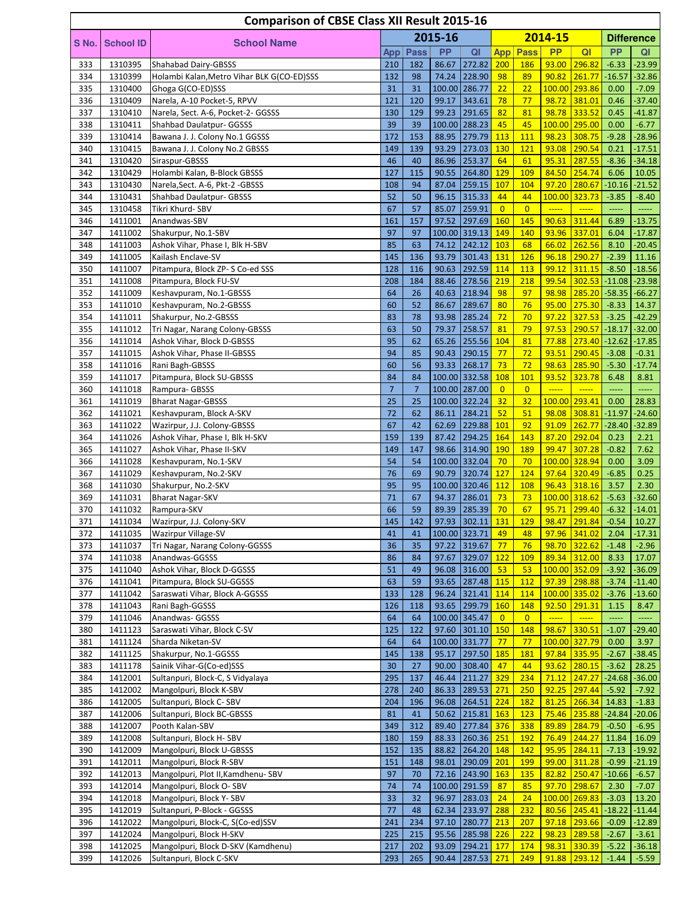|            |                    | <b>Comparison of CBSE Class XII Result 2015-16</b>             |                |                |                |                             |                      |                       |                        |                                |                    |                     |
|------------|--------------------|----------------------------------------------------------------|----------------|----------------|----------------|-----------------------------|----------------------|-----------------------|------------------------|--------------------------------|--------------------|---------------------|
|            |                    |                                                                |                |                | 2015-16        |                             |                      |                       | 2014-15                |                                |                    | <b>Difference</b>   |
| S No.      | <b>School ID</b>   | <b>School Name</b>                                             | App            | <b>Pass</b>    | <b>PP</b>      | QI                          | <b>App</b>           | <b>Pass</b>           | <b>PP</b>              | Q <sub>l</sub>                 | <b>PP</b>          | QI                  |
| 333        | 1310395            | Shahabad Dairy-GBSSS                                           | 210            | 182            | 86.67          | 272.82                      | 200                  | <b>186</b>            | 93.00                  | 296.82                         | $-6.33$            | $-23.99$            |
| 334        | 1310399            | Holambi Kalan, Metro Vihar BLK G(CO-ED)SSS                     | 132            | 98             |                | 74.24 228.90                | 98                   | 89                    | 90.82                  | 261.77                         | $-16.57$           | $-32.86$            |
| 335        | 1310400            | Ghoga G(CO-ED)SSS                                              | 31             | 31             |                | 100.00 286.77               | 22                   | 22                    |                        | 100.00 293.86                  | 0.00               | $-7.09$             |
| 336        | 1310409            | Narela, A-10 Pocket-5, RPVV                                    | 121            | 120            | 99.17          | 343.61                      | 78                   | 77                    | 98.72                  | 381.01                         | 0.46               | $-37.40$            |
| 337        | 1310410            | Narela, Sect. A-6, Pocket-2- GGSSS                             | 130            | 129            | 99.23          | 291.65                      | 82                   | 81                    | 98.78                  | 333.52                         | 0.45               | $-41.87$            |
| 338        | 1310411            | Shahbad Daulatpur- GGSSS                                       | 39             | 39             |                | 100.00 288.23               | 45                   | 45                    |                        | 100.00 295.00                  | 0.00               | $-6.77$             |
| 339        | 1310414            | Bawana J. J. Colony No.1 GGSSS                                 | 172            | 153            | 88.95          | 279.79                      | 113                  | 111                   | 98.23                  | 308.75                         | $-9.28$            | $-28.96$            |
| 340        | 1310415            | Bawana J. J. Colony No.2 GBSSS                                 | 149            | 139            | 93.29          | 273.03                      | 130                  | 121                   | 93.08                  | 290.54                         | 0.21               | $-17.51$            |
| 341        | 1310420            | Siraspur-GBSSS                                                 | 46             | 40             | 86.96          | 253.37                      | 64                   | 61                    | 95.31                  | 287.55                         | $-8.36$            | $-34.18$            |
| 342        | 1310429            | Holambi Kalan, B-Block GBSSS                                   | 127            | 115            | 90.55          | 264.80                      | 129                  | 109                   | 84.50                  | 254.74                         | 6.06               | 10.05               |
| 343        | 1310430            | Narela, Sect. A-6, Pkt-2 - GBSSS                               | 108<br>52      | 94             | 87.04          | 259.15                      | 107                  | 104                   | 97.20                  | 280.67                         | $-10.16$           | $-21.52$            |
| 344<br>345 | 1310431<br>1310458 | <b>Shahbad Daulatpur- GBSSS</b><br>Tikri Khurd- SBV            | 67             | 50<br>57       | 96.15<br>85.07 | 315.33<br>259.91            | 44<br>$\overline{0}$ | 44<br>$\overline{0}$  | $\frac{1}{2}$          | 100.00 323.73<br>$\frac{1}{2}$ | $-3.85$            | $-8.40$<br>         |
| 346        | 1411001            | Anandwas-SBV                                                   | 161            | 157            | 97.52          | 297.69 160                  |                      | 145                   | 90.63                  | 311.44                         | 6.89               | $-13.75$            |
| 347        | 1411002            | Shakurpur, No.1-SBV                                            | 97             | 97             |                | 100.00 319.13               | 149                  | 140                   | 93.96                  | 337.01                         | 6.04               | $-17.87$            |
| 348        | 1411003            | Ashok Vihar, Phase I, Blk H-SBV                                | 85             | 63             | 74.12          | $\sqrt{242.12}$             | 103                  | 68                    | 66.02                  | 262.56                         | 8.10               | $-20.45$            |
| 349        | 1411005            | Kailash Enclave-SV                                             | 145            | 136            | 93.79          | $301.43$ 131                |                      | 126                   | 96.18                  | 290.27                         | $-2.39$            | 11.16               |
| 350        | 1411007            | Pitampura, Block ZP-S Co-ed SSS                                | 128            | 116            | 90.63          | 292.59                      | 114                  | 113                   | 99.12                  | 311.15                         | $-8.50$            | $-18.56$            |
| 351        | 1411008            | Pitampura, Block FU-SV                                         | 208            | 184            | 88.46          | $278.56$ 219                |                      | 218                   | 99.54                  | 302.53                         |                    | $-11.08$ $-23.98$   |
| 352        | 1411009            | Keshavpuram, No.1-GBSSS                                        | 64             | 26             | 40.63          | 218.94                      | 98                   | 97                    | 98.98                  | 285.20                         | $-58.35$           | $-66.27$            |
| 353        | 1411010            | Keshavpuram, No.2-GBSSS                                        | 60             | 52             | 86.67          | 289.67                      | 80                   | 76                    | 95.00                  | 275.30                         | $-8.33$            | 14.37               |
| 354        | 1411011            | Shakurpur, No.2-GBSSS                                          | 83             | 78             | 93.98          | 285.24                      | 72                   | 70                    | 97.22                  | 327.53                         | $-3.25$            | $-42.29$            |
| 355        | 1411012            | Tri Nagar, Narang Colony-GBSSS                                 | 63             | 50             | 79.37          | 258.57                      | 81                   | 79                    | 97.53                  | 290.57                         | $-18.17$           | $-32.00$            |
| 356        | 1411014            | Ashok Vihar, Block D-GBSSS                                     | 95             | 62             | 65.26          | 255.56                      | 104                  | 81                    | 77.88                  | 273.40                         | $-12.62$           | $-17.85$            |
| 357        | 1411015            | Ashok Vihar, Phase II-GBSSS                                    | 94             | 85             | 90.43          | 290.15                      | 77                   | 72                    | 93.51                  | 290.45                         | $-3.08$            | $-0.31$             |
| 358        | 1411016            | Rani Bagh-GBSSS                                                | 60             | 56             | 93.33          | 268.17                      | 73                   | 72                    | 98.63                  | 285.90                         | $-5.30$            | $-17.74$            |
| 359        | 1411017            | Pitampura, Block SU-GBSSS                                      | 84             | 84             |                | 100.00 332.58               | 108                  | 101                   | 93.52                  | 323.78                         | 6.48               | 8.81                |
| 360        | 1411018            | Rampura- GBSSS                                                 | $\overline{7}$ | $\overline{7}$ |                | 100.00 287.00               | $\overline{0}$       | $\overline{0}$        | $\frac{1}{2}$          | $\frac{1}{2}$                  | 111111             | -----               |
| 361        | 1411019            | <b>Bharat Nagar-GBSSS</b>                                      | 25             | 25             |                | 100.00 322.24               | 32                   | 32                    | 100.00                 | 293.41                         | 0.00               | 28.83               |
| 362        | 1411021            | Keshavpuram, Block A-SKV                                       | 72             | 62             | 86.11          | 284.21                      | 52                   | 51                    | 98.08                  | 308.81                         | $-11.97$           | $-24.60$            |
| 363<br>364 | 1411022<br>1411026 | Wazirpur, J.J. Colony-GBSSS<br>Ashok Vihar, Phase I, Blk H-SKV | 67<br>159      | 42<br>139      | 62.69<br>87.42 | 229.88<br>294.25            | 101<br>164           | 92<br>143             | 91.09<br>87.20         | 262.77<br>292.04               | $-28.40$<br>0.23   | $-32.89$<br>2.21    |
| 365        | 1411027            | Ashok Vihar, Phase II-SKV                                      | 149            | 147            |                | 98.66 314.90 190            |                      | 189                   | 99.47                  | 307.28                         | $-0.82$            | 7.62                |
| 366        | 1411028            | Keshavpuram, No.1-SKV                                          | 54             | 54             |                | 100.00 332.04               | 70                   | 70                    |                        | 100.00 328.94                  | 0.00               | 3.09                |
| 367        | 1411029            | Keshavpuram, No.2-SKV                                          | 76             | 69             | 90.79          | 320.74                      | 127                  | 124                   | 97.64                  | 320.49                         | $-6.85$            | 0.25                |
| 368        | 1411030            | Shakurpur, No.2-SKV                                            | 95             | 95             |                | 100.00 320.46               | 112                  | 108                   | 96.43                  | 318.16                         | 3.57               | 2.30                |
| 369        | 1411031            | <b>Bharat Nagar-SKV</b>                                        | 71             | 67             | 94.37          | 286.01                      | 73                   | 73                    |                        | 100.00 318.62                  | $-5.63$            | $-32.60$            |
| 370        | 1411032            | Rampura-SKV                                                    | 66             | 59             |                | 89.39 285.39                | 70                   | 67                    | 95.71                  | 299.40                         | $-6.32$            | $-14.01$            |
| 371        | 1411034            | Wazirpur, J.J. Colony-SKV                                      | 145            | 142            |                | 97.93 302.11 131            |                      | 129                   |                        | 98.47 291.84 -0.54             |                    | 10.27               |
| 372        | 1411035            | Wazirpur Village-SV                                            | 41             | 41             |                | 100.00 323.71               | 49                   | 48                    |                        | 97.96 341.02                   | 2.04               | $-17.31$            |
| 373        | 1411037            | Tri Nagar, Narang Colony-GGSSS                                 | 36             | 35             |                | 97.22 319.67                | 77                   | 76                    | 98.70                  | 322.62                         | $-1.48$            | $-2.96$             |
| 374        | 1411038            | Anandwas-GGSSS                                                 | 86             | 84             | 97.67          | 329.07 122                  |                      | 109                   |                        | 89.34 312.00                   | 8.33               | 17.07               |
| 375        | 1411040            | Ashok Vihar, Block D-GGSSS                                     | 51             | 49             |                | 96.08 316.00                | 53                   | 53                    |                        | 100.00 352.09                  | $-3.92$            | $-36.09$            |
| 376        | 1411041            | Pitampura, Block SU-GGSSS                                      | 63             | 59             | 93.65          | 287.48 115                  |                      | 112                   | 97.39                  | 298.88                         | $-3.74$            | $-11.40$            |
| 377        | 1411042            | Saraswati Vihar, Block A-GGSSS                                 | 133            | 128            | 96.24          | 321.41                      | 114                  | 114                   |                        | 100.00 335.02                  | $-3.76$            | $-13.60$            |
| 378<br>379 | 1411043<br>1411046 | Rani Bagh-GGSSS<br>Anandwas- GGSSS                             | 126<br>64      | 118<br>64      | 93.65          | 299.79 160<br>100.00 345.47 | $\overline{0}$       | 148<br>$\overline{0}$ | 92.50<br>$\frac{1}{2}$ | 291.31<br>$\frac{1}{2}$        | 1.15               | 8.47                |
| 380        | 1411123            | Saraswati Vihar, Block C-SV                                    | 125            | 122            | 97.60          | 301.10 150                  |                      | 148                   | 98.67                  | 330.51                         | $-1.07$            | $-29.40$            |
| 381        | 1411124            | Sharda Niketan-SV                                              | 64             | 64             |                | 100.00 331.77               | 77                   | 77                    |                        | 100.00 327.79                  | 0.00               | 3.97                |
| 382        | 1411125            | Shakurpur, No.1-GGSSS                                          | 145            | 138            | 95.17          | $297.50$ 185                |                      | <b>181</b>            |                        | 97.84 335.95                   | $-2.67$            | $-38.45$            |
| 383        | 1411178            | Sainik Vihar-G(Co-ed)SSS                                       | 30             | 27             | 90.00          | 308.40                      | 47                   | 44                    | 93.62                  | 280.15                         | $-3.62$            | 28.25               |
| 384        | 1412001            | Sultanpuri, Block-C, S Vidyalaya                               | 295            | 137            | 46.44          | 211.27                      | 329                  | 234                   | 71.12                  | 247.27                         | $-24.68$           | $-36.00$            |
| 385        | 1412002            | Mangolpuri, Block K-SBV                                        | 278            | 240            | 86.33          | 289.53                      | 271                  | 250                   | 92.25                  | 297.44                         | $-5.92$            | $-7.92$             |
| 386        | 1412005            | Sultanpuri, Block C-SBV                                        | 204            | 196            |                | 96.08 264.51                | 224                  | <b>182</b>            | 81.25                  | 266.34                         | 14.83              | $-1.83$             |
| 387        | 1412006            | Sultanpuri, Block BC-GBSSS                                     | 81             | 41             | 50.62          | 215.81                      | <b>163</b>           | 123                   | 75.46                  | 235.88                         | $-24.84$           | $-20.06$            |
| 388        | 1412007            | Pooth Kalan-SBV                                                | 349            | 312            | 89.40          | 277.84                      | 376                  | 338                   | 89.89                  | 284.79                         | $-0.50$            | $-6.95$             |
| 389        | 1412008            | Sultanpuri, Block H-SBV                                        | 180            | 159            | 88.33          | 260.36                      | 251                  | 192                   | 76.49                  | 244.27                         | 11.84              | 16.09               |
| 390        | 1412009            | Mangolpuri, Block U-GBSSS                                      | 152            | 135            | 88.82          | $264.20$ 148                |                      | 142                   | 95.95                  | 284.11                         | $-7.13$            | $-19.92$            |
| 391        | 1412011            | Mangolpuri, Block R-SBV                                        | 151            | 148            | 98.01          | 290.09                      | 201                  | 199                   | 99.00                  | 311.28                         | $-0.99$            | $-21.19$            |
| 392        | 1412013            | Mangolpuri, Plot II, Kamdhenu-SBV                              | 97             | 70             |                | 72.16 243.90                | <b>163</b>           | 135                   | 82.82                  | 250.47                         | $-10.66$           | $-6.57$             |
| 393        | 1412014            | Mangolpuri, Block O-SBV                                        | 74             | 74             |                | 100.00 291.59               | 87                   | 85                    | 97.70                  | 298.67                         | 2.30               | $-7.07$             |
| 394        | 1412018            | Mangolpuri, Block Y-SBV                                        | 33             | 32             | 96.97          | 283.03                      | 24                   | 24                    |                        | 100.00 269.83                  | $-3.03$            | 13.20               |
| 395        | 1412019            | Sultanpuri, P-Block - GGSSS                                    | 77<br>241      | 48<br>234      | 62.34          | 233.97<br>280.77            | 288                  | 232                   | 80.56                  | 245.41                         | $-18.22$           | $-11.44$            |
| 396<br>397 | 1412022<br>1412024 | Mangolpuri, Block-C, S(Co-ed)SSV<br>Mangolpuri, Block H-SKV    | 225            | 215            | 97.10          | 95.56 285.98 226            | 213                  | 207<br>222            | 97.18<br>98.23         | 293.66<br>289.58               | $-0.09$<br>$-2.67$ | $-12.89$<br>$-3.61$ |
| 398        | 1412025            | Mangolpuri, Block D-SKV (Kamdhenu)                             | 217            | 202            |                | 93.09 294.21 177            |                      | 174                   | 98.31                  | $330.39$                       | $-5.22$            | $-36.18$            |
| 399        | 1412026            | Sultanpuri, Block C-SKV                                        | 293            | 265            |                | 90.44 287.53 271            |                      | 249                   |                        | 91.88 293.12                   | $-1.44$            | $-5.59$             |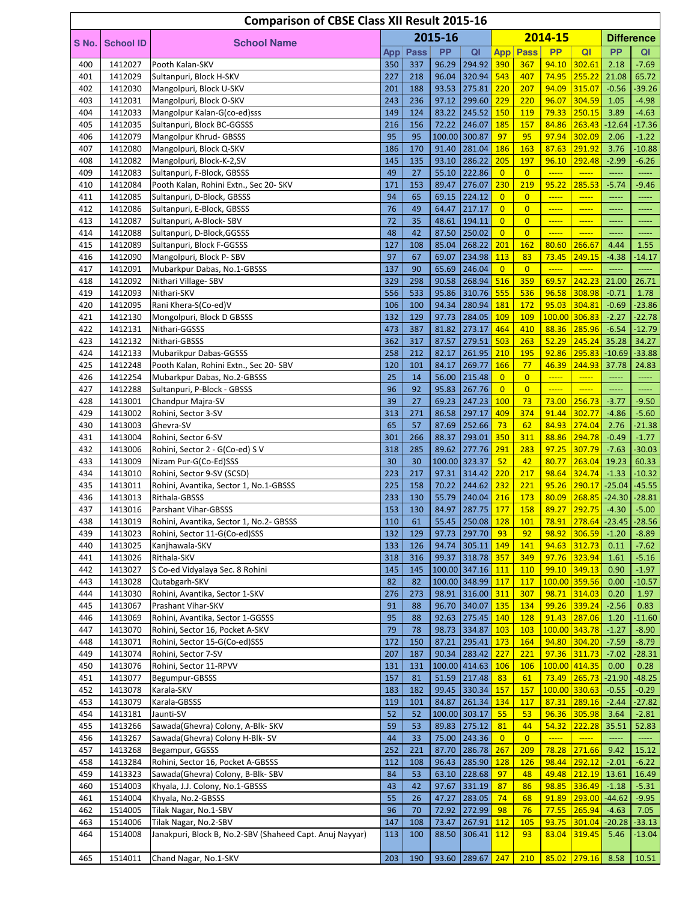|            |                    | <b>Comparison of CBSE Class XII Result 2015-16</b>                    |            |             |                |                                      |                       |                       |                                                                                      |                            |                  |                               |
|------------|--------------------|-----------------------------------------------------------------------|------------|-------------|----------------|--------------------------------------|-----------------------|-----------------------|--------------------------------------------------------------------------------------|----------------------------|------------------|-------------------------------|
| S No.      | <b>School ID</b>   | <b>School Name</b>                                                    |            |             | 2015-16        |                                      |                       |                       | 2014-15                                                                              |                            |                  | <b>Difference</b>             |
|            |                    |                                                                       | App        | <b>Pass</b> | <b>PP</b>      | QI                                   | <b>App</b>            | <b>Pass</b>           | <b>PP</b>                                                                            | Q <sub>l</sub>             | <b>PP</b>        | QI                            |
| 400        | 1412027            | Pooth Kalan-SKV                                                       | 350        | 337         | 96.29          | 294.92                               | 390                   | 367                   | 94.10                                                                                | 302.61                     | 2.18             | $-7.69$                       |
| 401        | 1412029            | Sultanpuri, Block H-SKV                                               | 227        | 218         | 96.04          | 320.94                               | 543                   | 407                   | 74.95                                                                                | 255.22                     | 21.08            | 65.72                         |
| 402        | 1412030            | Mangolpuri, Block U-SKV                                               | 201        | 188         | 93.53          | 275.81                               | 220                   | 207                   | 94.09                                                                                | 315.07                     | $-0.56$          | $-39.26$                      |
| 403        | 1412031            | Mangolpuri, Block O-SKV                                               | 243        | 236         | 97.12          | 299.60 229                           |                       | 220                   | 96.07                                                                                | 304.59                     | 1.05             | $-4.98$                       |
| 404<br>405 | 1412033<br>1412035 | Mangolpur Kalan-G(co-ed)sss<br>Sultanpuri, Block BC-GGSSS             | 149<br>216 | 124<br>156  | 83.22<br>72.22 | 245.52<br>246.07                     | 150<br>185            | <b>119</b><br>157     | 79.33<br>84.86                                                                       | 250.15<br>263.43           | 3.89<br>$-12.64$ | $-4.63$<br>$-17.36$           |
| 406        | 1412079            | Mangolpur Khrud- GBSSS                                                | 95         | 95          |                | 100.00 300.87                        | 97                    | 95                    | 97.94                                                                                | 302.09                     | 2.06             | $-1.22$                       |
| 407        | 1412080            | Mangolpuri, Block Q-SKV                                               | 186        | 170         | 91.40          | 281.04                               | 186                   | 163                   | 87.63                                                                                | 291.92                     | 3.76             | $-10.88$                      |
| 408        | 1412082            | Mangolpuri, Block-K-2,SV                                              | 145        | 135         | 93.10          | 286.22                               | 205                   | 197                   | 96.10                                                                                | 292.48                     | $-2.99$          | $-6.26$                       |
| 409        | 1412083            | Sultanpuri, F-Block, GBSSS                                            | 49         | 27          | 55.10          | 222.86                               | $\overline{0}$        | $\overline{0}$        | $\overline{\phantom{a} \phantom{a} \phantom{a} \phantom{a} \phantom{a} \phantom{a}}$ | $\frac{1}{1}$              | -----            | -----                         |
| 410        | 1412084            | Pooth Kalan, Rohini Extn., Sec 20- SKV                                | 171        | 153         | 89.47          | 276.07                               | 230                   | 219                   | 95.22                                                                                | 285.53                     | $-5.74$          | $-9.46$                       |
| 411        | 1412085            | Sultanpuri, D-Block, GBSSS                                            | 94         | 65          | 69.15          | 224.12                               | $\overline{0}$        | $\overline{0}$        |                                                                                      |                            |                  | -----                         |
| 412        | 1412086            | Sultanpuri, E-Block, GBSSS                                            | 76         | 49          | 64.47          | 217.17                               | $\overline{0}$        | $\overline{0}$        | $\frac{1}{2}$                                                                        | $\overline{\phantom{a}}$   | $\overline{a}$   | -----                         |
| 413        | 1412087            | Sultanpuri, A-Block-SBV                                               | 72         | 35          | 48.61          | 194.11                               | $\overline{0}$        | $\overline{0}$        |                                                                                      | $\frac{1}{2}$              | -----            | -----                         |
| 414<br>415 | 1412088<br>1412089 | Sultanpuri, D-Block, GGSSS<br>Sultanpuri, Block F-GGSSS               | 48<br>127  | 42<br>108   | 87.50<br>85.04 | 250.02<br>268.22                     | $\overline{0}$<br>201 | $\overline{0}$<br>162 | $\frac{1}{1}$<br>80.60                                                               | $\frac{1}{1}$<br>266.67    | 4.44             | 1.55                          |
| 416        | 1412090            | Mangolpuri, Block P-SBV                                               | 97         | 67          | 69.07          | 234.98                               | 113                   | 83                    | 73.45                                                                                | 249.15                     | $-4.38$          | $-14.17$                      |
| 417        | 1412091            | Mubarkpur Dabas, No.1-GBSSS                                           | 137        | 90          | 65.69          | 246.04                               | $\overline{0}$        | $\overline{0}$        | $\frac{1}{1}$                                                                        | $\frac{1}{1}$              |                  |                               |
| 418        | 1412092            | Nithari Village-SBV                                                   | 329        | 298         | 90.58          | 268.94                               | 516                   | 359                   | 69.57                                                                                | 242.23                     | 21.00            | 26.71                         |
| 419        | 1412093            | Nithari-SKV                                                           | 556        | 533         | 95.86          | 310.76                               | 555                   | 536                   | 96.58                                                                                | 308.98                     | $-0.71$          | 1.78                          |
| 420        | 1412095            | Rani Khera-S(Co-ed)V                                                  | 106        | 100         | 94.34          | 280.94                               | 181                   | 172                   | 95.03                                                                                | 304.81                     | $-0.69$          | $-23.86$                      |
| 421        | 1412130            | Mongolpuri, Block D GBSSS                                             | 132        | 129         | 97.73          | 284.05                               | 109                   | 109                   | 100.00                                                                               | 306.83                     | $-2.27$          | $-22.78$                      |
| 422        | 1412131            | Nithari-GGSSS                                                         | 473        | 387         | 81.82          | 273.17                               | 464                   | 410                   | 88.36                                                                                | 285.96                     | $-6.54$          | $-12.79$                      |
| 423        | 1412132            | Nithari-GBSSS                                                         | 362        | 317         | 87.57          | 279.51                               | 503                   | 263                   | 52.29                                                                                | 245.24                     | 35.28            | 34.27                         |
| 424        | 1412133            | Mubarikpur Dabas-GGSSS                                                | 258        | 212         | 82.17          | 261.95                               | 210                   | 195                   | 92.86                                                                                | 295.83                     |                  | $-10.69$ $-33.88$             |
| 425<br>426 | 1412248<br>1412254 | Pooth Kalan, Rohini Extn., Sec 20- SBV<br>Mubarkpur Dabas, No.2-GBSSS | 120<br>25  | 101<br>14   | 84.17<br>56.00 | 269.77<br>215.48                     | 166<br>$\overline{0}$ | 77<br>$\overline{0}$  | 46.39                                                                                | 244.93<br>$\frac{1}{2}$    | 37.78            | 24.83                         |
| 427        | 1412288            | Sultanpuri, P-Block - GBSSS                                           | 96         | 92          | 95.83          | 267.76                               | $\overline{0}$        | $\overline{0}$        | $\frac{1}{2}$                                                                        | $\frac{1}{1}$              |                  |                               |
| 428        | 1413001            | Chandpur Majra-SV                                                     | 39         | 27          | 69.23          | 247.23                               | 100                   | 73                    | 73.00                                                                                | 256.73                     | $-3.77$          | $-9.50$                       |
| 429        | 1413002            | Rohini, Sector 3-SV                                                   | 313        | 271         | 86.58          | 297.17                               | 409                   | 374                   | 91.44                                                                                | 302.77                     | $-4.86$          | $-5.60$                       |
| 430        | 1413003            | Ghevra-SV                                                             | 65         | 57          | 87.69          | 252.66                               | 73                    | 62                    | 84.93                                                                                | 274.04                     | 2.76             | $-21.38$                      |
| 431        | 1413004            | Rohini, Sector 6-SV                                                   | 301        | 266         | 88.37          | 293.01                               | 350                   | 311                   | 88.86                                                                                | 294.78                     | $-0.49$          | $-1.77$                       |
| 432        | 1413006            | Rohini, Sector 2 - G(Co-ed) S V                                       | 318        | 285         | 89.62          | 277.76                               | 291                   | 283                   | 97.25                                                                                | 307.79                     | $-7.63$          | $-30.03$                      |
| 433        | 1413009            | Nizam Pur-G(Co-Ed)SSS                                                 | 30         | 30          |                | 100.00 323.37                        | 52                    | 42                    | 80.77                                                                                | 263.04                     | 19.23            | 60.33                         |
| 434        | 1413010            | Rohini, Sector 9-SV (SCSD)                                            | 223        | 217         | 97.31          | 314.42                               | 220                   | 217                   | 98.64                                                                                | 324.74                     | $-1.33$          | $-10.32$                      |
| 435<br>436 | 1413011<br>1413013 | Rohini, Avantika, Sector 1, No.1-GBSSS<br>Rithala-GBSSS               | 225<br>233 | 158         | 70.22<br>55.79 | 244.62<br> 240.04                    | 232<br>216            | 221<br>173            | 95.26<br>80.09                                                                       | 290.17<br>268.85           | $-25.04$         | $-45.55$<br>$-24.30$ $-28.81$ |
| 437        | 1413016            | Parshant Vihar-GBSSS                                                  | 153        | 130<br>130  | 84.97          | 287.75                               | 177                   | 158                   | 89.27                                                                                | 292.75                     | $-4.30$          | $-5.00$                       |
| 438        | 1413019            | Rohini, Avantika, Sector 1, No.2- GBSSS                               | 110        | 61          |                | 55.45 250.08 128                     |                       | 101                   |                                                                                      | 78.91 278.64 -23.45 -28.56 |                  |                               |
| 439        | 1413023            | Rohini, Sector 11-G(Co-ed)SSS                                         | 132        | 129         |                | 97.73 297.70                         | 93                    | 92                    | 98.92                                                                                | 306.59                     | $-1.20$          | $-8.89$                       |
| 440        | 1413025            | Kanjhawala-SKV                                                        | 133        | 126         | 94.74          | $305.11$ 149                         |                       | 141                   | 94.63                                                                                | 312.73                     | 0.11             | $-7.62$                       |
| 441        | 1413026            | Rithala-SKV                                                           | 318        | 316         | 99.37          | 318.78 357                           |                       | 349                   | 97.76                                                                                | 323.94                     | 1.61             | $-5.16$                       |
| 442        | 1413027            | S Co-ed Vidyalaya Sec. 8 Rohini                                       | 145        | 145         |                | 100.00 347.16 111                    |                       | <b>110</b>            | 99.10                                                                                | 349.13                     | 0.90             | $-1.97$                       |
| 443        | 1413028            | Qutabgarh-SKV                                                         | 82         | 82          |                | 100.00 348.99 117                    |                       | 117                   |                                                                                      | 100.00 359.56              | 0.00             | $-10.57$                      |
| 444        | 1413030            | Rohini, Avantika, Sector 1-SKV                                        | 276        | 273         |                | 98.91 316.00 311                     |                       | 307                   | 98.71                                                                                | 314.03                     | 0.20             | 1.97                          |
| 445        | 1413067            | Prashant Vihar-SKV                                                    | 91         | 88          | 96.70          | 340.07 135                           |                       | 134                   |                                                                                      | 99.26 339.24               | $-2.56$          | 0.83                          |
| 446<br>447 | 1413069<br>1413070 | Rohini, Avantika, Sector 1-GGSSS<br>Rohini, Sector 16, Pocket A-SKV   | 95<br>79   | 88<br>78    |                | 92.63 275.45 140<br>98.73 334.87 103 |                       | <b>128</b><br>103     | 91.43                                                                                | 287.06<br>100.00 343.78    | 1.20<br>$-1.27$  | $-11.60$<br>$-8.90$           |
| 448        | 1413071            | Rohini, Sector 15-G(Co-ed)SSS                                         | 172        | 150         | 87.21          | 295.41                               | 173                   | 164                   | 94.80                                                                                | $304.20$                   | $-7.59$          | $-8.79$                       |
| 449        | 1413074            | Rohini, Sector 7-SV                                                   | 207        | 187         |                | 90.34 283.42 227                     |                       | 221                   |                                                                                      | 97.36 311.73               | $-7.02$          | $-28.31$                      |
| 450        | 1413076            | Rohini, Sector 11-RPVV                                                | 131        | 131         |                | 100.00 414.63 106                    |                       | <b>106</b>            |                                                                                      | 100.00 414.35              | 0.00             | 0.28                          |
| 451        | 1413077            | Begumpur-GBSSS                                                        | 157        | 81          |                | 51.59 217.48                         | 83                    | 61                    |                                                                                      | 73.49 265.73               | $-21.90$         | $-48.25$                      |
| 452        | 1413078            | Karala-SKV                                                            | 183        | 182         | 99.45          | 330.34                               | 157                   | <b>157</b>            |                                                                                      | 100.00 330.63              | $-0.55$          | $-0.29$                       |
| 453        | 1413079            | Karala-GBSSS                                                          | 119        | 101         | 84.87          | $261.34$ 134                         |                       | <b>117</b>            | 87.31                                                                                | 289.16                     | $-2.44$          | $-27.82$                      |
| 454        | 1413181            | Jaunti-SV                                                             | 52         | 52          |                | 100.00 303.17                        | 55                    | 53                    |                                                                                      | 96.36 305.98               | 3.64             | $-2.81$                       |
| 455        | 1413266            | Sawada(Ghevra) Colony, A-Blk- SKV                                     | 59         | 53          |                | 89.83 275.12                         | 81                    | 44                    | 54.32                                                                                | 222.28                     | 35.51            | 52.83                         |
| 456        | 1413267<br>1413268 | Sawada(Ghevra) Colony H-Blk-SV                                        | 44<br>252  | 33          |                | 75.00 243.36<br>286.78 267           | $\overline{0}$        | $\overline{0}$<br>209 | $\frac{1}{1}$<br>78.28                                                               | $\frac{1}{2}$              | -----            | ----                          |
| 457<br>458 | 1413284            | Begampur, GGSSS<br>Rohini, Sector 16, Pocket A-GBSSS                  | 112        | 221<br>108  | 87.70<br>96.43 | 285.90                               | <b>128</b>            | <b>126</b>            | 98.44                                                                                | 271.66<br>292.12           | 9.42<br>$-2.01$  | 15.12<br>$-6.22$              |
| 459        | 1413323            | Sawada(Ghevra) Colony, B-Blk-SBV                                      | 84         | 53          | 63.10          | 228.68                               | 97                    | 48                    | 49.48                                                                                | 212.19                     | 13.61            | 16.49                         |
| 460        | 1514003            | Khyala, J.J. Colony, No.1-GBSSS                                       | 43         | 42          | 97.67          | 331.19                               | 87                    | 86                    | 98.85                                                                                | 336.49                     | $-1.18$          | $-5.31$                       |
| 461        | 1514004            | Khyala, No.2-GBSSS                                                    | 55         | 26          | 47.27          | 283.05                               | 74                    | 68                    | 91.89                                                                                | 293.00                     | $-44.62$         | $-9.95$                       |
| 462        | 1514005            | Tilak Nagar, No.1-SBV                                                 | 96         | 70          | 72.92          | 272.99                               | 98                    | 76                    | 77.55                                                                                | 265.94                     | $-4.63$          | 7.05                          |
| 463        | 1514006            | Tilak Nagar, No.2-SBV                                                 | 147        | 108         | 73.47          | 267.91                               | <b>112</b>            | <b>105</b>            | 93.75                                                                                | 301.04                     |                  | $-20.28$ $-33.13$             |
| 464        | 1514008            | Janakpuri, Block B, No.2-SBV (Shaheed Capt. Anuj Nayyar)              | 113        | 100         | 88.50          | 306.41                               | 112                   | 93                    | 83.04                                                                                | 319.45                     | 5.46             | $-13.04$                      |
|            |                    |                                                                       |            |             |                |                                      |                       |                       |                                                                                      |                            |                  |                               |
| 465        | 1514011            | Chand Nagar, No.1-SKV                                                 | 203        | 190         |                | 93.60 289.67 247                     |                       | 210                   |                                                                                      | 85.02 279.16 8.58          |                  | 10.51                         |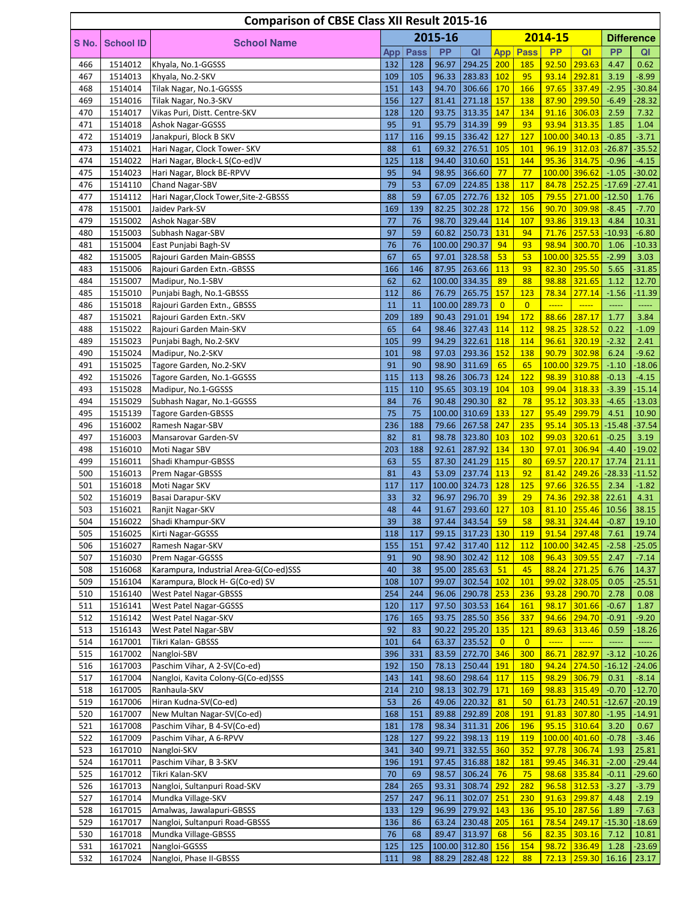|            |                    | <b>Comparison of CBSE Class XII Result 2015-16</b>                        |            |             |                |                       |                |                          |                                                                                                   |                          |                     |                              |
|------------|--------------------|---------------------------------------------------------------------------|------------|-------------|----------------|-----------------------|----------------|--------------------------|---------------------------------------------------------------------------------------------------|--------------------------|---------------------|------------------------------|
| S No.      | <b>School ID</b>   | <b>School Name</b>                                                        |            |             | 2015-16        |                       |                |                          | 2014-15                                                                                           |                          |                     | <b>Difference</b>            |
|            |                    |                                                                           | App        | <b>Pass</b> | <b>PP</b>      | QI                    |                | <b>App Pass</b>          | <b>PP</b>                                                                                         | QI                       | <b>PP</b>           | QI                           |
| 466        | 1514012            | Khyala, No.1-GGSSS                                                        | 132        | 128         | 96.97          | 294.25                | 200            | 185                      | 92.50                                                                                             | 293.63                   | 4.47                | 0.62                         |
| 467        | 1514013            | Khyala, No.2-SKV                                                          | 109        | 105         | 96.33          | 283.83                | 102            | 95                       | 93.14                                                                                             | 292.81                   | 3.19                | $-8.99$                      |
| 468        | 1514014            | Tilak Nagar, No.1-GGSSS                                                   | 151        | 143         | 94.70          | 306.66                | 170            | 166                      | 97.65                                                                                             | 337.49                   | $-2.95$             | $-30.84$                     |
| 469<br>470 | 1514016<br>1514017 | Tilak Nagar, No.3-SKV<br>Vikas Puri, Distt. Centre-SKV                    | 156<br>128 | 127<br>120  | 81.41<br>93.75 | 271.18<br>313.35      | 157<br>147     | 138<br>134               | 87.90<br>91.16                                                                                    | 299.50<br>306.03         | $-6.49$<br>2.59     | $-28.32$<br>7.32             |
| 471        | 1514018            | Ashok Nagar-GGSSS                                                         | 95         | 91          | 95.79          | 314.39                | 99             | 93                       | 93.94                                                                                             | 313.35                   | 1.85                | 1.04                         |
| 472        | 1514019            | Janakpuri, Block B SKV                                                    | 117        | 116         | 99.15          | 336.42                | 127            | 127                      |                                                                                                   | 100.00 340.13            | $-0.85$             | $-3.71$                      |
| 473        | 1514021            | Hari Nagar, Clock Tower- SKV                                              | 88         | 61          | 69.32          | 276.51                | 105            | 101                      | 96.19                                                                                             | 312.03                   | $-26.87$            | $-35.52$                     |
| 474        | 1514022            | Hari Nagar, Block-L S(Co-ed)V                                             | 125        | 118         | 94.40          | 310.60 151            |                | 144                      | 95.36                                                                                             | 314.75                   | $-0.96$             | $-4.15$                      |
| 475        | 1514023            | Hari Nagar, Block BE-RPVV                                                 | 95         | 94          | 98.95          | 366.60                | 77             | 77                       |                                                                                                   | 100.00 396.62            | $-1.05$             | $-30.02$                     |
| 476        | 1514110            | Chand Nagar-SBV                                                           | 79         | 53          | 67.09          | $\sqrt{224.85}$       | 138            | 117                      | 84.78                                                                                             | 252.25                   | $-17.69$            | $-27.41$                     |
| 477        | 1514112            | Hari Nagar, Clock Tower, Site-2-GBSSS                                     | 88         | 59          | 67.05          | 272.76                | 132            | 105                      | 79.55                                                                                             | 271.00                   | $-12.50$            | 1.76                         |
| 478<br>479 | 1515001            | Jaidev Park-SV                                                            | 169<br>77  | 139<br>76   | 82.25          | 302.28<br>329.44      | 172<br>114     | 156<br>107               | 90.70<br>93.86                                                                                    | 309.98<br>319.13         | $-8.45$<br>4.84     | $-7.70$<br>10.31             |
| 480        | 1515002<br>1515003 | <b>Ashok Nagar-SBV</b><br>Subhash Nagar-SBV                               | 97         | 59          | 98.70<br>60.82 | 250.73                | 131            | 94                       | 71.76                                                                                             | 257.53                   | $-10.93$            | $-6.80$                      |
| 481        | 1515004            | East Punjabi Bagh-SV                                                      | 76         | 76          |                | 100.00 290.37         | 94             | 93                       | 98.94                                                                                             | 300.70                   | 1.06                | $-10.33$                     |
| 482        | 1515005            | Rajouri Garden Main-GBSSS                                                 | 67         | 65          | 97.01          | 328.58                | 53             | 53                       |                                                                                                   | 100.00 325.55            | $-2.99$             | 3.03                         |
| 483        | 1515006            | Rajouri Garden Extn.-GBSSS                                                | 166        | 146         | 87.95          | 263.66                | 113            | 93                       | 82.30                                                                                             | 295.50                   | 5.65                | $-31.85$                     |
| 484        | 1515007            | Madipur, No.1-SBV                                                         | 62         | 62          |                | 100.00 334.35         | 89             | 88                       | 98.88                                                                                             | 321.65                   | 1.12                | 12.70                        |
| 485        | 1515010            | Punjabi Bagh, No.1-GBSSS                                                  | 112        | 86          | 76.79          | 265.75                | 157            | 123                      | 78.34                                                                                             | 277.14                   | $-1.56$             | $-11.39$                     |
| 486        | 1515018            | Rajouri Garden Extn., GBSSS                                               | 11         | 11          |                | 100.00 289.73         | $\overline{0}$ | $\overline{0}$           | $\frac{1}{2}$                                                                                     |                          | <u>.</u>            |                              |
| 487        | 1515021            | Rajouri Garden Extn.-SKV                                                  | 209        | 189         | 90.43          | 291.01                | 194            | 172                      | 88.66                                                                                             | 287.17                   | 1.77                | 3.84                         |
| 488<br>489 | 1515022<br>1515023 | Rajouri Garden Main-SKV                                                   | 65<br>105  | 64<br>99    | 98.46<br>94.29 | 327.43<br>322.61      | 114<br>118     | 112<br>114               | 98.25<br>96.61                                                                                    | 328.52<br>320.19         | 0.22<br>$-2.32$     | $-1.09$<br>2.41              |
| 490        | 1515024            | Punjabi Bagh, No.2-SKV<br>Madipur, No.2-SKV                               | 101        | 98          | 97.03          | 293.36                | 152            | 138                      | 90.79                                                                                             | 302.98                   | 6.24                | $-9.62$                      |
| 491        | 1515025            | Tagore Garden, No.2-SKV                                                   | 91         | 90          | 98.90          | 311.69                | 65             | 65                       | 100.00                                                                                            | 329.75                   | $-1.10$             | $-18.06$                     |
| 492        | 1515026            | Tagore Garden, No.1-GGSSS                                                 | 115        | 113         | 98.26          | 306.73                | 124            | 122                      | 98.39                                                                                             | 310.88                   | $-0.13$             | $-4.15$                      |
| 493        | 1515028            | Madipur, No.1-GGSSS                                                       | 115        | 110         | 95.65          | 303.19                | 104            | 103                      | 99.04                                                                                             | 318.33                   | $-3.39$             | $-15.14$                     |
| 494        | 1515029            | Subhash Nagar, No.1-GGSSS                                                 | 84         | 76          | 90.48          | 290.30                | 82             | 78                       | 95.12                                                                                             | 303.33                   | $-4.65$             | $-13.03$                     |
| 495        | 1515139            | <b>Tagore Garden-GBSSS</b>                                                | 75         | 75          |                | 100.00 310.69         | 133            | 127                      | 95.49                                                                                             | 299.79                   | 4.51                | 10.90                        |
| 496        | 1516002            | Ramesh Nagar-SBV                                                          | 236        | 188         | 79.66          | 267.58                | 247            | 235                      | 95.14                                                                                             | 305.13                   | $-15.48$            | $-37.54$                     |
| 497        | 1516003            | Mansarovar Garden-SV                                                      | 82         | 81          | 98.78          | 323.80                | 103            | 102                      | 99.03                                                                                             | 320.61                   | $-0.25$             | 3.19                         |
| 498<br>499 | 1516010<br>1516011 | Moti Nagar SBV                                                            | 203<br>63  | 188<br>55   | 92.61<br>87.30 | 287.92<br>241.29 115  | 134            | 130<br>80                | 97.01<br>69.57                                                                                    | 306.94<br>220.17         | $-4.40$             | $-19.02$<br>21.11            |
| 500        | 1516013            | Shadi Khampur-GBSSS<br>Prem Nagar-GBSSS                                   | 81         | 43          | 53.09          | 237.74                | 113            | 92                       | 81.42                                                                                             | 249.26                   | 17.74<br>$-28.33$   | $-11.52$                     |
| 501        | 1516018            | Moti Nagar SKV                                                            | 117        | 117         |                | 100.00 324.73         | 128            | 125                      | 97.66                                                                                             | 326.55                   | 2.34                | $-1.82$                      |
| 502        | 1516019            | Basai Darapur-SKV                                                         | 33         | 32          | 96.97          | 296.70                | 39             | 29                       | 74.36                                                                                             | 292.38                   | 22.61               | 4.31                         |
| 503        | 1516021            | Ranjit Nagar-SKV                                                          | 48         | 44          | 91.67          | 293.60 127            |                | 103                      | 81.10                                                                                             | 255.46                   | 10.56               | 38.15                        |
| 504        | 1516022            | Shadi Khampur-SKV                                                         | 39         | 38          |                | 97.44 343.54          | 59             | 58                       |                                                                                                   | 98.31 324.44             | $-0.87$             | 19.10                        |
| 505        | 1516025            | Kirti Nagar-GGSSS                                                         | 118        | 117         |                | 99.15 317.23 130      |                | <b>119</b>               | 91.54                                                                                             | 297.48                   | 7.61                | 19.74                        |
| 506        | 1516027            | Ramesh Nagar-SKV                                                          | 155        | 151         | 97.42          | 317.40 112            |                | 112                      |                                                                                                   | 100.00 342.45            | $-2.58$             | $-25.05$                     |
| 507        | 1516030            | Prem Nagar-GGSSS                                                          | 91<br>40   | 90<br>38    | 98.90          | 302.42                | 112<br>51      | <b>108</b><br>45         | 96.43                                                                                             | 309.55<br>271.25         | 2.47                | $-7.14$                      |
| 508<br>509 | 1516068<br>1516104 | Karampura, Industrial Area-G(Co-ed)SSS<br>Karampura, Block H- G(Co-ed) SV | 108        | 107         | 95.00<br>99.07 | 285.63<br>302.54      | 102            | 101                      | 88.24<br>99.02                                                                                    | 328.05                   | 6.76<br>0.05        | 14.37<br>$-25.51$            |
| 510        | 1516140            | <b>West Patel Nagar-GBSSS</b>                                             | 254        | 244         | 96.06          | 290.78 253            |                | 236                      | 93.28                                                                                             | 290.70                   | 2.78                | 0.08                         |
| 511        | 1516141            | West Patel Nagar-GGSSS                                                    | 120        | 117         | 97.50          | 303.53 164            |                | <b>161</b>               | 98.17                                                                                             | 301.66                   | $-0.67$             | 1.87                         |
| 512        | 1516142            | West Patel Nagar-SKV                                                      | 176        | 165         | 93.75          | 285.50 356            |                | 337                      | 94.66                                                                                             | 294.70                   | $-0.91$             | $-9.20$                      |
| 513        | 1516143            | West Patel Nagar-SBV                                                      | 92         | 83          | 90.22          | 295.20 135            |                | 121                      | 89.63                                                                                             | 313.46                   | 0.59                | $-18.26$                     |
| 514        | 1617001            | Tikri Kalan- GBSSS                                                        | 101        | 64          | 63.37          | 235.52                | $\overline{0}$ | $\overline{0}$           | $\overline{\phantom{a} \phantom{a} \phantom{a} \phantom{a} \phantom{a} \phantom{a} \phantom{a} }$ | $\overline{\phantom{a}}$ | -----               | -----                        |
| 515        | 1617002            | Nangloi-SBV                                                               | 396        | 331         | 83.59          | 272.70 346            |                | 300                      | 86.71                                                                                             | 282.97                   | $-3.12$             | $-10.26$                     |
| 516        | 1617003            | Paschim Vihar, A 2-SV(Co-ed)                                              | 192        | 150         | 78.13          | 250.44                | 191            | 180                      | 94.24                                                                                             | 274.50                   | $-16.12$            | $-24.06$                     |
| 517        | 1617004            | Nangloi, Kavita Colony-G(Co-ed)SSS                                        | 143        | 141         | 98.60          | 298.64                | 117            | 115                      | 98.29                                                                                             | 306.79                   | 0.31                | $-8.14$                      |
| 518<br>519 | 1617005<br>1617006 | Ranhaula-SKV<br>Hiran Kudna-SV(Co-ed)                                     | 214<br>53  | 210<br>26   | 98.13<br>49.06 | 302.79<br>220.32      | 171<br>81      | 169<br>50                | 98.83<br>61.73                                                                                    | 315.49<br>240.51         | $-0.70$<br>$-12.67$ | $-12.70$<br>$-20.19$         |
| 520        | 1617007            | New Multan Nagar-SV(Co-ed)                                                | 168        | 151         | 89.88          | 292.89                | 208            | <b>191</b>               | 91.83                                                                                             | 307.80                   | $-1.95$             | $-14.91$                     |
| 521        | 1617008            | Paschim Vihar, B 4-SV(Co-ed)                                              | 181        | 178         | 98.34          | 311.31                | 206            | 196                      | 95.15                                                                                             | 310.64                   | 3.20                | 0.67                         |
| 522        | 1617009            | Paschim Vihar, A 6-RPVV                                                   | 128        | 127         | 99.22          | 398.13                | 119            | 119                      |                                                                                                   | 100.00 401.60            | $-0.78$             | $-3.46$                      |
| 523        | 1617010            | Nangloi-SKV                                                               | 341        | 340         | 99.71          | 332.55 360            |                | 352                      | 97.78                                                                                             | 306.74                   | 1.93                | 25.81                        |
| 524        | 1617011            | Paschim Vihar, B 3-SKV                                                    | 196        | 191         | 97.45          | 316.88 182            |                | <b>181</b>               | 99.45                                                                                             | 346.31                   | $-2.00$             | $-29.44$                     |
| 525        | 1617012            | Tikri Kalan-SKV                                                           | 70         | 69          | 98.57          | 306.24                | 76             | 75                       | 98.68                                                                                             | 335.84                   | $-0.11$             | $-29.60$                     |
| 526        | 1617013            | Nangloi, Sultanpuri Road-SKV                                              | 284        | 265         | 93.31          | 308.74                | 292            | 282                      | 96.58                                                                                             | 312.53                   | $-3.27$             | $-3.79$                      |
| 527        | 1617014            | Mundka Village-SKV                                                        | 257        | 247         | 96.11          | 302.07                | 251            | 230                      | 91.63                                                                                             | 299.87                   | 4.48                | 2.19                         |
| 528<br>529 | 1617015<br>1617017 | Amalwas, Jawalapuri-GBSSS<br>Nangloi, Sultanpuri Road-GBSSS               | 133<br>136 | 129<br>86   | 96.99<br>63.24 | 279.92<br> 230.48 205 | 143            | <b>136</b><br><b>161</b> | 95.10<br>78.54                                                                                    | 287.56<br>249.17         | 1.89                | $-7.63$<br>$-15.30$ $-18.69$ |
| 530        | 1617018            | Mundka Village-GBSSS                                                      | 76         | 68          | 89.47          | 313.97                | 68             | 56                       | 82.35                                                                                             | 303.16                   | 7.12                | 10.81                        |
| 531        | 1617021            | Nangloi-GGSSS                                                             | 125        | 125         |                | 100.00 312.80 156     |                | 154                      | 98.72                                                                                             | 336.49                   | 1.28                | $-23.69$                     |
| 532        | 1617024            | Nangloi, Phase II-GBSSS                                                   | 111        | 98          |                | 88.29 282.48 122      |                | 88                       |                                                                                                   | 72.13 259.30             | 16.16               | 23.17                        |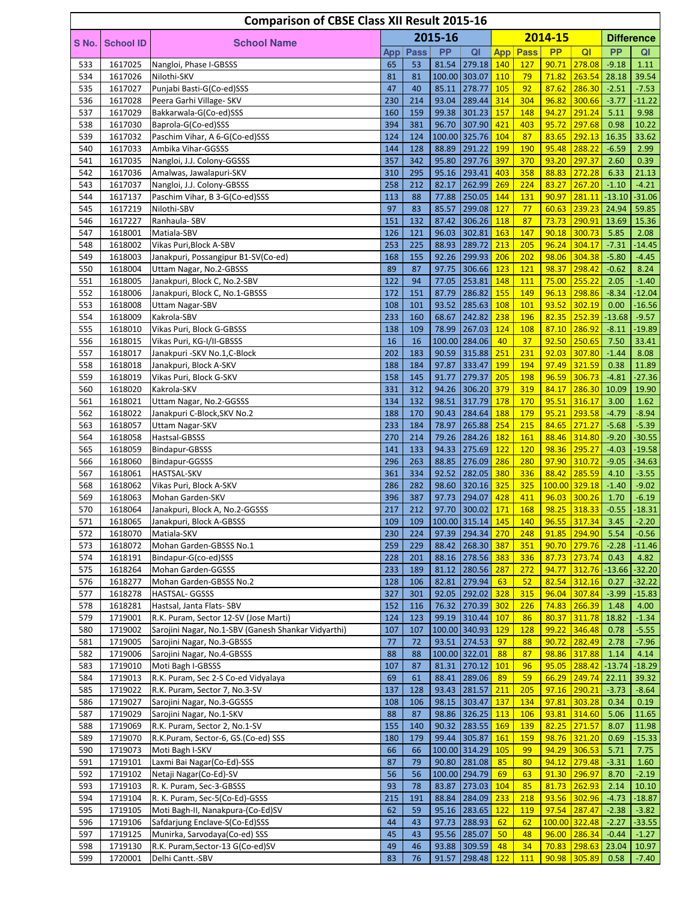|            |                    | <b>Comparison of CBSE Class XII Result 2015-16</b>                   |            |             |                |                      |            |             |                |                   |                    |                      |
|------------|--------------------|----------------------------------------------------------------------|------------|-------------|----------------|----------------------|------------|-------------|----------------|-------------------|--------------------|----------------------|
| S No.      | <b>School ID</b>   | <b>School Name</b>                                                   |            |             | 2015-16        |                      |            |             | 2014-15        |                   |                    | <b>Difference</b>    |
|            |                    |                                                                      | App        | <b>Pass</b> | <b>PP</b>      | QI                   | <b>App</b> | <b>Pass</b> | <b>PP</b>      | QI                | <b>PP</b>          | QI                   |
| 533        | 1617025            | Nangloi, Phase I-GBSSS                                               | 65         | 53          |                | 81.54 279.18 140     |            | <b>127</b>  | 90.71          | 278.08            | $-9.18$            | 1.11                 |
| 534        | 1617026            | Nilothi-SKV                                                          | 81         | 81          |                | 100.00 303.07        | 110        | 79          | 71.82          | 263.54            | 28.18              | 39.54                |
| 535<br>536 | 1617027<br>1617028 | Punjabi Basti-G(Co-ed)SSS<br>Peera Garhi Village- SKV                | 47<br>230  | 40<br>214   | 85.11<br>93.04 | 278.77<br>289.44     | 105<br>314 | 92<br>304   | 87.62<br>96.82 | 286.30<br>300.66  | $-2.51$<br>$-3.77$ | $-7.53$<br>$-11.22$  |
| 537        | 1617029            | Bakkarwala-G(Co-ed)SSS                                               | 160        | 159         | 99.38          | 301.23               | 157        | 148         | 94.27          | 291.24            | 5.11               | 9.98                 |
| 538        | 1617030            | Baprola-G(Co-ed)SSS                                                  | 394        | 381         | 96.70          | 307.90               | 421        | 403         | 95.72          | 297.68            | 0.98               | 10.22                |
| 539        | 1617032            | Paschim Vihar, A 6-G(Co-ed)SSS                                       | 124        | 124         |                | 100.00 325.76        | 104        | 87          | 83.65          | 292.13            | 16.35              | 33.62                |
| 540        | 1617033            | Ambika Vihar-GGSSS                                                   | 144        | 128         | 88.89          | 291.22               | <b>199</b> | 190         | 95.48          | 288.22            | $-6.59$            | 2.99                 |
| 541        | 1617035            | Nangloi, J.J. Colony-GGSSS                                           | 357        | 342         | 95.80          | 297.76               | 397        | 370         | 93.20          | 297.37            | 2.60               | 0.39                 |
| 542<br>543 | 1617036<br>1617037 | Amalwas, Jawalapuri-SKV<br>Nangloi, J.J. Colony-GBSSS                | 310<br>258 | 295<br>212  | 95.16<br>82.17 | 293.41<br>262.99     | 403<br>269 | 358<br>224  | 88.83<br>83.27 | 272.28<br>267.20  | 6.33<br>$-1.10$    | 21.13<br>$-4.21$     |
| 544        | 1617137            | Paschim Vihar, B 3-G(Co-ed)SSS                                       | 113        | 88          | 77.88          | 250.05               | 144        | 131         | 90.97          | 281.11            | $-13.10$           | $-31.06$             |
| 545        | 1617219            | Nilothi-SBV                                                          | 97         | 83          | 85.57          | 299.08               | 127        | 77          | 60.63          | 239.23            | 24.94              | 59.85                |
| 546        | 1617227            | Ranhaula-SBV                                                         | 151        | 132         | 87.42          | 306.26               | 118        | 87          | 73.73          | 290.91            | 13.69              | 15.36                |
| 547        | 1618001            | Matiala-SBV                                                          | 126        | 121         | 96.03          | 302.81               | 163        | 147         | 90.18          | 300.73            | 5.85               | 2.08                 |
| 548        | 1618002            | Vikas Puri, Block A-SBV                                              | 253        | 225         | 88.93          | 289.72               | 213        | 205         | 96.24          | 304.17            | $-7.31$            | $-14.45$             |
| 549<br>550 | 1618003<br>1618004 | Janakpuri, Possangipur B1-SV(Co-ed)<br>Uttam Nagar, No.2-GBSSS       | 168<br>89  | 155<br>87   | 92.26<br>97.75 | 299.93<br>306.66     | 206<br>123 | 202<br>121  | 98.06<br>98.37 | 304.38<br>298.42  | $-5.80$<br>$-0.62$ | $-4.45$<br>8.24      |
| 551        | 1618005            | Janakpuri, Block C, No.2-SBV                                         | 122        | 94          | 77.05          | 253.81               | 148        | 111         | 75.00          | 255.22            | 2.05               | $-1.40$              |
| 552        | 1618006            | Janakpuri, Block C, No.1-GBSSS                                       | 172        | 151         | 87.79          | 286.82               | 155        | 149         | 96.13          | 298.86            | $-8.34$            | $-12.04$             |
| 553        | 1618008            | <b>Uttam Nagar-SBV</b>                                               | 108        | 101         | 93.52          | 285.63               | 108        | 101         | 93.52          | 302.19            | 0.00               | $-16.56$             |
| 554        | 1618009            | Kakrola-SBV                                                          | 233        | 160         | 68.67          | 242.82               | 238        | <b>196</b>  | 82.35          | 252.39            | $-13.68$           | $-9.57$              |
| 555        | 1618010            | Vikas Puri, Block G-GBSSS                                            | 138        | 109         | 78.99          | 267.03               | 124        | 108         | 87.10          | 286.92            | $-8.11$            | $-19.89$             |
| 556        | 1618015            | Vikas Puri, KG-I/II-GBSSS                                            | 16         | 16          |                | 100.00 284.06        | 40         | 37          | 92.50          | 250.65            | 7.50               | 33.41                |
| 557<br>558 | 1618017            | Janakpuri - SKV No.1, C-Block                                        | 202<br>188 | 183         | 90.59<br>97.87 | 315.88<br>333.47     | 251<br>199 | 231<br>194  | 92.03<br>97.49 | 307.80<br>321.59  | $-1.44$            | 8.08                 |
| 559        | 1618018<br>1618019 | Janakpuri, Block A-SKV<br>Vikas Puri, Block G-SKV                    | 158        | 184<br>145  | 91.77          | 279.37               | 205        | 198         | 96.59          | 306.73            | 0.38<br>$-4.81$    | 11.89<br>$-27.36$    |
| 560        | 1618020            | Kakrola-SKV                                                          | 331        | 312         | 94.26          | 306.20 379           |            | 319         | 84.17          | 286.30            | 10.09              | 19.90                |
| 561        | 1618021            | Uttam Nagar, No.2-GGSSS                                              | 134        | 132         | 98.51          | 317.79               | 178        | 170         | 95.51          | 316.17            | 3.00               | 1.62                 |
| 562        | 1618022            | Janakpuri C-Block, SKV No.2                                          | 188        | 170         | 90.43          | 284.64               | 188        | 179         | 95.21          | 293.58            | $-4.79$            | $-8.94$              |
| 563        | 1618057            | Uttam Nagar-SKV                                                      | 233        | 184         | 78.97          | 265.88               | 254        | 215         | 84.65          | 271.27            | $-5.68$            | $-5.39$              |
| 564        | 1618058            | Hastsal-GBSSS                                                        | 270        | 214         | 79.26          | 284.26               | 182        | 161         | 88.46          | 314.80            | $-9.20$            | $-30.55$             |
| 565        | 1618059            | Bindapur-GBSSS                                                       | 141        | 133         | 94.33          | $275.69$ 122         |            | <b>120</b>  | 98.36          | 295.27            | $-4.03$            | $-19.58$             |
| 566<br>567 | 1618060<br>1618061 | Bindapur-GGSSS                                                       | 296<br>361 | 263<br>334  | 88.85<br>92.52 | 276.09<br>282.05     | 286<br>380 | 280<br>336  | 97.90<br>88.42 | 310.72<br>285.59  | $-9.05$<br>4.10    | $-34.63$<br>$-3.55$  |
| 568        | 1618062            | <b>HASTSAL-SKV</b><br>Vikas Puri, Block A-SKV                        | 286        | 282         |                | 98.60 320.16 325     |            | 325         |                | 100.00 329.18     | $-1.40$            | $-9.02$              |
| 569        | 1618063            | Mohan Garden-SKV                                                     | 396        | 387         | 97.73          | 294.07               | 428        | 411         | 96.03          | 300.26            | 1.70               | $-6.19$              |
| 570        | 1618064            | Janakpuri, Block A, No.2-GGSSS                                       | 217        | 212         |                | 97.70 300.02         | 171        | 168         | 98.25          | 318.33            | $-0.55$            | $-18.31$             |
| 571        | 1618065            | Janakpuri, Block A-GBSSS                                             | 109        | 109         |                | 100.00 315.14 145    |            | 140         |                | 96.55 317.34 3.45 |                    | $-2.20$              |
| 572        | 1618070            | Matiala-SKV                                                          | 230        | 224         |                | 97.39 294.34 270     |            | 248         | 91.85          | 294.90            | 5.54               | $-0.56$              |
| 573        | 1618072            | Mohan Garden-GBSSS No.1                                              | 259        | 229         | 88.42          | 268.30 387           |            | 351         | 90.70          | 279.76            | $-2.28$            | $-11.46$             |
| 574        | 1618191            | Bindapur-G(co-ed)SSS                                                 | 228        | 201         |                | 88.16 278.56 383     |            | 336         | 87.73          | 273.74            | 0.43               | 4.82                 |
| 575<br>576 | 1618264<br>1618277 | Mohan Garden-GGSSS<br>Mohan Garden-GBSSS No.2                        | 233<br>128 | 189<br>106  | 81.12<br>82.81 | 280.56 287<br>279.94 | 63         | 272<br>52   | 94.77<br>82.54 | 312.76<br>312.16  | $-13.66$<br>0.27   | $-32.20$<br>$-32.22$ |
| 577        | 1618278            | HASTSAL- GGSSS                                                       | 327        | 301         | 92.05          | 292.02 328           |            | 315         | 96.04          | 307.84            | $-3.99$            | $-15.83$             |
| 578        | 1618281            | Hastsal, Janta Flats-SBV                                             | 152        | 116         | 76.32          | 270.39               | 302        | 226         | 74.83          | 266.39            | 1.48               | 4.00                 |
| 579        | 1719001            | R.K. Puram, Sector 12-SV (Jose Marti)                                | 124        | 123         | 99.19          | 310.44               | 107        | 86          | 80.37          | 311.78            | 18.82              | $-1.34$              |
| 580        | 1719002            | Sarojini Nagar, No.1-SBV (Ganesh Shankar Vidyarthi)                  | 107        | 107         |                | 100.00 340.93        | 129        | 128         | 99.22          | 346.48            | 0.78               | $-5.55$              |
| 581        | 1719005            | Sarojini Nagar, No.3-GBSSS                                           | 77         | 72          |                | 93.51 274.53         | 97         | 88          | 90.72          | 282.49            | 2.78               | $-7.96$              |
| 582        | 1719006            | Sarojini Nagar, No.4-GBSSS                                           | 88         | 88          |                | 100.00 322.01        | 88         | 87          | 98.86          | 317.88            | 1.14               | 4.14                 |
| 583        | 1719010            | Moti Bagh I-GBSSS                                                    | 107        | 87          | 81.31          | 270.12               | 101        | 96          | 95.05          | 288.42            | $-13.74$           | $-18.29$             |
| 584<br>585 | 1719013<br>1719022 | R.K. Puram, Sec 2-S Co-ed Vidyalaya<br>R.K. Puram, Sector 7, No.3-SV | 69<br>137  | 61<br>128   | 88.41<br>93.43 | 289.06<br>281.57     | 89<br>211  | 59<br>205   | 66.29<br>97.16 | 249.74<br>290.21  | 22.11<br>$-3.73$   | 39.32<br>$-8.64$     |
| 586        | 1719027            | Sarojini Nagar, No.3-GGSSS                                           | 108        | 106         | 98.15          | 303.47 137           |            | 134         | 97.81          | 303.28            | 0.34               | 0.19                 |
| 587        | 1719029            | Sarojini Nagar, No.1-SKV                                             | 88         | 87          | 98.86          | $326.25$ 113         |            | <b>106</b>  | 93.81          | 314.60            | 5.06               | 11.65                |
| 588        | 1719069            | R.K. Puram, Sector 2, No.1-SV                                        | 155        | 140         | 90.32          | 283.55               | 169        | 139         | 82.25          | 271.57            | 8.07               | 11.98                |
| 589        | 1719070            | R.K.Puram, Sector-6, GS.(Co-ed) SSS                                  | 180        | 179         | 99.44          | 305.87               | 161        | 159         | 98.76          | 321.20            | 0.69               | $-15.33$             |
| 590        | 1719073            | Moti Bagh I-SKV                                                      | 66         | 66          |                | 100.00 314.29 105    |            | 99          |                | 94.29 306.53      | 5.71               | 7.75                 |
| 591        | 1719101            | Laxmi Bai Nagar(Co-Ed)-SSS                                           | 87         | 79          |                | 90.80 281.08         | 85         | 80          | 94.12          | 279.48            | $-3.31$            | 1.60                 |
| 592        | 1719102            | Netaji Nagar(Co-Ed)-SV                                               | 56         | 56          |                | 100.00 294.79        | 69         | 63          | 91.30          | 296.97            | 8.70               | $-2.19$              |
| 593<br>594 | 1719103<br>1719104 | R. K. Puram, Sec-3-GBSSS<br>R. K. Puram, Sec-5(Co-Ed)-GSSS           | 93<br>215  | 78<br>191   | 83.87<br>88.84 | 273.03<br>284.09     | 104<br>233 | 85<br>218   | 81.73<br>93.56 | 262.93<br>302.96  | 2.14<br>$-4.73$    | 10.10<br>$-18.87$    |
| 595        | 1719105            | Moti Bagh-II, Nanakpura-(Co-Ed)SV                                    | 62         | 59          | 95.16          | 283.65               | 122        | <b>119</b>  | 97.54          | 287.47            | $-2.38$            | $-3.82$              |
| 596        | 1719106            | Safdarjung Enclave-S(Co-Ed)SSS                                       | 44         | 43          | 97.73          | 288.93               | 62         | 62          |                | 100.00 322.48     | $-2.27$            | $-33.55$             |
| 597        | 1719125            | Munirka, Sarvodaya(Co-ed) SSS                                        | 45         | 43          |                | 95.56 285.07         | 50         | 48          | 96.00          | 286.34            | $-0.44$            | $-1.27$              |
| 598        | 1719130            | R.K. Puram, Sector-13 G(Co-ed)SV                                     | 49         | 46          |                | 93.88 309.59         | 48         | 34          |                | 70.83 298.63      | 23.04              | 10.97                |
| 599        | 1720001            | Delhi Cantt.-SBV                                                     | 83         | 76          | 91.57          | 298.48 122           |            | 111         |                | 90.98 305.89      | 0.58               | $-7.40$              |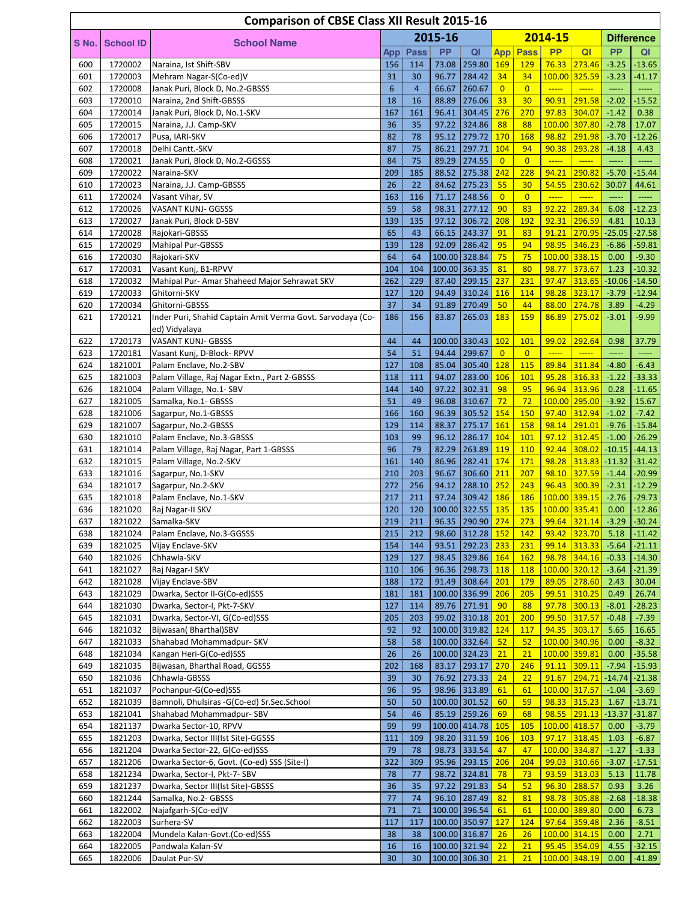|            |                    | <b>Comparison of CBSE Class XII Result 2015-16</b>                           |            |                |                |                                  |                       |                      |                                                                                      |                              |                  |                               |
|------------|--------------------|------------------------------------------------------------------------------|------------|----------------|----------------|----------------------------------|-----------------------|----------------------|--------------------------------------------------------------------------------------|------------------------------|------------------|-------------------------------|
| S No.      | <b>School ID</b>   | <b>School Name</b>                                                           |            |                | 2015-16        |                                  |                       |                      | 2014-15                                                                              |                              |                  | <b>Difference</b>             |
|            |                    |                                                                              | App        | <b>Pass</b>    | <b>PP</b>      | QI                               | <b>App</b>            | Pass                 | <b>PP</b>                                                                            | QI                           | <b>PP</b>        | QI                            |
| 600        | 1720002            | Naraina, Ist Shift-SBV                                                       | 156        | 114            |                | 73.08 259.80 169                 |                       | 129                  |                                                                                      | 76.33 273.46                 | $-3.25$          | $-13.65$                      |
| 601        | 1720003            | Mehram Nagar-S(Co-ed)V                                                       | 31         | 30             | 96.77          | 284.42                           | 34                    | 34                   |                                                                                      | 100.00 325.59                | $-3.23$          | $-41.17$                      |
| 602        | 1720008            | Janak Puri, Block D, No.2-GBSSS                                              | 6          | $\overline{4}$ | 66.67          | 260.67                           | $\overline{0}$        | $\overline{0}$       | $\overline{\phantom{a} \phantom{a} \phantom{a} \phantom{a} \phantom{a} \phantom{a}}$ | $\frac{1}{2}$                |                  |                               |
| 603        | 1720010            | Naraina, 2nd Shift-GBSSS                                                     | 18         | 16             | 88.89          | 276.06                           | 33                    | 30                   | 90.91                                                                                | 291.58                       | $-2.02$          | $-15.52$                      |
| 604        | 1720014            | Janak Puri, Block D, No.1-SKV                                                | 167        | 161            | 96.41          | 304.45                           | 276                   | 270                  | 97.83                                                                                | 304.07                       | $-1.42$          | 0.38                          |
| 605        | 1720015            | Naraina, J.J. Camp-SKV                                                       | 36         | 35             |                | 97.22 324.86                     | 88                    | 88                   |                                                                                      | 100.00 307.80                | $-2.78$          | 17.07                         |
| 606        | 1720017            | Pusa, IARI-SKV                                                               | 82         | 78             |                | 95.12 279.72                     | 170                   | 168                  | 98.82                                                                                | 291.98                       | $-3.70$          | $-12.26$                      |
| 607<br>608 | 1720018<br>1720021 | Delhi Cantt.-SKV<br>Janak Puri, Block D, No.2-GGSSS                          | 87<br>84   | 75<br>75       | 86.21<br>89.29 | 297.71<br>274.55                 | 104<br>$\overline{0}$ | 94<br>$\overline{0}$ | 90.38<br>$\frac{1}{1}$                                                               | 293.28<br>$\frac{1}{2}$      | $-4.18$<br>----- | 4.43<br>-----                 |
| 609        | 1720022            | Naraina-SKV                                                                  | 209        | 185            |                | 88.52 275.38 242                 |                       | 228                  | 94.21                                                                                | 290.82                       | $-5.70$          | $-15.44$                      |
| 610        | 1720023            | Naraina, J.J. Camp-GBSSS                                                     | 26         | 22             | 84.62          | 275.23                           | 55                    | 30                   | 54.55                                                                                | 230.62                       | 30.07            | 44.61                         |
| 611        | 1720024            | Vasant Vihar, SV                                                             | 163        | 116            | 71.17          | 248.56                           | $\overline{0}$        | $\overline{0}$       | $\frac{1}{2}$                                                                        | $\frac{1}{2}$                |                  |                               |
| 612        | 1720026            | VASANT KUNJ- GGSSS                                                           | 59         | 58             | 98.31          | 277.12                           | 90                    | 83                   | 92.22                                                                                | 289.34                       | 6.08             | $-12.23$                      |
| 613        | 1720027            | Janak Puri, Block D-SBV                                                      | 139        | 135            | 97.12          | 306.72                           | 208                   | 192                  | 92.31                                                                                | 296.59                       | 4.81             | 10.13                         |
| 614        | 1720028            | Rajokari-GBSSS                                                               | 65         | 43             | 66.15          | 243.37                           | 91                    | 83                   | 91.21                                                                                | 270.95                       | $-25.05$         | $-27.58$                      |
| 615        | 1720029            | <b>Mahipal Pur-GBSSS</b>                                                     | 139        | 128            | 92.09          | 286.42                           | 95                    | 94                   |                                                                                      | 98.95 346.23                 | $-6.86$          | $-59.81$                      |
| 616        | 1720030            | Rajokari-SKV                                                                 | 64         | 64             |                | 100.00 328.84                    | 75                    | 75                   |                                                                                      | 100.00 338.15                | 0.00             | $-9.30$                       |
| 617        | 1720031            | Vasant Kunj, B1-RPVV                                                         | 104        | 104            |                | 100.00 363.35                    | 81                    | 80                   | 98.77                                                                                | 373.67                       | 1.23             | $-10.32$                      |
| 618        | 1720032            | Mahipal Pur- Amar Shaheed Major Sehrawat SKV                                 | 262        | 229            |                | 87.40 299.15                     | 237                   | 231                  | 97.47                                                                                | 313.65                       | $-10.06$         | $-14.50$                      |
| 619        | 1720033            | Ghitorni-SKV                                                                 | 127        | 120            | 94.49          | 310.24                           | 116                   | 114                  |                                                                                      | 98.28 323.17                 | $-3.79$          | $-12.94$                      |
| 620<br>621 | 1720034<br>1720121 | Ghitorni-GBSSS<br>Inder Puri, Shahid Captain Amit Verma Govt. Sarvodaya (Co- | 37<br>186  | 34<br>156      | 91.89<br>83.87 | 270.49<br>265.03                 | 50<br>183             | 44<br>159            | 88.00<br>86.89                                                                       | 274.78<br>275.02             | 3.89<br>$-3.01$  | $-4.29$<br>$-9.99$            |
|            |                    | ed) Vidyalaya                                                                |            |                |                |                                  |                       |                      |                                                                                      |                              |                  |                               |
| 622        | 1720173            | <b>VASANT KUNJ- GBSSS</b>                                                    | 44         | 44             |                | 100.00 330.43 102                |                       | 101                  | 99.02                                                                                | 292.64                       | 0.98             | 37.79                         |
| 623        | 1720181            | Vasant Kunj, D-Block-RPVV                                                    | 54         | 51             | 94.44          | 299.67                           | $\overline{0}$        | $\overline{0}$       | $\frac{1}{2}$                                                                        | $\frac{1}{2}$                |                  | $\overline{\phantom{a}}$      |
| 624        | 1821001            | Palam Enclave, No.2-SBV                                                      | 127        | 108            | 85.04          | 305.40 128                       |                       | 115                  | 89.84                                                                                | 311.84                       | $-4.80$          | $-6.43$                       |
| 625        | 1821003            | Palam Village, Raj Nagar Extn., Part 2-GBSSS                                 | 118        | 111            | 94.07          | 283.00                           | 106                   | 101                  | 95.28                                                                                | 316.33                       | $-1.22$          | $-33.33$                      |
| 626        | 1821004            | Palam Village, No.1- SBV                                                     | 144        | 140            | 97.22          | 302.31                           | 98                    | 95                   |                                                                                      | 96.94 313.96                 | 0.28             | $-11.65$                      |
| 627        | 1821005            | Samalka, No.1- GBSSS                                                         | 51         | 49             | 96.08          | 310.67                           | 72                    | 72                   |                                                                                      | 100.00 295.00                | $-3.92$          | 15.67                         |
| 628        | 1821006            | Sagarpur, No.1-GBSSS                                                         | 166        | 160            | 96.39          | 305.52                           | 154                   | 150                  |                                                                                      | 97.40 312.94                 | $-1.02$          | $-7.42$                       |
| 629        | 1821007            | Sagarpur, No.2-GBSSS                                                         | 129        | 114            | 88.37          | 275.17                           | 161                   | 158                  | 98.14                                                                                | 291.01                       | $-9.76$          | $-15.84$                      |
| 630        | 1821010            | Palam Enclave, No.3-GBSSS                                                    | 103        | 99             | 96.12          | 286.17                           | 104                   | 101                  |                                                                                      | 97.12 312.45                 | $-1.00$          | $-26.29$                      |
| 631        | 1821014            | Palam Village, Raj Nagar, Part 1-GBSSS                                       | 96         | 79             | 82.29          | 263.89                           | 119                   | 110                  |                                                                                      | $92.44$ 308.02               |                  | $-10.15$ $-44.13$             |
| 632<br>633 | 1821015<br>1821016 | Palam Village, No.2-SKV                                                      | 161<br>210 | 140<br>203     | 86.96<br>96.67 | 282.41<br>306.60                 | 174<br>211            | 171<br>207           |                                                                                      | 98.28 313.83<br>98.10 327.59 | $-1.44$          | $-11.32$ $-31.42$<br>$-20.99$ |
| 634        | 1821017            | Sagarpur, No.1-SKV<br>Sagarpur, No.2-SKV                                     | 272        | 256            | 94.12          | 288.10 252                       |                       | 243                  | 96.43                                                                                | 300.39                       | $-2.31$          | $-12.29$                      |
| 635        | 1821018            | Palam Enclave, No.1-SKV                                                      | 217        | 211            |                | 97.24 309.42 186                 |                       | 186                  |                                                                                      | 100.00 339.15                | $-2.76$          | $-29.73$                      |
| 636        | 1821020            | Raj Nagar-II SKV                                                             | 120        | 120            |                | 100.00 322.55 135                |                       | 135                  |                                                                                      | 100.00 335.41                | 0.00             | $-12.86$                      |
| 637        | 1821022            | Samalka-SKV                                                                  | 219        | 211            |                | 96.35 290.90 274                 |                       | 273                  |                                                                                      | $99.64$ 321.14 -3.29         |                  | $-30.24$                      |
| 638        | 1821024            | Palam Enclave, No.3-GGSSS                                                    | 215        | 212            |                | 98.60 312.28 152                 |                       | <b>142</b>           |                                                                                      | 93.42 323.70                 | 5.18             | $-11.42$                      |
| 639        | 1821025            | Vijay Enclave-SKV                                                            | 154        | 144            | 93.51          | 292.23 233                       |                       | 231                  |                                                                                      | 99.14 313.33                 | $-5.64$          | $-21.11$                      |
| 640        | 1821026            | Chhawla-SKV                                                                  | 129        | 127            |                | 98.45 329.86 164                 |                       | <b>162</b>           |                                                                                      | 98.78 344.16                 | $-0.33$          | $-14.30$                      |
| 641        | 1821027            | Raj Nagar-I SKV                                                              | 110        | 106            |                | 96.36 298.73 118                 |                       | <b>118</b>           |                                                                                      | 100.00 320.12                | $-3.64$          | $-21.39$                      |
| 642        | 1821028            | Vijay Enclave-SBV                                                            | 188        | 172            |                | 91.49 308.64                     | 201                   | 179                  |                                                                                      | 89.05 278.60                 | 2.43             | 30.04                         |
| 643        | 1821029            | Dwarka, Sector II-G(Co-ed)SSS                                                | 181        | 181            |                | 100.00 336.99 206                |                       | 205                  |                                                                                      | 99.51 310.25                 | 0.49             | 26.74                         |
| 644<br>645 | 1821030<br>1821031 | Dwarka, Sector-I, Pkt-7-SKV<br>Dwarka, Sector-VI, G(Co-ed)SSS                | 127<br>205 | 114<br>203     |                | 89.76 271.91<br>99.02 310.18 201 | 90                    | 88<br>200            |                                                                                      | 97.78 300.13<br>99.50 317.57 | $-8.01$          | $-28.23$<br>$-7.39$           |
| 646        | 1821032            | Bijwasan(Bharthal)SBV                                                        | 92         | 92             |                | 100.00 319.82                    | 124                   | <b>117</b>           |                                                                                      | 94.35 303.17                 | $-0.48$<br>5.65  | 16.65                         |
| 647        | 1821033            | Shahabad Mohammadpur- SKV                                                    | 58         | 58             |                | 100.00 332.64                    | 52                    | 52                   |                                                                                      | 100.00 340.96                | 0.00             | $-8.32$                       |
| 648        | 1821034            | Kangan Heri-G(Co-ed)SSS                                                      | 26         | 26             |                | 100.00 324.23                    | 21                    | 21                   |                                                                                      | 100.00 359.81                | 0.00             | $-35.58$                      |
| 649        | 1821035            | Bijwasan, Bharthal Road, GGSSS                                               | 202        | 168            |                | 83.17 293.17                     | 270                   | 246                  |                                                                                      | $91.11$ 309.11               | $-7.94$          | $-15.93$                      |
| 650        | 1821036            | Chhawla-GBSSS                                                                | 39         | 30             |                | 76.92 273.33                     | 24                    | 22                   |                                                                                      | 91.67 294.71                 | $-14.74$         | $-21.38$                      |
| 651        | 1821037            | Pochanpur-G(Co-ed)SSS                                                        | 96         | 95             |                | 98.96 313.89                     | 61                    | 61                   |                                                                                      | 100.00 317.57                | $-1.04$          | $-3.69$                       |
| 652        | 1821039            | Bamnoli, Dhulsiras -G(Co-ed) Sr.Sec.School                                   | 50         | 50             |                | 100.00 301.52                    | 60                    | 59                   |                                                                                      | 98.33 315.23                 | 1.67             | $-13.71$                      |
| 653        | 1821041            | Shahabad Mohammadpur- SBV                                                    | 54         | 46             |                | 85.19 259.26                     | 69                    | 68                   |                                                                                      | 98.55 291.13                 | $-13.37$         | $-31.87$                      |
| 654        | 1821137            | Dwarka Sector-10, RPVV                                                       | 99         | 99             |                | 100.00 414.78 105                |                       | 105                  |                                                                                      | 100.00 418.57                | 0.00             | $-3.79$                       |
| 655        | 1821203            | Dwarka, Sector III(Ist Site)-GGSSS                                           | 111        | 109            |                | 98.20 311.59 106                 |                       | 103                  |                                                                                      | 97.17 318.45                 | 1.03             | $-6.87$                       |
| 656        | 1821204            | Dwarka Sector-22, G(Co-ed)SSS                                                | 79         | 78             |                | 98.73 333.54                     | 47                    | 47                   |                                                                                      | 100.00 334.87                | $-1.27$          | $-1.33$                       |
| 657        | 1821206            | Dwarka Sector-6, Govt. (Co-ed) SSS (Site-I)                                  | 322        | 309            |                | 95.96 293.15                     | 206                   | 204                  |                                                                                      | 99.03 310.66                 | $-3.07$          | $-17.51$                      |
| 658<br>659 | 1821234<br>1821237 | Dwarka, Sector-I, Pkt-7- SBV<br>Dwarka, Sector III(Ist Site)-GBSSS           | 78<br>36   | 77<br>35       | 97.22          | 98.72 324.81<br>291.83           | 78<br>54              | 73<br>52             |                                                                                      | 93.59 313.03<br>96.30 288.57 | 5.13<br>0.93     | 11.78<br>3.26                 |
| 660        | 1821244            | Samalka, No.2- GBSSS                                                         | 77         | 74             |                | 96.10 287.49                     | 82                    | 81                   |                                                                                      | 98.78 305.88                 | $-2.68$          | $-18.38$                      |
| 661        | 1822002            | Najafgarh-S(Co-ed)V                                                          | 71         | 71             |                | 100.00 396.54                    | 61                    | 61                   |                                                                                      | 100.00 389.80                | 0.00             | 6.73                          |
| 662        | 1822003            | Surhera-SV                                                                   | 117        | 117            |                | 100.00 350.97                    | <b>127</b>            | 124                  |                                                                                      | $97.64$ 359.48               | 2.36             | $-8.51$                       |
| 663        | 1822004            | Mundela Kalan-Govt.(Co-ed)SSS                                                | 38         | 38             |                | 100.00 316.87                    | 26                    | 26                   |                                                                                      | 100.00 314.15                | 0.00             | 2.71                          |
| 664        | 1822005            | Pandwala Kalan-SV                                                            | 16         | 16             |                | 100.00 321.94                    | 22                    | 21                   |                                                                                      | 95.45 354.09                 | 4.55             | $-32.15$                      |
| 665        | 1822006            | Daulat Pur-SV                                                                | 30         | 30             |                | 100.00 306.30                    | 21                    | 21                   |                                                                                      | 100.00 348.19                | 0.00             | $-41.89$                      |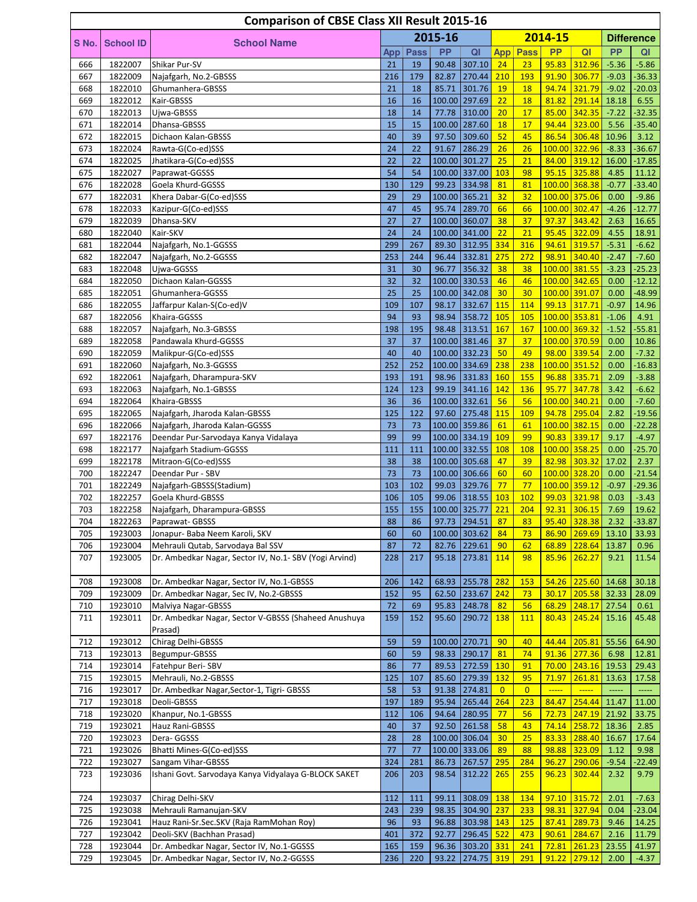|            |                    | <b>Comparison of CBSE Class XII Result 2015-16</b>        |           |           |                |                                |                       |                       |                        |                                |               |                      |
|------------|--------------------|-----------------------------------------------------------|-----------|-----------|----------------|--------------------------------|-----------------------|-----------------------|------------------------|--------------------------------|---------------|----------------------|
| S No.      | School ID          | <b>School Name</b>                                        |           |           | 2015-16        |                                |                       |                       | 2014-15                |                                |               | <b>Difference</b>    |
|            |                    |                                                           | App       | Pass      | <b>PP</b>      | QI                             | App                   | Pass                  | <b>PP</b>              | QI                             | <b>PP</b>     | QI                   |
| 666        | 1822007            | Shikar Pur-SV                                             | 21        | 19        | 90.48          | 307.10                         | 24                    | 23                    | 95.83                  | 312.96                         | $-5.36$       | $-5.86$              |
| 667        | 1822009            | Najafgarh, No.2-GBSSS                                     | 216       | 179       | 82.87          | 270.44                         | 210                   | 193                   | 91.90                  | 306.77                         | $-9.03$       | $-36.33$             |
| 668        | 1822010            | Ghumanhera-GBSSS                                          | 21        | 18        | 85.71          | 301.76                         | <b>19</b>             | 18                    | 94.74                  | 321.79                         | $-9.02$       | $-20.03$             |
| 669        | 1822012            | Kair-GBSSS                                                | 16        | 16        | 100.00         | 297.69                         | 22                    | 18                    | 81.82                  | 291.14                         | 18.18         | 6.55                 |
| 670        | 1822013            | Ujwa-GBSSS                                                | 18        | 14        | 77.78          | 310.00                         | 20                    | 17                    | 85.00                  | 342.35                         | $-7.22$       | $-32.35$             |
| 671        | 1822014            | Dhansa-GBSSS                                              | 15        | 15        |                | 100.00 287.60                  | 18                    | 17                    | 94.44                  | 323.00                         | 5.56          | $-35.40$             |
| 672        | 1822015            | Dichaon Kalan-GBSSS                                       | 40        | 39        | 97.50          | 309.60                         | 52                    | 45                    | 86.54                  | 306.48                         | 10.96         | 3.12                 |
| 673<br>674 | 1822024<br>1822025 | Rawta-G(Co-ed)SSS<br>Jhatikara-G(Co-ed)SSS                | 24<br>22  | 22<br>22  | 91.67          | 286.29<br>100.00 301.27        | 26<br>25              | 26<br>21              | 84.00                  | 100.00 322.96<br>319.12        | $-8.33$       | $-36.67$<br>$-17.85$ |
| 675        | 1822027            | Paprawat-GGSSS                                            | 54        | 54        |                | 100.00 337.00                  | 103                   | 98                    | 95.15                  | 325.88                         | 16.00<br>4.85 | 11.12                |
| 676        | 1822028            | Goela Khurd-GGSSS                                         | 130       | 129       | 99.23          | 334.98                         | 81                    | 81                    |                        | 100.00 368.38                  | $-0.77$       | $-33.40$             |
| 677        | 1822031            | Khera Dabar-G(Co-ed)SSS                                   | 29        | 29        |                | 100.00 365.21                  | 32                    | 32                    |                        | 100.00 375.06                  | 0.00          | $-9.86$              |
| 678        | 1822033            | Kazipur-G(Co-ed)SSS                                       | 47        | 45        | 95.74          | 289.70                         | 66                    | 66                    |                        | 100.00 302.47                  | $-4.26$       | $-12.77$             |
| 679        | 1822039            | Dhansa-SKV                                                | 27        | 27        |                | 100.00 360.07                  | 38                    | 37                    | 97.37                  | 343.42                         | 2.63          | 16.65                |
| 680        | 1822040            | Kair-SKV                                                  | 24        | 24        |                | 100.00 341.00                  | 22                    | 21                    | 95.45                  | 322.09                         | 4.55          | 18.91                |
| 681        | 1822044            | Najafgarh, No.1-GGSSS                                     | 299       | 267       | 89.30          | 312.95                         | 334                   | 316                   | 94.61                  | 319.57                         | $-5.31$       | $-6.62$              |
| 682        | 1822047            | Najafgarh, No.2-GGSSS                                     | 253       | 244       | 96.44          | 332.81                         | 275                   | 272                   | 98.91                  | 340.40                         | $-2.47$       | $-7.60$              |
| 683        | 1822048            | Ujwa-GGSSS                                                | 31        | 30        | 96.77          | 356.32                         | 38                    | 38                    |                        | 100.00 381.55                  | $-3.23$       | $-25.23$             |
| 684        | 1822050            | Dichaon Kalan-GGSSS                                       | 32        | 32        |                | 100.00 330.53                  | 46                    | 46                    |                        | 100.00 342.65                  | 0.00          | $-12.12$             |
| 685        | 1822051            | Ghumanhera-GGSSS                                          | 25        | 25        |                | 100.00 342.08                  | 30                    | 30                    |                        | 100.00 391.07                  | 0.00          | $-48.99$             |
| 686        | 1822055            | Jaffarpur Kalan-S(Co-ed)V                                 | 109       | 107       | 98.17          | 332.67                         | 115                   | 114                   | 99.13                  | 317.71                         | $-0.97$       | 14.96                |
| 687        | 1822056            | Khaira-GGSSS                                              | 94        | 93        | 98.94          | 358.72                         | 105                   | 105                   | 100.00 353.81          |                                | $-1.06$       | 4.91                 |
| 688        | 1822057            | Najafgarh, No.3-GBSSS                                     | 198       | 195       | 98.48          | 313.51                         | 167                   | 167                   |                        | 100.00 369.32<br>100.00 370.59 | $-1.52$       | $-55.81$             |
| 689<br>690 | 1822058<br>1822059 | Pandawala Khurd-GGSSS<br>Malikpur-G(Co-ed)SSS             | 37<br>40  | 37<br>40  |                | 100.00 381.46<br>100.00 332.23 | 37<br>50              | 37<br>49              | 98.00                  | 339.54                         | 0.00<br>2.00  | 10.86<br>$-7.32$     |
| 691        | 1822060            | Najafgarh, No.3-GGSSS                                     | 252       | 252       |                | 100.00 334.69                  | 238                   | 238                   |                        | 100.00 351.52                  | 0.00          | $-16.83$             |
| 692        | 1822061            | Najafgarh, Dharampura-SKV                                 | 193       | 191       |                | 98.96 331.83                   | 160                   | 155                   | 96.88                  | 335.71                         | 2.09          | $-3.88$              |
| 693        | 1822063            | Najafgarh, No.1-GBSSS                                     | 124       | 123       | 99.19          | 341.16                         | 142                   | 136                   | 95.77                  | 347.78                         | 3.42          | $-6.62$              |
| 694        | 1822064            | Khaira-GBSSS                                              | 36        | 36        |                | 100.00 332.61                  | 56                    | 56                    |                        | 100.00 340.21                  | 0.00          | $-7.60$              |
| 695        | 1822065            | Najafgarh, Jharoda Kalan-GBSSS                            | 125       | 122       | 97.60          | 275.48                         | 115                   | 109                   | 94.78                  | 295.04                         | 2.82          | $-19.56$             |
| 696        | 1822066            | Najafgarh, Jharoda Kalan-GGSSS                            | 73        | 73        |                | 100.00 359.86                  | 61                    | 61                    |                        | 100.00 382.15                  | 0.00          | $-22.28$             |
| 697        | 1822176            | Deendar Pur-Sarvodaya Kanya Vidalaya                      | 99        | 99        |                | 100.00 334.19                  | 109                   | 99                    | 90.83                  | 339.17                         | 9.17          | $-4.97$              |
| 698        | 1822177            | Najafgarh Stadium-GGSSS                                   | 111       | 111       |                | 100.00 332.55                  | 108                   | 108                   |                        | 100.00 358.25                  | 0.00          | $-25.70$             |
| 699        | 1822178            | Mitraon-G(Co-ed)SSS                                       | 38        | 38        |                | 100.00 305.68                  | 47                    | 39                    | 82.98                  | 303.32                         | 17.02         | 2.37                 |
| 700        | 1822247            | Deendar Pur - SBV                                         | 73        | 73        |                | 100.00 306.66                  | 60                    | 60                    |                        | 100.00 328.20                  | 0.00          | $-21.54$             |
| 701        | 1822249            | Najafgarh-GBSSS(Stadium)                                  | 103       | 102       | 99.03          | 329.76                         | 77                    | 77                    |                        | 100.00 359.12                  | $-0.97$       | $-29.36$             |
| 702        | 1822257            | Goela Khurd-GBSSS                                         | 106       | 105       | 99.06          | 318.55                         | 103                   | 102                   | 99.03                  | 321.98                         | 0.03          | $-3.43$              |
| 703<br>704 | 1822258            | Najafgarh, Dharampura-GBSSS                               | 155<br>88 | 155<br>86 |                | 100.00 325.77<br>97.73 294.51  | 221<br>87             | 204<br>83             | 92.31                  | 306.15<br>95.40 328.38         | 7.69<br>2.32  | 19.62<br>$-33.87$    |
| 705        | 1822263<br>1923003 | Paprawat- GBSSS<br>Jonapur- Baba Neem Karoli, SKV         | 60        | 60        |                | 100.00 303.62                  | 84                    | 73                    | 86.90                  | 269.69                         | 13.10         | 33.93                |
| 706        | 1923004            | Mehrauli Qutab, Sarvodaya Bal SSV                         | 87        | 72        | 82.76          | 229.61                         | 90                    | 62                    | 68.89                  | 228.64                         | 13.87         | 0.96                 |
| 707        | 1923005            | Dr. Ambedkar Nagar, Sector IV, No.1- SBV (Yogi Arvind)    | 228       | 217       | 95.18          | 273.81                         | 114                   | 98                    | 85.96                  | 262.27                         | 9.21          | 11.54                |
|            |                    |                                                           |           |           |                |                                |                       |                       |                        |                                |               |                      |
| 708        | 1923008            | Dr. Ambedkar Nagar, Sector IV, No.1-GBSSS                 | 206       | 142       | 68.93          | 255.78                         | 282                   | <b>153</b>            | 54.26                  | 225.60                         | 14.68         | 30.18                |
| 709        | 1923009            | Dr. Ambedkar Nagar, Sec IV, No.2-GBSSS                    | 152       | 95        | 62.50          | 233.67                         | 242                   | 73                    | 30.17                  | 205.58                         | 32.33         | 28.09                |
| 710        | 1923010            | Malviya Nagar-GBSSS                                       | 72        | 69        | 95.83          | 248.78                         | 82                    | 56                    | 68.29                  | 248.17                         | 27.54         | 0.61                 |
| 711        | 1923011            | Dr. Ambedkar Nagar, Sector V-GBSSS (Shaheed Anushuya      | 159       | 152       | 95.60          | 290.72                         | 138                   | 111                   | 80.43                  | 245.24                         | 15.16         | 45.48                |
|            |                    | Prasad)                                                   |           |           |                |                                |                       |                       |                        |                                |               |                      |
| 712        | 1923012            | Chirag Delhi-GBSSS                                        | 59        | 59        |                | 100.00 270.71                  | 90                    | 40                    | 44.44                  | 205.81                         | 55.56         | 64.90                |
| 713        | 1923013            | Begumpur-GBSSS                                            | 60        | 59        | 98.33          | 290.17                         | 81                    | 74                    | 91.36                  | 277.36                         | 6.98          | 12.81                |
| 714        | 1923014            | Fatehpur Beri-SBV                                         | 86        | 77        | 89.53          | 272.59                         | 130                   | 91                    | 70.00                  | 243.16                         | 19.53         | 29.43                |
| 715        | 1923015            | Mehrauli, No.2-GBSSS                                      | 125       | 107       | 85.60          | 279.39                         | 132                   | 95                    | 71.97                  | 261.81                         | 13.63         | 17.58                |
| 716<br>717 | 1923017<br>1923018 | Dr. Ambedkar Nagar, Sector-1, Tigri- GBSSS<br>Deoli-GBSSS | 58<br>197 | 53<br>189 | 91.38<br>95.94 | 274.81<br>265.44               | $\overline{0}$<br>264 | $\overline{0}$<br>223 | $\frac{1}{1}$<br>84.47 | $\frac{1}{2}$<br>254.44        | 11.47         | 11.00                |
| 718        | 1923020            | Khanpur, No.1-GBSSS                                       | 112       | 106       | 94.64          | 280.95                         | 77                    | 56                    | 72.73                  | 247.19                         | 21.92         | 33.75                |
| 719        | 1923021            | Hauz Rani-GBSSS                                           | 40        | 37        |                | 92.50 261.58                   | 58                    | 43                    | 74.14                  | 258.72                         | 18.36         | 2.85                 |
| 720        | 1923023            | Dera-GGSSS                                                | 28        | 28        |                | 100.00 306.04                  | 30                    | 25                    | 83.33                  | 288.40                         | 16.67         | 17.64                |
| 721        | 1923026            | Bhatti Mines-G(Co-ed)SSS                                  | 77        | 77        |                | 100.00 333.06                  | 89                    | 88                    | 98.88                  | 323.09                         | 1.12          | 9.98                 |
| 722        | 1923027            | Sangam Vihar-GBSSS                                        | 324       | 281       | 86.73          | 267.57                         | 295                   | 284                   | 96.27                  | 290.06                         | $-9.54$       | $-22.49$             |
| 723        | 1923036            | Ishani Govt. Sarvodaya Kanya Vidyalaya G-BLOCK SAKET      | 206       | 203       | 98.54          | 312.22                         | 265                   | 255                   | 96.23                  | 302.44                         | 2.32          | 9.79                 |
|            |                    |                                                           |           |           |                |                                |                       |                       |                        |                                |               |                      |
| 724        | 1923037            | Chirag Delhi-SKV                                          | 112       | 111       | 99.11          | $308.09$ 138                   |                       | 134                   | 97.10                  | 315.72                         | 2.01          | $-7.63$              |
| 725        | 1923038            | Mehrauli Ramanujan-SKV                                    | 243       | 239       | 98.35          | 304.90 237                     |                       | 233                   | 98.31                  | 327.94                         | 0.04          | $-23.04$             |
| 726        | 1923041            | Hauz Rani-Sr.Sec.SKV (Raja RamMohan Roy)                  | 96        | 93        | 96.88          | 303.98 143                     |                       | 125                   | 87.41                  | 289.73                         | 9.46          | 14.25                |
| 727        | 1923042            | Deoli-SKV (Bachhan Prasad)                                | 401       | 372       | 92.77          | 296.45                         | 522                   | 473                   | 90.61                  | 284.67                         | 2.16          | 11.79                |
| 728        | 1923044            | Dr. Ambedkar Nagar, Sector IV, No.1-GGSSS                 | 165       | 159       | 96.36          | 303.20 331                     |                       | 241                   | 72.81                  | 261.23                         | 23.55         | 41.97                |
| 729        | 1923045            | Dr. Ambedkar Nagar, Sector IV, No.2-GGSSS                 | 236       | 220       | 93.22          | 274.75                         | 319                   | 291                   | 91.22                  | 279.12                         | 2.00          | $-4.37$              |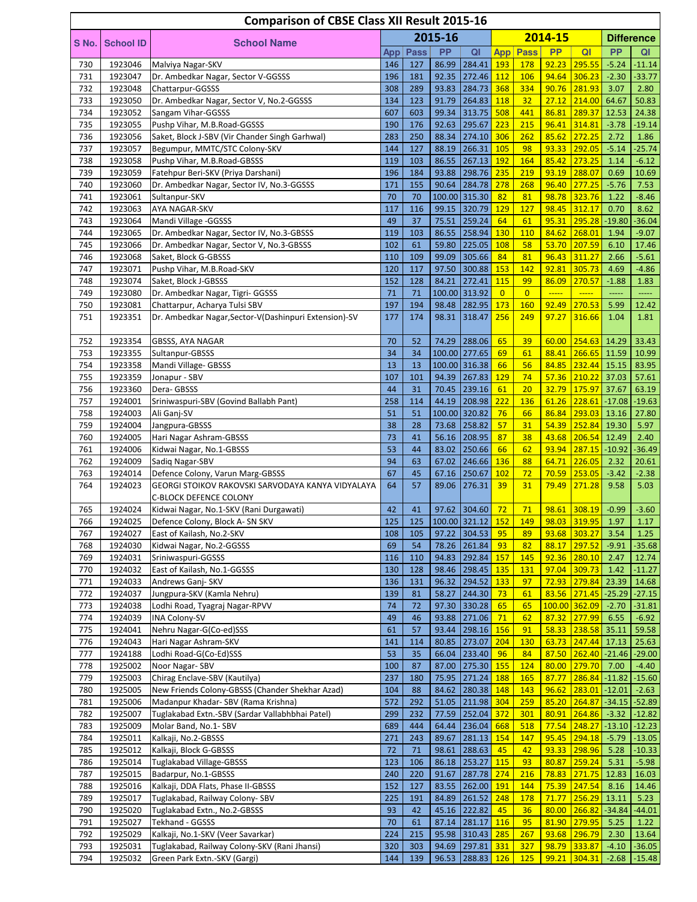|            |                    | <b>Comparison of CBSE Class XII Result 2015-16</b>                |            |             |                |                          |                |                  |                |                              |                   |                            |
|------------|--------------------|-------------------------------------------------------------------|------------|-------------|----------------|--------------------------|----------------|------------------|----------------|------------------------------|-------------------|----------------------------|
| S No.      | <b>School ID</b>   | <b>School Name</b>                                                |            |             | 2015-16        |                          |                |                  | 2014-15        |                              |                   | <b>Difference</b>          |
|            |                    |                                                                   | App        | <b>Pass</b> | <b>PP</b>      | QI                       | <b>App</b>     | Pass             | <b>PP</b>      | QI                           | <b>PP</b>         | QI                         |
| 730        | 1923046            | Malviya Nagar-SKV                                                 | 146        | 127         |                | 86.99 284.41 193         |                | <b>178</b>       |                | 92.23 295.55                 | $-5.24$           | $-11.14$                   |
| 731        | 1923047            | Dr. Ambedkar Nagar, Sector V-GGSSS                                | 196        | 181         | 92.35          | 272.46                   | 112            | 106              | 94.64          | 306.23                       | $-2.30$           | $-33.77$                   |
| 732        | 1923048            | Chattarpur-GGSSS                                                  | 308        | 289         | 93.83          | 284.73                   | 368            | 334              | 90.76          | 281.93                       | 3.07              | 2.80                       |
| 733        | 1923050            | Dr. Ambedkar Nagar, Sector V, No.2-GGSSS                          | 134        | 123         | 91.79          | 264.83                   | 118            | 32               | 27.12          | 214.00                       | 64.67             | 50.83                      |
| 734        | 1923052            | Sangam Vihar-GGSSS                                                | 607        | 603         | 99.34          | 313.75                   | 508            | 441              | 86.81          | 289.37                       | 12.53             | 24.38                      |
| 735        | 1923055            | Pushp Vihar, M.B.Road-GGSSS                                       | 190        | 176         | 92.63          | 295.67                   | 223            | 215              | 96.41          | 314.81                       | $-3.78$           | $-19.14$                   |
| 736        | 1923056            | Saket, Block J-SBV (Vir Chander Singh Garhwal)                    | 283        | 250         | 88.34          | 274.10 306               |                | 262              | 85.62          | 272.25                       | 2.72              | 1.86                       |
| 737        | 1923057            | Begumpur, MMTC/STC Colony-SKV                                     | 144        | 127         | 88.19          | 266.31                   | 105            | 98               | 93.33          | 292.05                       | $-5.14$           | $-25.74$                   |
| 738<br>739 | 1923058<br>1923059 | Pushp Vihar, M.B.Road-GBSSS<br>Fatehpur Beri-SKV (Priya Darshani) | 119<br>196 | 103<br>184  | 86.55<br>93.88 | 267.13 192<br>298.76 235 |                | 164<br>219       | 85.42<br>93.19 | 273.25<br>288.07             | 1.14<br>0.69      | $-6.12$<br>10.69           |
| 740        | 1923060            | Dr. Ambedkar Nagar, Sector IV, No.3-GGSSS                         | 171        | 155         | 90.64          | 284.78 278               |                | 268              | 96.40          | 277.25                       | $-5.76$           | 7.53                       |
| 741        | 1923061            | Sultanpur-SKV                                                     | 70         | 70          |                | 100.00 315.30            | 82             | 81               | 98.78          | 323.76                       | 1.22              | $-8.46$                    |
| 742        | 1923063            | AYA NAGAR-SKV                                                     | 117        | 116         | 99.15          | 320.79                   | 129            | 127              | 98.45          | 312.17                       | 0.70              | 8.62                       |
| 743        | 1923064            | Mandi Village - GGSSS                                             | 49         | 37          | 75.51          | 259.24                   | 64             | 61               | 95.31          | 295.28                       | $-19.80$          | $-36.04$                   |
| 744        | 1923065            | Dr. Ambedkar Nagar, Sector IV, No.3-GBSSS                         | 119        | 103         | 86.55          | 258.94                   | 130            | 110              | 84.62          | 268.01                       | 1.94              | $-9.07$                    |
| 745        | 1923066            | Dr. Ambedkar Nagar, Sector V, No.3-GBSSS                          | 102        | 61          | 59.80          | 225.05                   | 108            | 58               | 53.70          | 207.59                       | 6.10              | 17.46                      |
| 746        | 1923068            | Saket, Block G-GBSSS                                              | 110        | 109         | 99.09          | 305.66                   | 84             | 81               | 96.43          | 311.27                       | 2.66              | $-5.61$                    |
| 747        | 1923071            | Pushp Vihar, M.B.Road-SKV                                         | 120        | 117         | 97.50          | $300.88$ 153             |                | 142              | 92.81          | 305.73                       | 4.69              | $-4.86$                    |
| 748        | 1923074            | Saket, Block J-GBSSS                                              | 152        | 128         | 84.21          | 272.41                   | 115            | 99               | 86.09          | 270.57                       | $-1.88$           | 1.83                       |
| 749        | 1923080            | Dr. Ambedkar Nagar, Tigri- GGSSS                                  | 71         | 71          |                | 100.00 313.92            | $\overline{0}$ | $\overline{0}$   | $\frac{1}{2}$  | $\frac{1}{2}$                | -----             | -----                      |
| 750        | 1923081            | Chattarpur, Acharya Tulsi SBV                                     | 197        | 194         | 98.48          | 282.95                   | 173            | 160              | 92.49          | 270.53                       | 5.99              | 12.42                      |
| 751        | 1923351            | Dr. Ambedkar Nagar, Sector-V(Dashinpuri Extension)-SV             | 177        | 174         | 98.31          | 318.47                   | 256            | 249              | 97.27          | 316.66                       | 1.04              | 1.81                       |
| 752        | 1923354            | GBSSS, AYA NAGAR                                                  | 70         | 52          | 74.29          | 288.06                   | 65             | 39               | 60.00          | 254.63                       | 14.29             | 33.43                      |
| 753        | 1923355            | Sultanpur-GBSSS                                                   | 34         | 34          |                | 100.00 277.65            | 69             | 61               | 88.41          | 266.65                       | 11.59             | 10.99                      |
| 754        | 1923358            | Mandi Village- GBSSS                                              | 13         | 13          |                | 100.00 316.38            | 66             | 56               | 84.85          | 232.44                       | 15.15             | 83.95                      |
| 755        | 1923359            | Jonapur - SBV                                                     | 107        | 101         |                | 94.39 267.83             | 129            | 74               |                | 57.36 210.22                 | 37.03             | 57.61                      |
| 756        | 1923360            | Dera-GBSSS                                                        | 44         | 31          | 70.45          | 239.16                   | 61             | 20               | 32.79          | 175.97                       | 37.67             | 63.19                      |
| 757        | 1924001            | Sriniwaspuri-SBV (Govind Ballabh Pant)                            | 258        | 114         | 44.19          | 208.98                   | 222            | 136              | 61.26          | 228.61                       | $-17.08$          | $-19.63$                   |
| 758        | 1924003            | Ali Ganj-SV                                                       | 51         | 51          |                | 100.00 320.82            | 76             | 66               | 86.84          | 293.03                       | 13.16             | 27.80                      |
| 759        | 1924004            | Jangpura-GBSSS                                                    | 38         | 28          | 73.68          | 258.82                   | 57             | 31               | 54.39          | 252.84                       | 19.30             | 5.97                       |
| 760        | 1924005            | Hari Nagar Ashram-GBSSS                                           | 73         | 41          | 56.16          | 208.95                   | 87             | 38               | 43.68          | 206.54                       | 12.49             | 2.40                       |
| 761        | 1924006            | Kidwai Nagar, No.1-GBSSS                                          | 53         | 44          | 83.02          | 250.66                   | 66             | 62               | 93.94          | $287.15 - 10.92$             |                   | $-36.49$                   |
| 762        | 1924009            | Sadiq Nagar-SBV                                                   | 94         | 63          | 67.02          | 246.66                   | 136            | 88               | 64.71          | 226.05                       | 2.32              | 20.61                      |
| 763        | 1924014            | Defence Colony, Varun Marg-GBSSS                                  | 67         | 45          | 67.16          | 250.67                   | 102            | 72               | 70.59          | 253.05                       | $-3.42$           | $-2.38$                    |
| 764        | 1924023            | GEORGI STOIKOV RAKOVSKI SARVODAYA KANYA VIDYALAYA                 | 64         | 57          | 89.06          | 276.31                   | 39             | 31               | 79.49          | 271.28                       | 9.58              | 5.03                       |
| 765        | 1924024            | C-BLOCK DEFENCE COLONY<br>Kidwai Nagar, No.1-SKV (Rani Durgawati) | 42         | 41          |                | 97.62 304.60             | 72             | 71               |                | 98.61 308.19                 | $-0.99$           | $-3.60$                    |
| 766        | 1924025            | Defence Colony, Block A- SN SKV                                   | 125        | 125         |                | $100.00$ 321.12 152      |                | 149              |                | 98.03 319.95 1.97            |                   | 1.17                       |
| 767        | 1924027            | East of Kailash, No.2-SKV                                         | 108        | 105         | 97.22          | 304.53                   | 95             | 89               |                | 93.68 303.27                 | 3.54              | 1.25                       |
| 768        | 1924030            | Kidwai Nagar, No.2-GGSSS                                          | 69         | 54          | 78.26          | 261.84                   | 93             | 82               | 88.17          | 297.52                       | $-9.91$           | $-35.68$                   |
| 769        | 1924031            | Sriniwaspuri-GGSSS                                                | 116        | 110         | 94.83          | 292.84                   | 157            | 145              |                | 92.36 280.10                 | 2.47              | 12.74                      |
| 770        | 1924032            | East of Kailash, No.1-GGSSS                                       | 130        | 128         | 98.46          | 298.45                   | <b>135</b>     | <b>131</b>       |                | 97.04 309.73                 | 1.42              | $-11.27$                   |
| 771        | 1924033            | Andrews Ganj- SKV                                                 | 136        | 131         | 96.32          | 294.52                   | 133            | 97               | 72.93          | 279.84                       | 23.39             | 14.68                      |
| 772        | 1924037            | Jungpura-SKV (Kamla Nehru)                                        | 139        | 81          | 58.27          | 244.30                   | 73             | 61               |                | 83.56 271.45                 |                   | $-25.29$ $-27.15$          |
| 773        | 1924038            | Lodhi Road, Tyagraj Nagar-RPVV                                    | 74         | 72          | 97.30          | 330.28                   | 65             | 65               |                | 100.00 362.09                | $-2.70$           | $-31.81$                   |
| 774        | 1924039            | <b>INA Colony-SV</b>                                              | 49         | 46          | 93.88          | 271.06                   | 71             | 62               |                | 87.32 277.99                 | 6.55              | $-6.92$                    |
| 775        | 1924041            | Nehru Nagar-G(Co-ed)SSS                                           | 61         | 57          | 93.44          | 298.16                   | 156            | 91               | 58.33          | 238.58                       | 35.11             | 59.58                      |
| 776<br>777 | 1924043<br>1924188 | Hari Nagar Ashram-SKV<br>Lodhi Road-G(Co-Ed)SSS                   | 141<br>53  | 114<br>35   | 80.85<br>66.04 | 273.07<br>233.40         | 204<br>96      | 130<br>84        |                | 63.73 247.44<br>87.50 262.40 | 17.13             | 25.63<br>$-21.46$ $-29.00$ |
| 778        | 1925002            | Noor Nagar-SBV                                                    | 100        | 87          | 87.00          | 275.30 155               |                | 124              |                | 80.00 279.70                 | 7.00              | $-4.40$                    |
| 779        | 1925003            | Chirag Enclave-SBV (Kautilya)                                     | 237        | 180         |                | 75.95 271.24             | 188            | 165              | 87.77          | 286.84                       | $-11.82$          | $-15.60$                   |
| 780        | 1925005            | New Friends Colony-GBSSS (Chander Shekhar Azad)                   | 104        | 88          | 84.62          | 280.38 148               |                | 143              | 96.62          | 283.01                       | $-12.01$          | $-2.63$                    |
| 781        | 1925006            | Madanpur Khadar- SBV (Rama Krishna)                               | 572        | 292         | 51.05          | 211.98                   | 304            | 259              | 85.20          | 264.87                       |                   | $-34.15$ $-52.89$          |
| 782        | 1925007            | Tuglakabad Extn.-SBV (Sardar Vallabhbhai Patel)                   | 299        | 232         | 77.59          | 252.04                   | 372            | 301              | 80.91          | 264.86                       | $-3.32$           | $-12.82$                   |
| 783        | 1925009            | Molar Band, No.1- SBV                                             | 689        | 444         | 64.44          | 236.04                   | 668            | 518              | 77.54          | 248.27                       |                   | $-13.10$ $-12.23$          |
| 784        | 1925011            | Kalkaji, No.2-GBSSS                                               | 271        | 243         | 89.67          | 281.13                   | 154            | 147              | 95.45          | 294.18                       | $-5.79$           | $-13.05$                   |
| 785        | 1925012            | Kalkaji, Block G-GBSSS                                            | 72         | 71          | 98.61          | 288.63                   | 45             | 42               | 93.33          | 298.96                       | 5.28              | $-10.33$                   |
| 786        | 1925014            | <b>Tuglakabad Village-GBSSS</b>                                   | 123        | 106         |                | 86.18 253.27             | <b>115</b>     | 93               | 80.87          | 259.24                       | 5.31              | $-5.98$                    |
| 787        | 1925015            | Badarpur, No.1-GBSSS                                              | 240        | 220         | 91.67          | 287.78                   | 274            | 216              | 78.83          | 271.75                       | 12.83             | 16.03                      |
| 788        | 1925016            | Kalkaji, DDA Flats, Phase II-GBSSS                                | 152        | 127         | 83.55          | 262.00 191               |                | 144              | 75.39          | 247.54                       | 8.16              | 14.46                      |
| 789<br>790 | 1925017<br>1925020 | Tuglakabad, Railway Colony- SBV<br>Tuglakabad Extn., No.2-GBSSS   | 225<br>93  | 191<br>42   | 84.89<br>45.16 | 261.52 248<br>222.82     | 45             | <b>178</b><br>36 | 71.77<br>80.00 | 256.29<br>266.82             | 13.11<br>$-34.84$ | 5.23<br>$-44.01$           |
| 791        | 1925027            | Tekhand - GGSSS                                                   | 70         | 61          |                | 87.14 281.17 116         |                | 95               |                | 81.90 279.95                 | 5.25              | 1.22                       |
| 792        | 1925029            | Kalkaji, No.1-SKV (Veer Savarkar)                                 | 224        | 215         | 95.98          | 310.43 285               |                | 267              |                | 93.68 296.79                 | 2.30              | 13.64                      |
| 793        | 1925031            | Tuglakabad, Railway Colony-SKV (Rani Jhansi)                      | 320        | 303         |                | 94.69 297.81             | 331            | 327              |                | 98.79 333.87                 | $-4.10$           | $-36.05$                   |
| 794        | 1925032            | Green Park Extn.-SKV (Gargi)                                      | 144        | 139         |                | 96.53 288.83 126         |                | <b>125</b>       |                | 99.21 304.31                 | $-2.68$           | $-15.48$                   |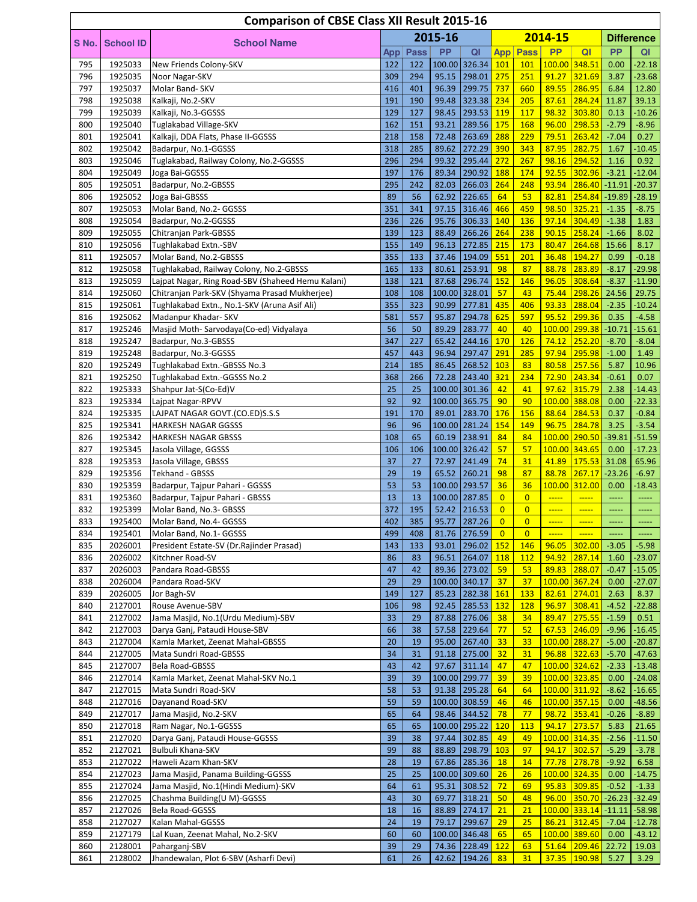| <b>Comparison of CBSE Class XII Result 2015-16</b> |                    |                                                          |            |             |                |                                  |                                  |                                  |                |                                                                                                                  |                    |                                                  |  |
|----------------------------------------------------|--------------------|----------------------------------------------------------|------------|-------------|----------------|----------------------------------|----------------------------------|----------------------------------|----------------|------------------------------------------------------------------------------------------------------------------|--------------------|--------------------------------------------------|--|
|                                                    |                    |                                                          | 2015-16    |             |                |                                  | 2014-15                          |                                  |                |                                                                                                                  | <b>Difference</b>  |                                                  |  |
| S No.                                              | <b>School ID</b>   | <b>School Name</b>                                       | App        | <b>Pass</b> | <b>PP</b>      | QI                               |                                  | <b>App Pass</b>                  | <b>PP</b>      | QI                                                                                                               | <b>PP</b>          | QI                                               |  |
| 795                                                | 1925033            | New Friends Colony-SKV                                   | 122        | 122         |                | 100.00 326.34 101                |                                  | 101                              |                | 100.00 348.51                                                                                                    | 0.00               | $-22.18$                                         |  |
| 796                                                | 1925035            | Noor Nagar-SKV                                           | 309        | 294         |                | 95.15 298.01                     | 275                              | 251                              | 91.27          | 321.69                                                                                                           | 3.87               | $-23.68$                                         |  |
| 797                                                | 1925037            | Molar Band- SKV                                          | 416        | 401         | 96.39          | 299.75                           | 737                              | 660                              | 89.55          | 286.95                                                                                                           | 6.84               | 12.80                                            |  |
| 798                                                | 1925038            | Kalkaji, No.2-SKV                                        | 191        | 190         | 99.48          | 323.38                           | 234                              | 205                              | 87.61          | 284.24                                                                                                           | 11.87              | 39.13                                            |  |
| 799                                                | 1925039            | Kalkaji, No.3-GGSSS                                      | 129        | 127         | 98.45          | 293.53                           | 119                              | <b>117</b>                       | 98.32          | 303.80                                                                                                           | 0.13               | $-10.26$                                         |  |
| 800                                                | 1925040            | Tuglakabad Village-SKV                                   | 162        | 151         | 93.21          | 289.56                           | 175                              | 168                              | 96.00          | 298.53                                                                                                           | $-2.79$            | $-8.96$                                          |  |
| 801                                                | 1925041            | Kalkaji, DDA Flats, Phase II-GGSSS                       | 218        | 158         | 72.48          | 263.69                           | 288                              | 229                              | 79.51          | 263.42                                                                                                           | $-7.04$            | 0.27                                             |  |
| 802                                                | 1925042            | Badarpur, No.1-GGSSS                                     | 318        | 285         | 89.62          | 272.29                           | 390                              | 343                              | 87.95          | 282.75                                                                                                           | 1.67               | $-10.45$                                         |  |
| 803<br>804                                         | 1925046<br>1925049 | Tuglakabad, Railway Colony, No.2-GGSSS<br>Joga Bai-GGSSS | 296<br>197 | 294<br>176  | 99.32<br>89.34 | 295.44<br>290.92                 | 272<br>188                       | 267<br>174                       | 98.16<br>92.55 | 294.52<br>302.96                                                                                                 | 1.16<br>$-3.21$    | 0.92<br>$-12.04$                                 |  |
| 805                                                | 1925051            | Badarpur, No.2-GBSSS                                     | 295        | 242         | 82.03          | 266.03                           | 264                              | 248                              | 93.94          | 286.40                                                                                                           | $-11.91$           | $-20.37$                                         |  |
| 806                                                | 1925052            | Joga Bai-GBSSS                                           | 89         | 56          | 62.92          | 226.65                           | 64                               | 53                               | 82.81          | 254.84                                                                                                           | $-19.89$           | $-28.19$                                         |  |
| 807                                                | 1925053            | Molar Band, No.2- GGSSS                                  | 351        | 341         | 97.15          | 316.46                           | 466                              | 459                              | 98.50          | 325.21                                                                                                           | $-1.35$            | $-8.75$                                          |  |
| 808                                                | 1925054            | Badarpur, No.2-GGSSS                                     | 236        | 226         | 95.76          | 306.33                           | 140                              | 136                              | 97.14          | 304.49                                                                                                           | $-1.38$            | 1.83                                             |  |
| 809                                                | 1925055            | Chitranjan Park-GBSSS                                    | 139        | 123         | 88.49          | 266.26                           | 264                              | 238                              | 90.15          | 258.24                                                                                                           | $-1.66$            | 8.02                                             |  |
| 810                                                | 1925056            | Tughlakabad Extn.-SBV                                    | 155        | 149         | 96.13          | 272.85                           | 215                              | 173                              | 80.47          | 264.68                                                                                                           | 15.66              | 8.17                                             |  |
| 811                                                | 1925057            | Molar Band, No.2-GBSSS                                   | 355        | 133         | 37.46          | 194.09                           | 551                              | 201                              | 36.48          | 194.27                                                                                                           | 0.99               | $-0.18$                                          |  |
| 812                                                | 1925058            | Tughlakabad, Railway Colony, No.2-GBSSS                  | 165        | 133         | 80.61          | 253.91                           | 98                               | 87                               | 88.78          | 283.89                                                                                                           | $-8.17$            | $-29.98$                                         |  |
| 813                                                | 1925059            | Lajpat Nagar, Ring Road-SBV (Shaheed Hemu Kalani)        | 138        | 121         | 87.68          | 296.74                           | 152                              | 146                              | 96.05          | 308.64                                                                                                           | $-8.37$            | $-11.90$                                         |  |
| 814                                                | 1925060            | Chitranjan Park-SKV (Shyama Prasad Mukherjee)            | 108        | 108         |                | 100.00 328.01                    | 57                               | 43                               | 75.44          | 298.26                                                                                                           | 24.56              | 29.75                                            |  |
| 815                                                | 1925061            | Tughlakabad Extn., No.1-SKV (Aruna Asif Ali)             | 355        | 323         | 90.99          | 277.81                           | 435                              | 406                              | 93.33          | 288.04                                                                                                           | $-2.35$            | $-10.24$                                         |  |
| 816                                                | 1925062            | Madanpur Khadar- SKV                                     | 581        | 557         | 95.87          | 294.78                           | 625                              | 597                              | 95.52          | 299.36                                                                                                           | 0.35               | $-4.58$                                          |  |
| 817                                                | 1925246<br>1925247 | Masjid Moth-Sarvodaya(Co-ed) Vidyalaya                   | 56<br>347  | 50          | 89.29          | 283.77<br>244.16                 | 40<br>170                        | 40<br>126                        | 74.12          | 100.00 299.38<br>252.20                                                                                          | $-10.71$           | $-15.61$                                         |  |
| 818<br>819                                         | 1925248            | Badarpur, No.3-GBSSS<br>Badarpur, No.3-GGSSS             | 457        | 227<br>443  | 65.42<br>96.94 | 297.47                           | 291                              | 285                              | 97.94          | 295.98                                                                                                           | $-8.70$<br>$-1.00$ | $-8.04$<br>1.49                                  |  |
| 820                                                | 1925249            | Tughlakabad Extn.-GBSSS No.3                             | 214        | 185         | 86.45          | 268.52                           | 103                              | 83                               | 80.58          | 257.56                                                                                                           | 5.87               | 10.96                                            |  |
| 821                                                | 1925250            | Tughlakabad Extn.-GGSSS No.2                             | 368        | 266         | 72.28          | 243.40                           | 321                              | 234                              | 72.90          | 243.34                                                                                                           | $-0.61$            | 0.07                                             |  |
| 822                                                | 1925333            | Shahpur Jat-S(Co-Ed)V                                    | 25         | 25          |                | 100.00 301.36                    | 42                               | 41                               | 97.62          | 315.79                                                                                                           | 2.38               | $-14.43$                                         |  |
| 823                                                | 1925334            | Lajpat Nagar-RPVV                                        | 92         | 92          |                | 100.00 365.75                    | 90                               | 90                               |                | 100.00 388.08                                                                                                    | 0.00               | $-22.33$                                         |  |
| 824                                                | 1925335            | LAJPAT NAGAR GOVT.(CO.ED)S.S.S                           | 191        | 170         | 89.01          | 283.70                           | 176                              | 156                              | 88.64          | 284.53                                                                                                           | 0.37               | $-0.84$                                          |  |
| 825                                                | 1925341            | HARKESH NAGAR GGSSS                                      | 96         | 96          |                | 100.00 281.24                    | 154                              | 149                              | 96.75          | 284.78                                                                                                           | 3.25               | $-3.54$                                          |  |
| 826                                                | 1925342            | HARKESH NAGAR GBSSS                                      | 108        | 65          | 60.19          | 238.91                           | 84                               | 84                               |                | 100.00 290.50                                                                                                    | $-39.81$           | $-51.59$                                         |  |
| 827                                                | 1925345            | Jasola Village, GGSSS                                    | 106        | 106         |                | 100.00 326.42                    | 57                               | 57                               |                | 100.00 343.65                                                                                                    | 0.00               | $-17.23$                                         |  |
| 828                                                | 1925353            | Jasola Village, GBSSS                                    | 37         | 27          | 72.97          | 241.49                           | 74                               | 31                               | 41.89          | 175.53                                                                                                           | 31.08              | 65.96                                            |  |
| 829                                                | 1925356            | Tekhand - GBSSS                                          | 29         | 19          |                | 65.52 260.21                     | 98                               | 87                               | 88.78          | 267.17                                                                                                           | $-23.26$           | $-6.97$                                          |  |
| 830                                                | 1925359            | Badarpur, Tajpur Pahari - GGSSS                          | 53         | 53          |                | 100.00 293.57                    | 36                               | 36                               |                | 100.00 312.00                                                                                                    | 0.00               | $-18.43$                                         |  |
| 831<br>832                                         | 1925360            | Badarpur, Tajpur Pahari - GBSSS                          | 13<br>372  | 13<br>195   |                | 100.00 287.85<br>52.42 216.53    | $\overline{0}$<br>$\overline{0}$ | $\overline{0}$<br>$\overline{0}$ |                | $\overline{\phantom{a}}$<br>$\overline{\phantom{a} \phantom{a} \phantom{a} \phantom{a} \phantom{a} \phantom{a}}$ | -----              |                                                  |  |
| 833                                                | 1925399<br>1925400 | Molar Band, No.3- GBSSS<br>Molar Band, No.4- GGSSS       | 402        | 385         |                | 95.77 287.26                     | $\overline{0}$                   | $\overline{0}$                   | $\frac{1}{2}$  | $\overline{\phantom{a}}$                                                                                         | -----              | $\cdots \cdots \cdots$<br>$\cdots \cdots \cdots$ |  |
| 834                                                | 1925401            | Molar Band, No.1- GGSSS                                  | 499        | 408         |                | 81.76 276.59                     | $\overline{0}$                   | $\overline{0}$                   | $\frac{1}{1}$  | $\frac{1}{2}$                                                                                                    |                    |                                                  |  |
| 835                                                | 2026001            | President Estate-SV (Dr. Rajinder Prasad)                | 143        | 133         | 93.01          | 296.02                           | 152                              | 146                              | 96.05          | 302.00                                                                                                           | $-3.05$            | $-5.98$                                          |  |
| 836                                                | 2026002            | Kitchner Road-SV                                         | 86         | 83          | 96.51          | 264.07                           | <b>118</b>                       | <b>112</b>                       | 94.92          | 287.14                                                                                                           | 1.60               | $-23.07$                                         |  |
| 837                                                | 2026003            | Pandara Road-GBSSS                                       | 47         | 42          | 89.36          | 273.02                           | 59                               | 53                               | 89.83          | 288.07                                                                                                           | $-0.47$            | $-15.05$                                         |  |
| 838                                                | 2026004            | Pandara Road-SKV                                         | 29         | 29          |                | 100.00 340.17                    | 37                               | 37                               |                | 100.00 367.24                                                                                                    | 0.00               | $-27.07$                                         |  |
| 839                                                | 2026005            | Jor Bagh-SV                                              | 149        | 127         | 85.23          | 282.38 161                       |                                  | <b>133</b>                       | 82.61          | 274.01                                                                                                           | 2.63               | 8.37                                             |  |
| 840                                                | 2127001            | Rouse Avenue-SBV                                         | 106        | 98          |                | 92.45 285.53                     | 132                              | <b>128</b>                       | 96.97          | 308.41                                                                                                           | $-4.52$            | $-22.88$                                         |  |
| 841                                                | 2127002            | Jama Masjid, No.1(Urdu Medium)-SBV                       | 33         | 29          | 87.88          | 276.06                           | 38                               | 34                               | 89.47          | 275.55                                                                                                           | $-1.59$            | 0.51                                             |  |
| 842                                                | 2127003            | Darya Ganj, Pataudi House-SBV                            | 66         | 38          |                | 57.58 229.64                     | 77                               | 52                               | 67.53          | 246.09                                                                                                           | $-9.96$            | $-16.45$                                         |  |
| 843                                                | 2127004            | Kamla Market, Zeenat Mahal-GBSSS                         | 20         | 19          | 95.00          | 267.40                           | 33                               | 33                               |                | 100.00 288.27                                                                                                    | $-5.00$            | $-20.87$                                         |  |
| 844                                                | 2127005            | Mata Sundri Road-GBSSS                                   | 34         | 31          | 91.18          | 275.00                           | 32                               | 31                               | 96.88          | 322.63                                                                                                           | $-5.70$            | $-47.63$                                         |  |
| 845                                                | 2127007            | Bela Road-GBSSS                                          | 43         | 42          | 97.67          | 311.14                           | 47                               | 47                               |                | 100.00 324.62                                                                                                    | $-2.33$            | $-13.48$                                         |  |
| 846<br>847                                         | 2127014<br>2127015 | Kamla Market, Zeenat Mahal-SKV No.1                      | 39<br>58   | 39<br>53    |                | 100.00 299.77<br>91.38 295.28    | 39<br>64                         | 39<br>64                         |                | 100.00 323.85<br>100.00 311.92                                                                                   | 0.00               | $-24.08$<br>$-16.65$                             |  |
| 848                                                | 2127016            | Mata Sundri Road-SKV<br>Dayanand Road-SKV                | 59         | 59          |                | 100.00 308.59                    | 46                               | 46                               |                | 100.00 357.15                                                                                                    | $-8.62$<br>0.00    | $-48.56$                                         |  |
| 849                                                | 2127017            | Jama Masjid, No.2-SKV                                    | 65         | 64          |                | 98.46 344.52                     | 78                               | 77                               |                | 98.72 353.41                                                                                                     | $-0.26$            | $-8.89$                                          |  |
| 850                                                | 2127018            | Ram Nagar, No.1-GGSSS                                    | 65         | 65          |                | 100.00 295.22                    | 120                              | <b>113</b>                       | 94.17          | 273.57                                                                                                           | 5.83               | 21.65                                            |  |
| 851                                                | 2127020            | Darya Ganj, Pataudi House-GGSSS                          | 39         | 38          |                | 97.44 302.85                     | 49                               | 49                               |                | 100.00 314.35                                                                                                    | $-2.56$            | $-11.50$                                         |  |
| 852                                                | 2127021            | Bulbuli Khana-SKV                                        | 99         | 88          | 88.89          | 298.79                           | 103                              | 97                               | 94.17          | 302.57                                                                                                           | $-5.29$            | $-3.78$                                          |  |
| 853                                                | 2127022            | Haweli Azam Khan-SKV                                     | 28         | 19          |                | 67.86 285.36                     | <b>18</b>                        | 14                               | 77.78          | 278.78                                                                                                           | $-9.92$            | 6.58                                             |  |
| 854                                                | 2127023            | Jama Masjid, Panama Building-GGSSS                       | 25         | 25          |                | 100.00 309.60                    | 26                               | 26                               |                | 100.00 324.35                                                                                                    | 0.00               | $-14.75$                                         |  |
| 855                                                | 2127024            | Jama Masjid, No.1(Hindi Medium)-SKV                      | 64         | 61          |                | 95.31 308.52                     | 72                               | 69                               | 95.83          | 309.85                                                                                                           | $-0.52$            | $-1.33$                                          |  |
| 856                                                | 2127025            | Chashma Building(U M)-GGSSS                              | 43         | 30          | 69.77          | 318.21                           | 50                               | 48                               |                | 96.00 350.70                                                                                                     |                    | $-26.23$ $-32.49$                                |  |
| 857                                                | 2127026            | Bela Road-GGSSS                                          | 18         | 16          |                | 88.89 274.17                     | 21                               | 21                               |                | 100.00 333.14                                                                                                    | $-11.11$           | $-58.98$                                         |  |
| 858                                                | 2127027            | Kalan Mahal-GGSSS                                        | 24         | 19          | 79.17          | 299.67                           | 29                               | 25                               | 86.21          | 312.45                                                                                                           | $-7.04$            | $-12.78$                                         |  |
| 859                                                | 2127179            | Lal Kuan, Zeenat Mahal, No.2-SKV                         | 60         | 60          |                | 100.00 346.48                    | 65                               | 65                               |                | 100.00 389.60                                                                                                    | 0.00               | $-43.12$                                         |  |
| 860<br>861                                         | 2128001<br>2128002 | Paharganj-SBV<br>Jhandewalan, Plot 6-SBV (Asharfi Devi)  | 39<br>61   | 29<br>26    |                | 74.36 228.49 122<br>42.62 194.26 | 83                               | 63<br>31                         |                | 51.64 209.46<br>37.35 190.98                                                                                     | 22.72              | 19.03<br>3.29                                    |  |
|                                                    |                    |                                                          |            |             |                |                                  |                                  |                                  |                |                                                                                                                  | 5.27               |                                                  |  |